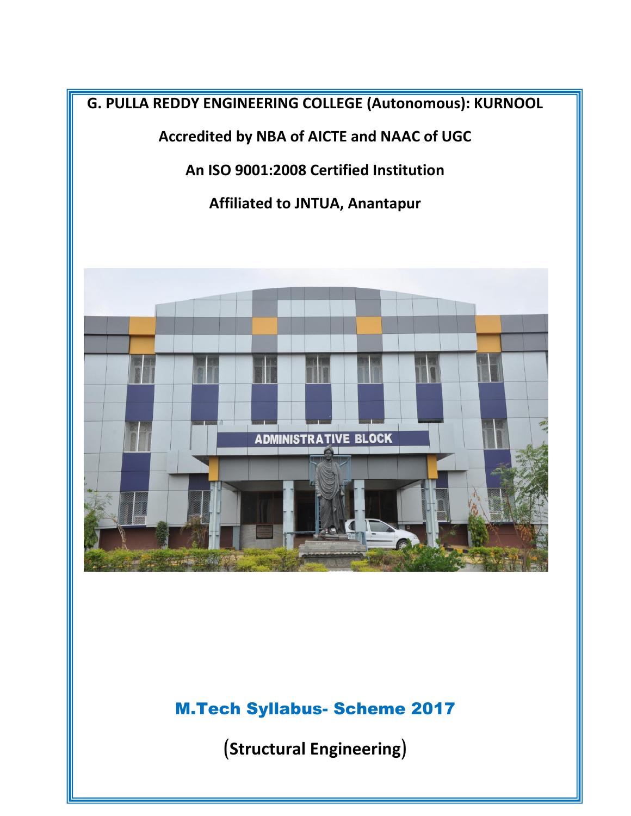

# M.Tech Syllabus- Scheme 2017

(**Structural Engineering**)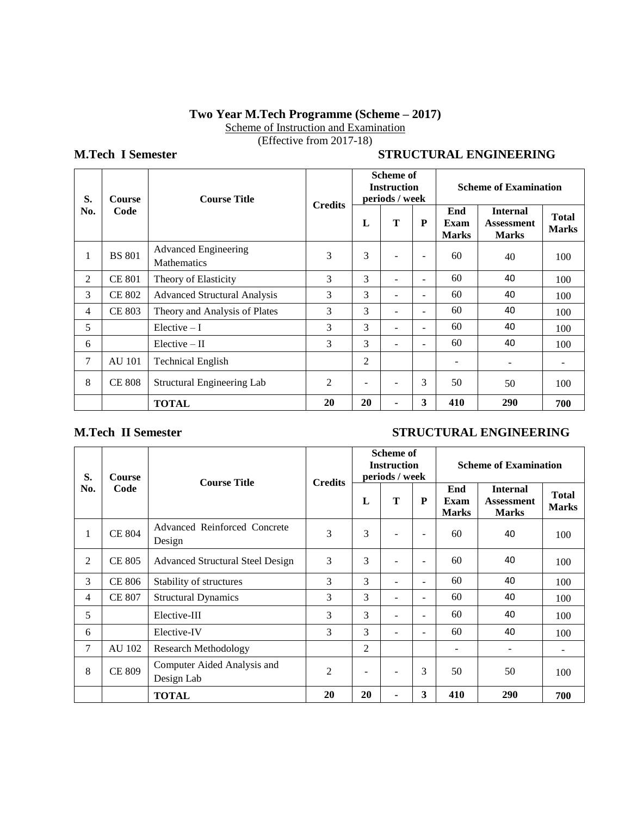## **Two Year M.Tech Programme (Scheme – 2017)**

Scheme of Instruction and Examination

(Effective from 2017-18)

## **M.Tech I Semester STRUCTURAL ENGINEERING**

| S.             | Course                                      | <b>Course Title</b>                               | <b>Credits</b> | <b>Scheme of</b><br><b>Instruction</b><br>periods / week |   |        | <b>Scheme of Examination</b> |                                                      |                              |  |
|----------------|---------------------------------------------|---------------------------------------------------|----------------|----------------------------------------------------------|---|--------|------------------------------|------------------------------------------------------|------------------------------|--|
| No.<br>Code    |                                             |                                                   |                | L                                                        | T | P      | End<br>Exam<br><b>Marks</b>  | <b>Internal</b><br><b>Assessment</b><br><b>Marks</b> | <b>Total</b><br><b>Marks</b> |  |
| 1              | <b>BS</b> 801                               | <b>Advanced Engineering</b><br><b>Mathematics</b> | 3              | 3                                                        |   | $\sim$ | 60                           | 40                                                   | 100                          |  |
| $\overline{2}$ | <b>CE 801</b>                               | Theory of Elasticity                              | 3              | 3                                                        |   | -      | 60                           | 40                                                   | 100                          |  |
| 3              | <b>CE 802</b>                               | <b>Advanced Structural Analysis</b>               | 3              | 3                                                        |   | -      | 60                           | 40                                                   | 100                          |  |
| 4              | <b>CE 803</b>                               | Theory and Analysis of Plates                     | 3              | 3                                                        |   | -      | 60                           | 40                                                   | 100                          |  |
| 5              |                                             | Elective $-I$                                     | 3              | 3                                                        |   | -      | 60                           | 40                                                   | 100                          |  |
| 6              |                                             | $Elective - II$                                   | 3              | 3                                                        |   | -      | 60                           | 40                                                   | 100                          |  |
| 7              | <b>AU 101</b>                               | <b>Technical English</b>                          |                | 2                                                        |   |        | ۰                            |                                                      |                              |  |
| 8              | <b>CE 808</b><br>Structural Engineering Lab |                                                   | $\overline{2}$ |                                                          |   | 3      | 50                           | 50                                                   | 100                          |  |
|                |                                             | <b>TOTAL</b>                                      | 20             | 20                                                       |   | 3      | 410                          | 290                                                  | 700                          |  |

## **M.Tech II Semester** STRUCTURAL ENGINEERING

| S.             | <b>Course</b> | <b>Course Title</b>                       | <b>Credits</b> |                          | <b>Scheme of</b><br><b>Instruction</b><br>periods / week |                          | <b>Scheme of Examination</b> |                                                      |                              |  |
|----------------|---------------|-------------------------------------------|----------------|--------------------------|----------------------------------------------------------|--------------------------|------------------------------|------------------------------------------------------|------------------------------|--|
| No.            | Code          |                                           |                | L                        | T                                                        | P                        | End<br>Exam<br><b>Marks</b>  | <b>Internal</b><br><b>Assessment</b><br><b>Marks</b> | <b>Total</b><br><b>Marks</b> |  |
| 1              | <b>CE 804</b> | Advanced Reinforced Concrete<br>Design    | 3              | 3                        |                                                          | $\overline{\phantom{m}}$ | 60                           | 40                                                   | 100                          |  |
| $\overline{2}$ | <b>CE 805</b> | <b>Advanced Structural Steel Design</b>   | 3              | 3                        |                                                          | ۰                        | 60                           | 40                                                   | 100                          |  |
| 3              | <b>CE 806</b> | Stability of structures                   | 3              | 3                        |                                                          | $\equiv$                 | 60                           | 40                                                   | 100                          |  |
| 4              | <b>CE 807</b> | <b>Structural Dynamics</b>                | 3              | 3                        | ۳                                                        | $\overline{\phantom{a}}$ | 60                           | 40                                                   | 100                          |  |
| 5              |               | Elective-III                              | 3              | 3                        | ۳                                                        | $\sim$                   | 60                           | 40                                                   | 100                          |  |
| 6              |               | Elective-IV                               | 3              | 3                        |                                                          | $\overline{\phantom{a}}$ | 60                           | 40                                                   | 100                          |  |
| $\tau$         | AU 102        | <b>Research Methodology</b>               |                | 2                        |                                                          |                          | ۰                            |                                                      | ۰.                           |  |
| 8              | <b>CE 809</b> | Computer Aided Analysis and<br>Design Lab |                | $\overline{\phantom{a}}$ |                                                          | 3                        | 50                           | 50                                                   | 100                          |  |
|                |               | <b>TOTAL</b>                              | 20             | 20                       |                                                          | 3                        | 410                          | 290                                                  | 700                          |  |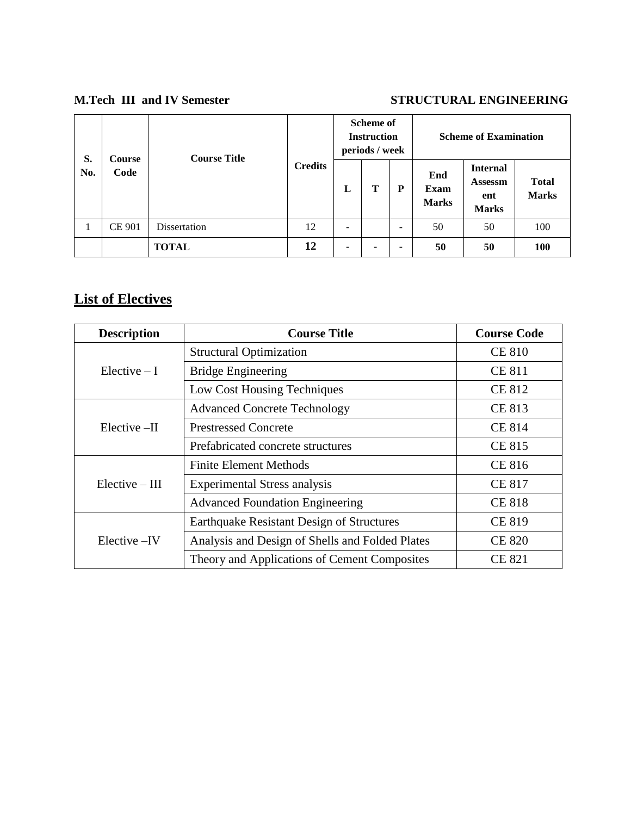## **M.Tech III and IV Semester STRUCTURAL ENGINEERING**

| S.  | Course                                        | <b>Course Title</b> |                | <b>Scheme of</b><br><b>Instruction</b><br>periods / week |   |                              | <b>Scheme of Examination</b> |                                                          |                              |  |
|-----|-----------------------------------------------|---------------------|----------------|----------------------------------------------------------|---|------------------------------|------------------------------|----------------------------------------------------------|------------------------------|--|
| No. | Code                                          |                     | <b>Credits</b> | L                                                        | Т | P                            | End<br>Exam<br><b>Marks</b>  | <b>Internal</b><br><b>Assessm</b><br>ent<br><b>Marks</b> | <b>Total</b><br><b>Marks</b> |  |
|     | <b>CE 901</b><br>Dissertation<br><b>TOTAL</b> |                     | 12             | -                                                        |   | $\qquad \qquad \blacksquare$ | 50                           | 50                                                       | 100                          |  |
|     |                                               |                     | 12             | ۰                                                        | ۰ | -                            | 50                           | 50                                                       | <b>100</b>                   |  |

# **List of Electives**

| <b>Description</b> | <b>Course Title</b>                              | <b>Course Code</b> |
|--------------------|--------------------------------------------------|--------------------|
|                    | <b>Structural Optimization</b>                   | <b>CE 810</b>      |
| $Electric - I$     | <b>Bridge Engineering</b>                        | <b>CE 811</b>      |
|                    | Low Cost Housing Techniques                      | <b>CE 812</b>      |
|                    | <b>Advanced Concrete Technology</b>              | CE 813             |
| $Elective - II$    | <b>Prestressed Concrete</b>                      | <b>CE 814</b>      |
|                    | Prefabricated concrete structures                | <b>CE 815</b>      |
|                    | <b>Finite Element Methods</b>                    | <b>CE 816</b>      |
| $Elective - III$   | <b>Experimental Stress analysis</b>              | <b>CE 817</b>      |
|                    | <b>Advanced Foundation Engineering</b>           | <b>CE 818</b>      |
|                    | <b>Earthquake Resistant Design of Structures</b> | <b>CE 819</b>      |
| Elective –IV       | Analysis and Design of Shells and Folded Plates  | <b>CE 820</b>      |
|                    | Theory and Applications of Cement Composites     | <b>CE 821</b>      |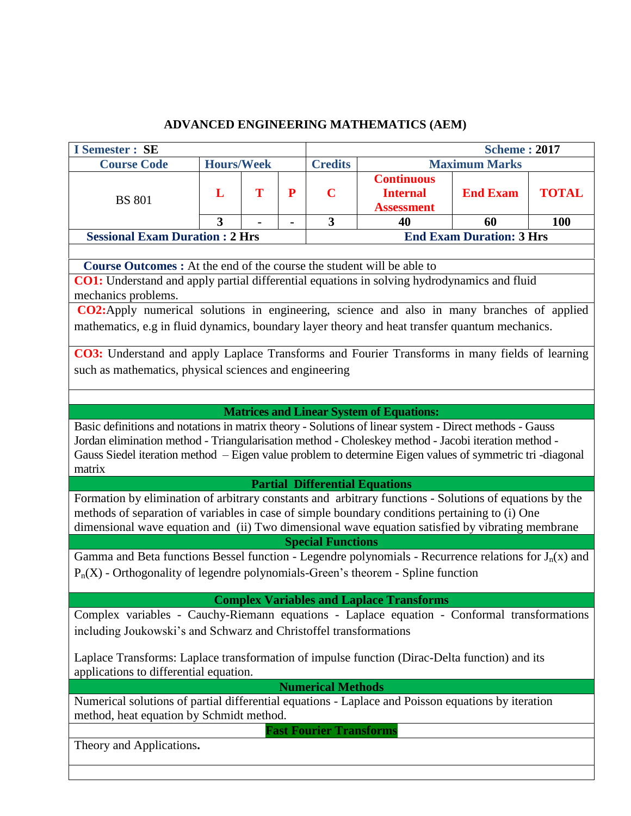## **ADVANCED ENGINEERING MATHEMATICS (AEM)**

| <b>I</b> Semester : SE                                                                                                                  |                                                                                                                                                |   |   |                                |                                                           | <b>Scheme: 2017</b>             |              |  |  |  |
|-----------------------------------------------------------------------------------------------------------------------------------------|------------------------------------------------------------------------------------------------------------------------------------------------|---|---|--------------------------------|-----------------------------------------------------------|---------------------------------|--------------|--|--|--|
| <b>Course Code</b>                                                                                                                      | <b>Hours/Week</b>                                                                                                                              |   |   | <b>Credits</b>                 |                                                           | <b>Maximum Marks</b>            |              |  |  |  |
| <b>BS 801</b>                                                                                                                           | L                                                                                                                                              | T | P | $\mathbf C$                    | <b>Continuous</b><br><b>Internal</b><br><b>Assessment</b> | <b>End Exam</b>                 | <b>TOTAL</b> |  |  |  |
|                                                                                                                                         | $\overline{\mathbf{3}}$                                                                                                                        |   |   | $\overline{\mathbf{3}}$        | 40<br>60<br><b>100</b>                                    |                                 |              |  |  |  |
| <b>Sessional Exam Duration : 2 Hrs</b>                                                                                                  |                                                                                                                                                |   |   |                                |                                                           | <b>End Exam Duration: 3 Hrs</b> |              |  |  |  |
|                                                                                                                                         |                                                                                                                                                |   |   |                                |                                                           |                                 |              |  |  |  |
| <b>Course Outcomes :</b> At the end of the course the student will be able to                                                           |                                                                                                                                                |   |   |                                |                                                           |                                 |              |  |  |  |
| CO1: Understand and apply partial differential equations in solving hydrodynamics and fluid<br>mechanics problems.                      |                                                                                                                                                |   |   |                                |                                                           |                                 |              |  |  |  |
| CO2:Apply numerical solutions in engineering, science and also in many branches of applied                                              |                                                                                                                                                |   |   |                                |                                                           |                                 |              |  |  |  |
| mathematics, e.g in fluid dynamics, boundary layer theory and heat transfer quantum mechanics.                                          |                                                                                                                                                |   |   |                                |                                                           |                                 |              |  |  |  |
| CO3: Understand and apply Laplace Transforms and Fourier Transforms in many fields of learning                                          |                                                                                                                                                |   |   |                                |                                                           |                                 |              |  |  |  |
| such as mathematics, physical sciences and engineering                                                                                  |                                                                                                                                                |   |   |                                |                                                           |                                 |              |  |  |  |
|                                                                                                                                         |                                                                                                                                                |   |   |                                |                                                           |                                 |              |  |  |  |
|                                                                                                                                         |                                                                                                                                                |   |   |                                |                                                           |                                 |              |  |  |  |
|                                                                                                                                         |                                                                                                                                                |   |   |                                | <b>Matrices and Linear System of Equations:</b>           |                                 |              |  |  |  |
| Basic definitions and notations in matrix theory - Solutions of linear system - Direct methods - Gauss                                  |                                                                                                                                                |   |   |                                |                                                           |                                 |              |  |  |  |
| Jordan elimination method - Triangularisation method - Choleskey method - Jacobi iteration method -                                     |                                                                                                                                                |   |   |                                |                                                           |                                 |              |  |  |  |
| Gauss Siedel iteration method - Eigen value problem to determine Eigen values of symmetric tri-diagonal                                 |                                                                                                                                                |   |   |                                |                                                           |                                 |              |  |  |  |
| matrix                                                                                                                                  |                                                                                                                                                |   |   |                                |                                                           |                                 |              |  |  |  |
|                                                                                                                                         |                                                                                                                                                |   |   |                                | <b>Partial Differential Equations</b>                     |                                 |              |  |  |  |
| Formation by elimination of arbitrary constants and arbitrary functions - Solutions of equations by the                                 |                                                                                                                                                |   |   |                                |                                                           |                                 |              |  |  |  |
| methods of separation of variables in case of simple boundary conditions pertaining to (i) One                                          |                                                                                                                                                |   |   |                                |                                                           |                                 |              |  |  |  |
| dimensional wave equation and (ii) Two dimensional wave equation satisfied by vibrating membrane                                        |                                                                                                                                                |   |   |                                |                                                           |                                 |              |  |  |  |
| Gamma and Beta functions Bessel function - Legendre polynomials - Recurrence relations for $J_n(x)$ and                                 |                                                                                                                                                |   |   | <b>Special Functions</b>       |                                                           |                                 |              |  |  |  |
|                                                                                                                                         |                                                                                                                                                |   |   |                                |                                                           |                                 |              |  |  |  |
| $P_n(X)$ - Orthogonality of legendre polynomials-Green's theorem - Spline function                                                      |                                                                                                                                                |   |   |                                |                                                           |                                 |              |  |  |  |
|                                                                                                                                         |                                                                                                                                                |   |   |                                | <b>Complex Variables and Laplace Transforms</b>           |                                 |              |  |  |  |
| Complex variables - Cauchy-Riemann equations - Laplace equation - Conformal transformations                                             |                                                                                                                                                |   |   |                                |                                                           |                                 |              |  |  |  |
| including Joukowski's and Schwarz and Christoffel transformations                                                                       |                                                                                                                                                |   |   |                                |                                                           |                                 |              |  |  |  |
|                                                                                                                                         |                                                                                                                                                |   |   |                                |                                                           |                                 |              |  |  |  |
| Laplace Transforms: Laplace transformation of impulse function (Dirac-Delta function) and its<br>applications to differential equation. |                                                                                                                                                |   |   |                                |                                                           |                                 |              |  |  |  |
|                                                                                                                                         |                                                                                                                                                |   |   | <b>Numerical Methods</b>       |                                                           |                                 |              |  |  |  |
|                                                                                                                                         |                                                                                                                                                |   |   |                                |                                                           |                                 |              |  |  |  |
|                                                                                                                                         | Numerical solutions of partial differential equations - Laplace and Poisson equations by iteration<br>method, heat equation by Schmidt method. |   |   |                                |                                                           |                                 |              |  |  |  |
|                                                                                                                                         |                                                                                                                                                |   |   | <b>Fast Fourier Transforms</b> |                                                           |                                 |              |  |  |  |
| Theory and Applications.                                                                                                                |                                                                                                                                                |   |   |                                |                                                           |                                 |              |  |  |  |
|                                                                                                                                         |                                                                                                                                                |   |   |                                |                                                           |                                 |              |  |  |  |
|                                                                                                                                         |                                                                                                                                                |   |   |                                |                                                           |                                 |              |  |  |  |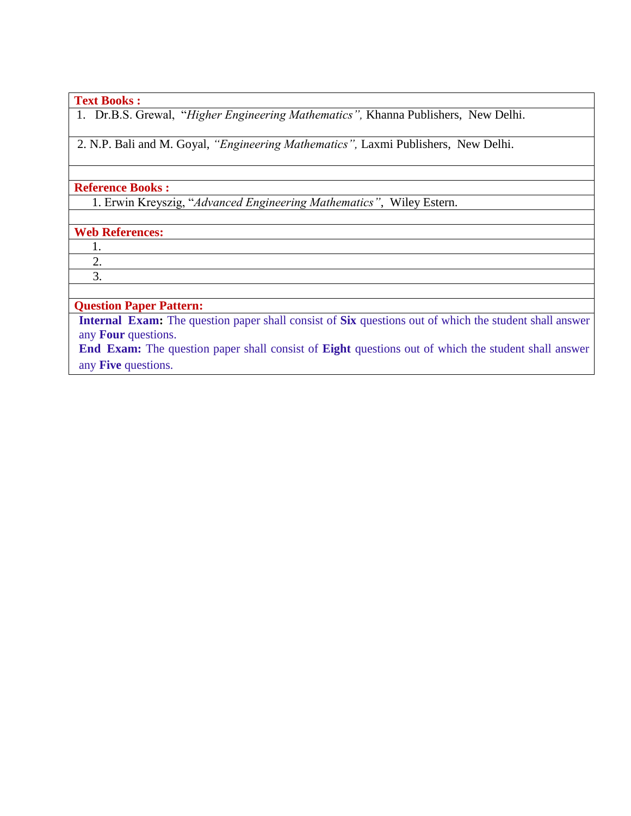#### **Text Books :**

1. Dr.B.S. Grewal, "*Higher Engineering Mathematics",* Khanna Publishers, New Delhi.

2. N.P. Bali and M. Goyal, *"Engineering Mathematics",* Laxmi Publishers, New Delhi.

#### **Reference Books :**

1. Erwin Kreyszig, "*Advanced Engineering Mathematics"*, Wiley Estern.

### **Web References:**

1.

 2. 3.

## **Question Paper Pattern:**

**Internal Exam:** The question paper shall consist of **Six** questions out of which the student shall answer any **Four** questions.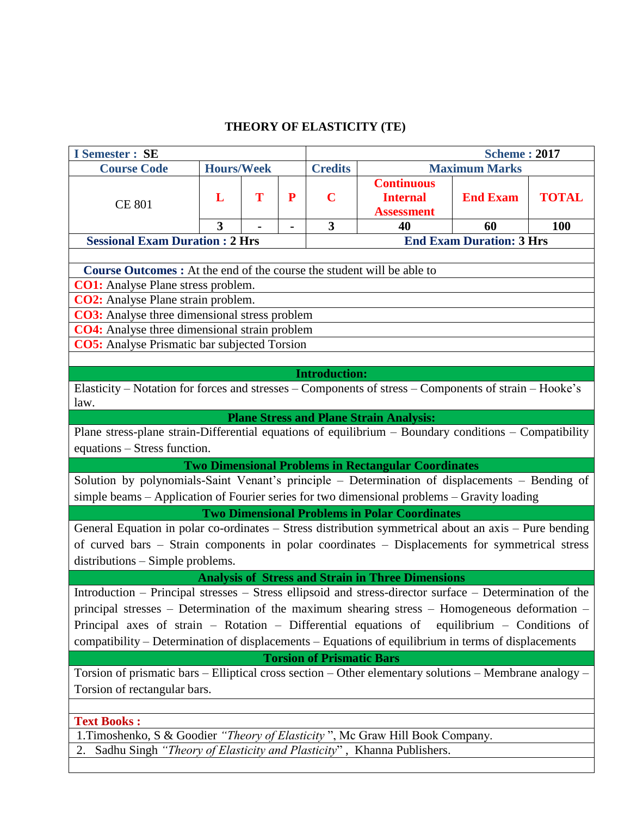## **THEORY OF ELASTICITY (TE)**

| <b>I</b> Semester : SE                                                                                                                  |                                                                                                     |   |   |                      |                                                            | <b>Scheme: 2017</b>                   |              |  |  |
|-----------------------------------------------------------------------------------------------------------------------------------------|-----------------------------------------------------------------------------------------------------|---|---|----------------------|------------------------------------------------------------|---------------------------------------|--------------|--|--|
| <b>Course Code</b>                                                                                                                      | <b>Hours/Week</b>                                                                                   |   |   | <b>Credits</b>       |                                                            | <b>Maximum Marks</b>                  |              |  |  |
| <b>CE 801</b>                                                                                                                           | L<br>3                                                                                              | T | P | $\mathbf C$<br>3     | <b>Continuous</b><br><b>Internal</b><br><b>Assessment</b>  | <b>End Exam</b>                       | <b>TOTAL</b> |  |  |
| <b>Sessional Exam Duration : 2 Hrs</b>                                                                                                  |                                                                                                     |   |   |                      | 40                                                         | 60<br><b>End Exam Duration: 3 Hrs</b> | 100          |  |  |
|                                                                                                                                         |                                                                                                     |   |   |                      |                                                            |                                       |              |  |  |
| <b>Course Outcomes :</b> At the end of the course the student will be able to                                                           |                                                                                                     |   |   |                      |                                                            |                                       |              |  |  |
| <b>CO1:</b> Analyse Plane stress problem.                                                                                               |                                                                                                     |   |   |                      |                                                            |                                       |              |  |  |
| CO2: Analyse Plane strain problem.                                                                                                      |                                                                                                     |   |   |                      |                                                            |                                       |              |  |  |
| <b>CO3:</b> Analyse three dimensional stress problem                                                                                    |                                                                                                     |   |   |                      |                                                            |                                       |              |  |  |
| <b>CO4:</b> Analyse three dimensional strain problem                                                                                    |                                                                                                     |   |   |                      |                                                            |                                       |              |  |  |
| <b>CO5:</b> Analyse Prismatic bar subjected Torsion                                                                                     |                                                                                                     |   |   |                      |                                                            |                                       |              |  |  |
|                                                                                                                                         |                                                                                                     |   |   |                      |                                                            |                                       |              |  |  |
|                                                                                                                                         |                                                                                                     |   |   | <b>Introduction:</b> |                                                            |                                       |              |  |  |
| Elasticity – Notation for forces and stresses – Components of stress – Components of strain – Hooke's                                   |                                                                                                     |   |   |                      |                                                            |                                       |              |  |  |
| law.                                                                                                                                    |                                                                                                     |   |   |                      |                                                            |                                       |              |  |  |
|                                                                                                                                         |                                                                                                     |   |   |                      | <b>Plane Stress and Plane Strain Analysis:</b>             |                                       |              |  |  |
| Plane stress-plane strain-Differential equations of equilibrium $-$ Boundary conditions $-$ Compatibility                               |                                                                                                     |   |   |                      |                                                            |                                       |              |  |  |
| equations – Stress function.                                                                                                            |                                                                                                     |   |   |                      |                                                            |                                       |              |  |  |
|                                                                                                                                         |                                                                                                     |   |   |                      | <b>Two Dimensional Problems in Rectangular Coordinates</b> |                                       |              |  |  |
| Solution by polynomials-Saint Venant's principle - Determination of displacements - Bending of                                          |                                                                                                     |   |   |                      |                                                            |                                       |              |  |  |
| simple beams - Application of Fourier series for two dimensional problems - Gravity loading                                             |                                                                                                     |   |   |                      |                                                            |                                       |              |  |  |
|                                                                                                                                         |                                                                                                     |   |   |                      | <b>Two Dimensional Problems in Polar Coordinates</b>       |                                       |              |  |  |
| General Equation in polar co-ordinates – Stress distribution symmetrical about an axis – Pure bending                                   |                                                                                                     |   |   |                      |                                                            |                                       |              |  |  |
| of curved bars - Strain components in polar coordinates - Displacements for symmetrical stress                                          |                                                                                                     |   |   |                      |                                                            |                                       |              |  |  |
| distributions – Simple problems.                                                                                                        |                                                                                                     |   |   |                      |                                                            |                                       |              |  |  |
|                                                                                                                                         |                                                                                                     |   |   |                      | <b>Analysis of Stress and Strain in Three Dimensions</b>   |                                       |              |  |  |
| Introduction – Principal stresses – Stress ellipsoid and stress-director surface – Determination of the                                 |                                                                                                     |   |   |                      |                                                            |                                       |              |  |  |
| principal stresses – Determination of the maximum shearing stress – Homogeneous deformation –                                           |                                                                                                     |   |   |                      |                                                            |                                       |              |  |  |
| Principal axes of strain - Rotation - Differential equations of equilibrium - Conditions of                                             |                                                                                                     |   |   |                      |                                                            |                                       |              |  |  |
|                                                                                                                                         |                                                                                                     |   |   |                      |                                                            |                                       |              |  |  |
| compatibility – Determination of displacements – Equations of equilibrium in terms of displacements<br><b>Torsion of Prismatic Bars</b> |                                                                                                     |   |   |                      |                                                            |                                       |              |  |  |
|                                                                                                                                         |                                                                                                     |   |   |                      |                                                            |                                       |              |  |  |
| Torsion of prismatic bars – Elliptical cross section – Other elementary solutions – Membrane analogy –                                  |                                                                                                     |   |   |                      |                                                            |                                       |              |  |  |
| Torsion of rectangular bars.                                                                                                            |                                                                                                     |   |   |                      |                                                            |                                       |              |  |  |
|                                                                                                                                         |                                                                                                     |   |   |                      |                                                            |                                       |              |  |  |
|                                                                                                                                         | <b>Text Books:</b><br>1. Timoshenko, S & Goodier "Theory of Elasticity", Mc Graw Hill Book Company. |   |   |                      |                                                            |                                       |              |  |  |
|                                                                                                                                         |                                                                                                     |   |   |                      |                                                            |                                       |              |  |  |
| 2. Sadhu Singh "Theory of Elasticity and Plasticity", Khanna Publishers.                                                                |                                                                                                     |   |   |                      |                                                            |                                       |              |  |  |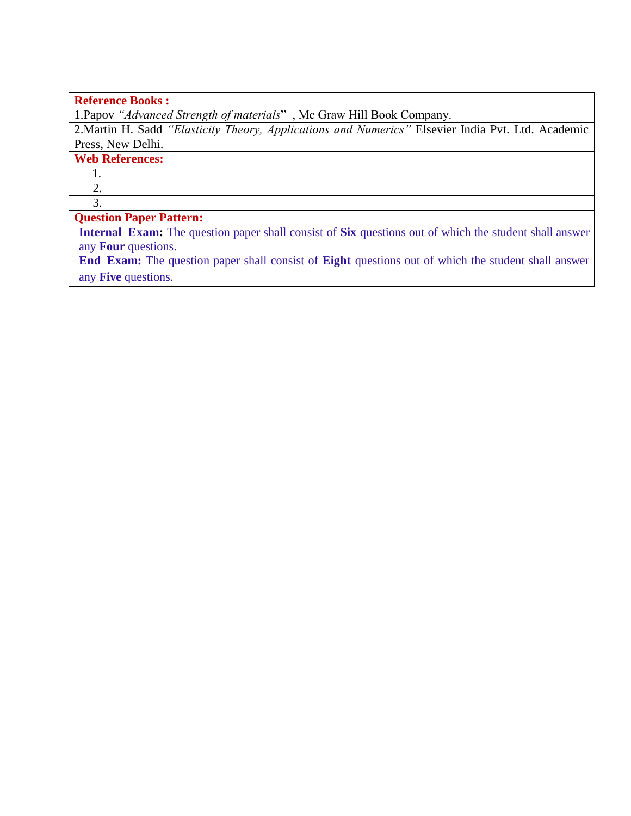## **Reference Books :**

1.Papov *"Advanced Strength of materials*" , Mc Graw Hill Book Company.

2.Martin H. Sadd *"Elasticity Theory, Applications and Numerics"* Elsevier India Pvt. Ltd. Academic Press, New Delhi.

## **Web References:**

1. 2.

3.

## **Question Paper Pattern:**

**Internal Exam:** The question paper shall consist of **Six** questions out of which the student shall answer any **Four** questions.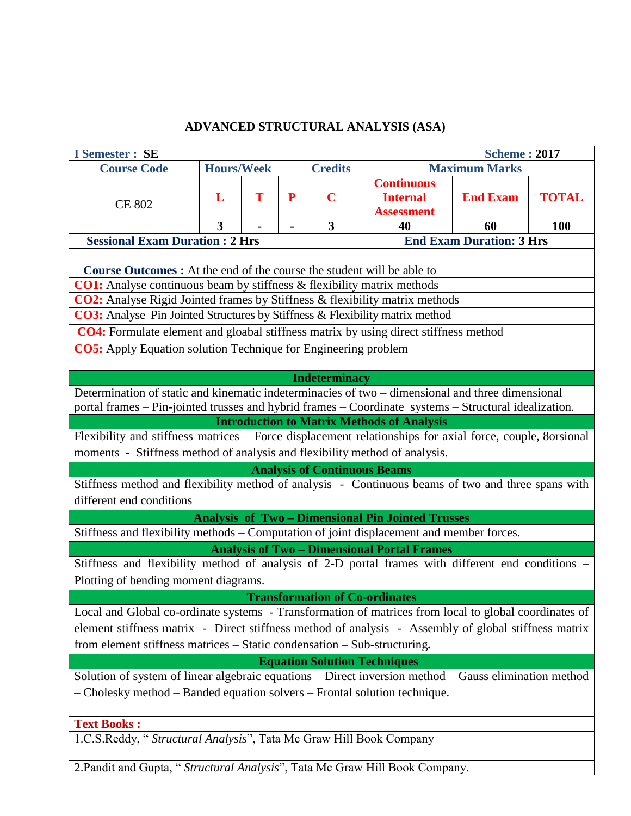## **ADVANCED STRUCTURAL ANALYSIS (ASA)**

| <b>I</b> Semester : SE                                                                                                                                     |                         |   |                |                         |                                                        | <b>Scheme: 2017</b>             |              |  |  |  |
|------------------------------------------------------------------------------------------------------------------------------------------------------------|-------------------------|---|----------------|-------------------------|--------------------------------------------------------|---------------------------------|--------------|--|--|--|
| <b>Course Code</b>                                                                                                                                         | <b>Hours/Week</b>       |   |                | <b>Credits</b>          |                                                        | <b>Maximum Marks</b>            |              |  |  |  |
|                                                                                                                                                            |                         |   |                |                         | <b>Continuous</b>                                      |                                 |              |  |  |  |
| <b>CE 802</b>                                                                                                                                              | L                       | T | P              | $\mathbf C$             | <b>Internal</b>                                        | <b>End Exam</b>                 | <b>TOTAL</b> |  |  |  |
|                                                                                                                                                            |                         |   |                |                         | <b>Assessment</b>                                      |                                 |              |  |  |  |
|                                                                                                                                                            | $\overline{\mathbf{3}}$ |   | $\blacksquare$ | $\overline{\mathbf{3}}$ | 40                                                     | 60                              | 100          |  |  |  |
| <b>Sessional Exam Duration : 2 Hrs</b>                                                                                                                     |                         |   |                |                         |                                                        | <b>End Exam Duration: 3 Hrs</b> |              |  |  |  |
|                                                                                                                                                            |                         |   |                |                         |                                                        |                                 |              |  |  |  |
| <b>Course Outcomes:</b> At the end of the course the student will be able to                                                                               |                         |   |                |                         |                                                        |                                 |              |  |  |  |
| CO1: Analyse continuous beam by stiffness & flexibility matrix methods                                                                                     |                         |   |                |                         |                                                        |                                 |              |  |  |  |
| <b>CO2:</b> Analyse Rigid Jointed frames by Stiffness & flexibility matrix methods                                                                         |                         |   |                |                         |                                                        |                                 |              |  |  |  |
| <b>CO3:</b> Analyse Pin Jointed Structures by Stiffness & Flexibility matrix method                                                                        |                         |   |                |                         |                                                        |                                 |              |  |  |  |
| CO4: Formulate element and gloabal stiffness matrix by using direct stiffness method                                                                       |                         |   |                |                         |                                                        |                                 |              |  |  |  |
| <b>CO5:</b> Apply Equation solution Technique for Engineering problem                                                                                      |                         |   |                |                         |                                                        |                                 |              |  |  |  |
|                                                                                                                                                            |                         |   |                |                         |                                                        |                                 |              |  |  |  |
|                                                                                                                                                            |                         |   |                | <b>Indeterminacy</b>    |                                                        |                                 |              |  |  |  |
| Determination of static and kinematic indeterminacies of two – dimensional and three dimensional                                                           |                         |   |                |                         |                                                        |                                 |              |  |  |  |
| portal frames - Pin-jointed trusses and hybrid frames - Coordinate systems - Structural idealization.<br><b>Introduction to Matrix Methods of Analysis</b> |                         |   |                |                         |                                                        |                                 |              |  |  |  |
|                                                                                                                                                            |                         |   |                |                         |                                                        |                                 |              |  |  |  |
| Flexibility and stiffness matrices – Force displacement relationships for axial force, couple, 8orsional                                                   |                         |   |                |                         |                                                        |                                 |              |  |  |  |
| moments - Stiffness method of analysis and flexibility method of analysis.                                                                                 |                         |   |                |                         |                                                        |                                 |              |  |  |  |
|                                                                                                                                                            |                         |   |                |                         | <b>Analysis of Continuous Beams</b>                    |                                 |              |  |  |  |
| Stiffness method and flexibility method of analysis - Continuous beams of two and three spans with                                                         |                         |   |                |                         |                                                        |                                 |              |  |  |  |
| different end conditions                                                                                                                                   |                         |   |                |                         |                                                        |                                 |              |  |  |  |
|                                                                                                                                                            |                         |   |                |                         | <b>Analysis of Two-Dimensional Pin Jointed Trusses</b> |                                 |              |  |  |  |
| Stiffness and flexibility methods - Computation of joint displacement and member forces.                                                                   |                         |   |                |                         |                                                        |                                 |              |  |  |  |
|                                                                                                                                                            |                         |   |                |                         | <b>Analysis of Two - Dimensional Portal Frames</b>     |                                 |              |  |  |  |
| Stiffness and flexibility method of analysis of 2-D portal frames with different end conditions -                                                          |                         |   |                |                         |                                                        |                                 |              |  |  |  |
| Plotting of bending moment diagrams.                                                                                                                       |                         |   |                |                         |                                                        |                                 |              |  |  |  |
|                                                                                                                                                            |                         |   |                |                         | <b>Transformation of Co-ordinates</b>                  |                                 |              |  |  |  |
| Local and Global co-ordinate systems - Transformation of matrices from local to global coordinates of                                                      |                         |   |                |                         |                                                        |                                 |              |  |  |  |
| element stiffness matrix - Direct stiffness method of analysis - Assembly of global stiffness matrix                                                       |                         |   |                |                         |                                                        |                                 |              |  |  |  |
| from element stiffness matrices - Static condensation - Sub-structuring.                                                                                   |                         |   |                |                         |                                                        |                                 |              |  |  |  |
|                                                                                                                                                            |                         |   |                |                         | <b>Equation Solution Techniques</b>                    |                                 |              |  |  |  |
| Solution of system of linear algebraic equations – Direct inversion method – Gauss elimination method                                                      |                         |   |                |                         |                                                        |                                 |              |  |  |  |
| - Cholesky method - Banded equation solvers - Frontal solution technique.                                                                                  |                         |   |                |                         |                                                        |                                 |              |  |  |  |
|                                                                                                                                                            |                         |   |                |                         |                                                        |                                 |              |  |  |  |
| <b>Text Books:</b>                                                                                                                                         |                         |   |                |                         |                                                        |                                 |              |  |  |  |
| 1.C.S.Reddy, "Structural Analysis", Tata Mc Graw Hill Book Company                                                                                         |                         |   |                |                         |                                                        |                                 |              |  |  |  |
|                                                                                                                                                            |                         |   |                |                         |                                                        |                                 |              |  |  |  |

2.Pandit and Gupta, " *Structural Analysis*", Tata Mc Graw Hill Book Company.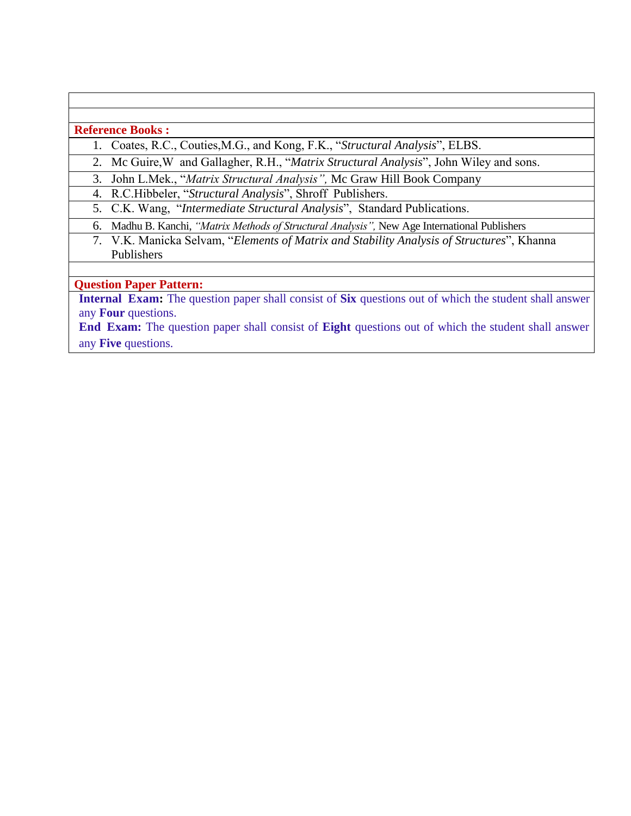#### **Reference Books :**

- 1. Coates, R.C., Couties,M.G., and Kong, F.K., "*Structural Analysis*", ELBS.
- 2. Mc Guire,W and Gallagher, R.H., "*Matrix Structural Analysis*", John Wiley and sons.

3. John L.Mek., "*Matrix Structural Analysis",* Mc Graw Hill Book Company

4. R.C.Hibbeler, "*Structural Analysis*", Shroff Publishers.

- 5. C.K. Wang, "*Intermediate Structural Analysis*", Standard Publications.
- 6. Madhu B. Kanchi, *"Matrix Methods of Structural Analysis",* New Age International Publishers
	- 7. V.K. Manicka Selvam, "*Elements of Matrix and Stability Analysis of Structures*", Khanna Publishers

## **Question Paper Pattern:**

**Internal Exam:** The question paper shall consist of **Six** questions out of which the student shall answer any **Four** questions.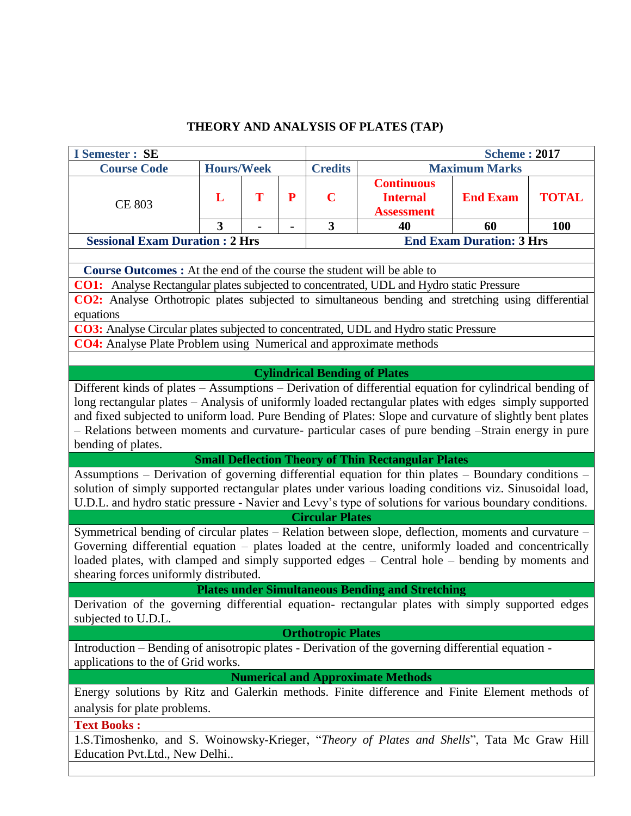## **THEORY AND ANALYSIS OF PLATES (TAP)**

| <b>I</b> Semester : SE                                                                                                                                                                                                                                                                                                                                                                                                                                    |                   |   |   |                                      |                                                           | <b>Scheme: 2017</b>             |              |  |  |  |  |
|-----------------------------------------------------------------------------------------------------------------------------------------------------------------------------------------------------------------------------------------------------------------------------------------------------------------------------------------------------------------------------------------------------------------------------------------------------------|-------------------|---|---|--------------------------------------|-----------------------------------------------------------|---------------------------------|--------------|--|--|--|--|
| <b>Course Code</b>                                                                                                                                                                                                                                                                                                                                                                                                                                        | <b>Hours/Week</b> |   |   | <b>Credits</b>                       |                                                           | <b>Maximum Marks</b>            |              |  |  |  |  |
| <b>CE 803</b>                                                                                                                                                                                                                                                                                                                                                                                                                                             | L                 | T | P | $\mathbf C$                          | <b>Continuous</b><br><b>Internal</b><br><b>Assessment</b> | <b>End Exam</b>                 | <b>TOTAL</b> |  |  |  |  |
|                                                                                                                                                                                                                                                                                                                                                                                                                                                           | 3                 |   |   | 3                                    | 40                                                        | 60                              | <b>100</b>   |  |  |  |  |
| <b>Sessional Exam Duration : 2 Hrs</b>                                                                                                                                                                                                                                                                                                                                                                                                                    |                   |   |   |                                      |                                                           | <b>End Exam Duration: 3 Hrs</b> |              |  |  |  |  |
|                                                                                                                                                                                                                                                                                                                                                                                                                                                           |                   |   |   |                                      |                                                           |                                 |              |  |  |  |  |
| <b>Course Outcomes :</b> At the end of the course the student will be able to                                                                                                                                                                                                                                                                                                                                                                             |                   |   |   |                                      |                                                           |                                 |              |  |  |  |  |
| <b>CO1:</b> Analyse Rectangular plates subjected to concentrated, UDL and Hydro static Pressure                                                                                                                                                                                                                                                                                                                                                           |                   |   |   |                                      |                                                           |                                 |              |  |  |  |  |
| CO2: Analyse Orthotropic plates subjected to simultaneous bending and stretching using differential<br>equations                                                                                                                                                                                                                                                                                                                                          |                   |   |   |                                      |                                                           |                                 |              |  |  |  |  |
| CO3: Analyse Circular plates subjected to concentrated, UDL and Hydro static Pressure                                                                                                                                                                                                                                                                                                                                                                     |                   |   |   |                                      |                                                           |                                 |              |  |  |  |  |
| <b>CO4:</b> Analyse Plate Problem using Numerical and approximate methods                                                                                                                                                                                                                                                                                                                                                                                 |                   |   |   |                                      |                                                           |                                 |              |  |  |  |  |
|                                                                                                                                                                                                                                                                                                                                                                                                                                                           |                   |   |   |                                      |                                                           |                                 |              |  |  |  |  |
|                                                                                                                                                                                                                                                                                                                                                                                                                                                           |                   |   |   | <b>Cylindrical Bending of Plates</b> |                                                           |                                 |              |  |  |  |  |
| Different kinds of plates - Assumptions - Derivation of differential equation for cylindrical bending of<br>long rectangular plates – Analysis of uniformly loaded rectangular plates with edges simply supported<br>and fixed subjected to uniform load. Pure Bending of Plates: Slope and curvature of slightly bent plates<br>- Relations between moments and curvature- particular cases of pure bending -Strain energy in pure<br>bending of plates. |                   |   |   |                                      |                                                           |                                 |              |  |  |  |  |
|                                                                                                                                                                                                                                                                                                                                                                                                                                                           |                   |   |   |                                      | <b>Small Deflection Theory of Thin Rectangular Plates</b> |                                 |              |  |  |  |  |
| Assumptions - Derivation of governing differential equation for thin plates - Boundary conditions -<br>solution of simply supported rectangular plates under various loading conditions viz. Sinusoidal load,<br>U.D.L. and hydro static pressure - Navier and Levy's type of solutions for various boundary conditions.                                                                                                                                  |                   |   |   |                                      |                                                           |                                 |              |  |  |  |  |
| Symmetrical bending of circular plates - Relation between slope, deflection, moments and curvature -<br>Governing differential equation - plates loaded at the centre, uniformly loaded and concentrically<br>loaded plates, with clamped and simply supported edges – Central hole – bending by moments and<br>shearing forces uniformly distributed.                                                                                                    |                   |   |   | <b>Circular Plates</b>               |                                                           |                                 |              |  |  |  |  |
|                                                                                                                                                                                                                                                                                                                                                                                                                                                           |                   |   |   |                                      | <b>Plates under Simultaneous Bending and Stretching</b>   |                                 |              |  |  |  |  |
| Derivation of the governing differential equation- rectangular plates with simply supported edges<br>subjected to U.D.L.                                                                                                                                                                                                                                                                                                                                  |                   |   |   |                                      |                                                           |                                 |              |  |  |  |  |
|                                                                                                                                                                                                                                                                                                                                                                                                                                                           |                   |   |   | <b>Orthotropic Plates</b>            |                                                           |                                 |              |  |  |  |  |
| Introduction – Bending of anisotropic plates - Derivation of the governing differential equation -<br>applications to the of Grid works.                                                                                                                                                                                                                                                                                                                  |                   |   |   |                                      |                                                           |                                 |              |  |  |  |  |
|                                                                                                                                                                                                                                                                                                                                                                                                                                                           |                   |   |   |                                      | <b>Numerical and Approximate Methods</b>                  |                                 |              |  |  |  |  |
| Energy solutions by Ritz and Galerkin methods. Finite difference and Finite Element methods of<br>analysis for plate problems.                                                                                                                                                                                                                                                                                                                            |                   |   |   |                                      |                                                           |                                 |              |  |  |  |  |
| <b>Text Books:</b><br>1.S.Timoshenko, and S. Woinowsky-Krieger, "Theory of Plates and Shells", Tata Mc Graw Hill<br>Education Pvt.Ltd., New Delhi                                                                                                                                                                                                                                                                                                         |                   |   |   |                                      |                                                           |                                 |              |  |  |  |  |
|                                                                                                                                                                                                                                                                                                                                                                                                                                                           |                   |   |   |                                      |                                                           |                                 |              |  |  |  |  |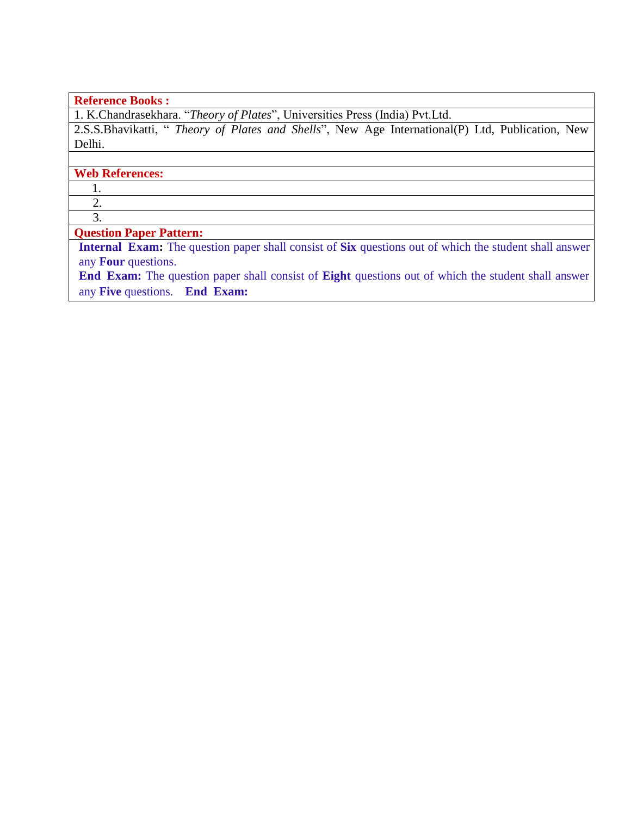## **Reference Books :**

1. K.Chandrasekhara. "*Theory of Plates*", Universities Press (India) Pvt.Ltd.

2.S.S.Bhavikatti, " *Theory of Plates and Shells*", New Age International(P) Ltd, Publication, New Delhi.

#### **Web References:**

1.

 2. 3.

#### **Question Paper Pattern:**

**Internal Exam:** The question paper shall consist of **Six** questions out of which the student shall answer any **Four** questions.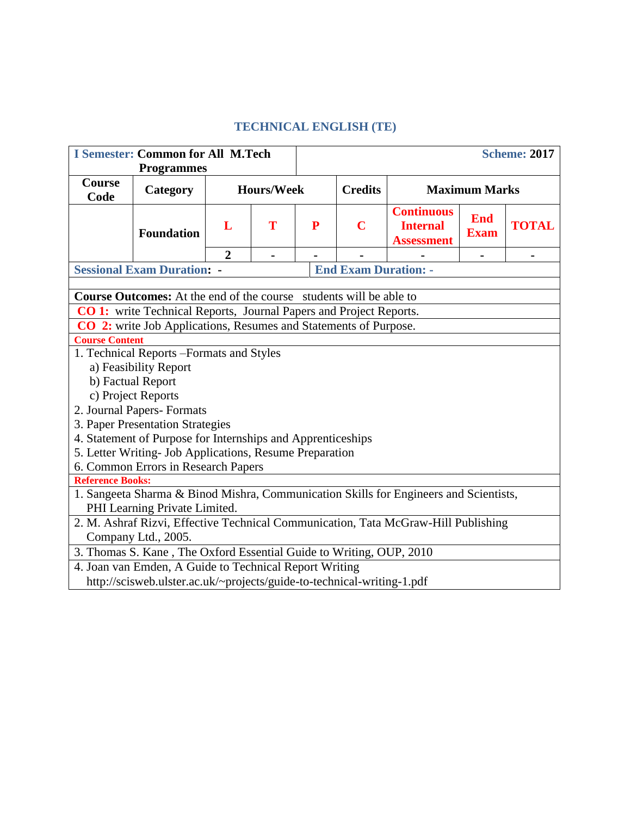## **TECHNICAL ENGLISH (TE)**

| <b>I Semester: Common for All M.Tech</b><br><b>Programmes</b>                                                                                 |                                                                                                           |                |                                                             |           |                             |                                                           |                           | <b>Scheme: 2017</b> |  |  |  |
|-----------------------------------------------------------------------------------------------------------------------------------------------|-----------------------------------------------------------------------------------------------------------|----------------|-------------------------------------------------------------|-----------|-----------------------------|-----------------------------------------------------------|---------------------------|---------------------|--|--|--|
| <b>Course</b>                                                                                                                                 |                                                                                                           |                |                                                             |           |                             |                                                           |                           |                     |  |  |  |
| Code                                                                                                                                          | Category                                                                                                  |                | <b>Hours/Week</b><br><b>Credits</b><br><b>Maximum Marks</b> |           |                             |                                                           |                           |                     |  |  |  |
|                                                                                                                                               | <b>Foundation</b>                                                                                         | L              | T                                                           | ${\bf P}$ | $\mathbf C$                 | <b>Continuous</b><br><b>Internal</b><br><b>Assessment</b> | <b>End</b><br><b>Exam</b> | <b>TOTAL</b>        |  |  |  |
|                                                                                                                                               |                                                                                                           | $\overline{2}$ |                                                             |           |                             |                                                           |                           |                     |  |  |  |
|                                                                                                                                               | <b>Sessional Exam Duration: -</b>                                                                         |                |                                                             |           | <b>End Exam Duration: -</b> |                                                           |                           |                     |  |  |  |
|                                                                                                                                               |                                                                                                           |                |                                                             |           |                             |                                                           |                           |                     |  |  |  |
| <b>Course Outcomes:</b> At the end of the course students will be able to                                                                     |                                                                                                           |                |                                                             |           |                             |                                                           |                           |                     |  |  |  |
| CO 1: write Technical Reports, Journal Papers and Project Reports.<br><b>CO 2:</b> write Job Applications, Resumes and Statements of Purpose. |                                                                                                           |                |                                                             |           |                             |                                                           |                           |                     |  |  |  |
| <b>Course Content</b>                                                                                                                         |                                                                                                           |                |                                                             |           |                             |                                                           |                           |                     |  |  |  |
| 1. Technical Reports - Formats and Styles                                                                                                     |                                                                                                           |                |                                                             |           |                             |                                                           |                           |                     |  |  |  |
|                                                                                                                                               | a) Feasibility Report                                                                                     |                |                                                             |           |                             |                                                           |                           |                     |  |  |  |
|                                                                                                                                               | b) Factual Report                                                                                         |                |                                                             |           |                             |                                                           |                           |                     |  |  |  |
|                                                                                                                                               | c) Project Reports                                                                                        |                |                                                             |           |                             |                                                           |                           |                     |  |  |  |
|                                                                                                                                               | 2. Journal Papers- Formats                                                                                |                |                                                             |           |                             |                                                           |                           |                     |  |  |  |
|                                                                                                                                               | 3. Paper Presentation Strategies                                                                          |                |                                                             |           |                             |                                                           |                           |                     |  |  |  |
|                                                                                                                                               | 4. Statement of Purpose for Internships and Apprenticeships                                               |                |                                                             |           |                             |                                                           |                           |                     |  |  |  |
|                                                                                                                                               | 5. Letter Writing- Job Applications, Resume Preparation                                                   |                |                                                             |           |                             |                                                           |                           |                     |  |  |  |
|                                                                                                                                               | 6. Common Errors in Research Papers                                                                       |                |                                                             |           |                             |                                                           |                           |                     |  |  |  |
| <b>Reference Books:</b>                                                                                                                       |                                                                                                           |                |                                                             |           |                             |                                                           |                           |                     |  |  |  |
|                                                                                                                                               | 1. Sangeeta Sharma & Binod Mishra, Communication Skills for Engineers and Scientists,                     |                |                                                             |           |                             |                                                           |                           |                     |  |  |  |
|                                                                                                                                               | PHI Learning Private Limited.                                                                             |                |                                                             |           |                             |                                                           |                           |                     |  |  |  |
|                                                                                                                                               | 2. M. Ashraf Rizvi, Effective Technical Communication, Tata McGraw-Hill Publishing<br>Company Ltd., 2005. |                |                                                             |           |                             |                                                           |                           |                     |  |  |  |
|                                                                                                                                               | 3. Thomas S. Kane, The Oxford Essential Guide to Writing, OUP, 2010                                       |                |                                                             |           |                             |                                                           |                           |                     |  |  |  |
|                                                                                                                                               | 4. Joan van Emden, A Guide to Technical Report Writing                                                    |                |                                                             |           |                             |                                                           |                           |                     |  |  |  |
|                                                                                                                                               | http://scisweb.ulster.ac.uk/~projects/guide-to-technical-writing-1.pdf                                    |                |                                                             |           |                             |                                                           |                           |                     |  |  |  |
|                                                                                                                                               |                                                                                                           |                |                                                             |           |                             |                                                           |                           |                     |  |  |  |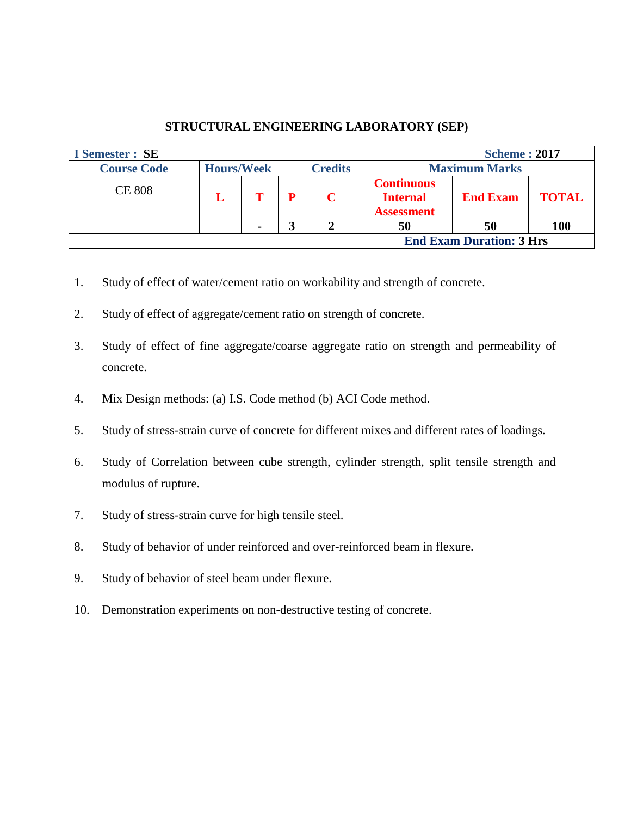## **STRUCTURAL ENGINEERING LABORATORY (SEP)**

| <b>I</b> Semester : SE |                   |  |                |                                                           | <b>Scheme: 2017</b>             |              |
|------------------------|-------------------|--|----------------|-----------------------------------------------------------|---------------------------------|--------------|
| <b>Course Code</b>     | <b>Hours/Week</b> |  | <b>Credits</b> |                                                           | <b>Maximum Marks</b>            |              |
| <b>CE 808</b>          |                   |  | C              | <b>Continuous</b><br><b>Internal</b><br><b>Assessment</b> | <b>End Exam</b>                 | <b>TOTAL</b> |
|                        |                   |  |                | 50                                                        | 50                              | <b>100</b>   |
|                        |                   |  |                |                                                           | <b>End Exam Duration: 3 Hrs</b> |              |

- 1. Study of effect of water/cement ratio on workability and strength of concrete.
- 2. Study of effect of aggregate/cement ratio on strength of concrete.
- 3. Study of effect of fine aggregate/coarse aggregate ratio on strength and permeability of concrete.
- 4. Mix Design methods: (a) I.S. Code method (b) ACI Code method.
- 5. Study of stress-strain curve of concrete for different mixes and different rates of loadings.
- 6. Study of Correlation between cube strength, cylinder strength, split tensile strength and modulus of rupture.
- 7. Study of stress-strain curve for high tensile steel.
- 8. Study of behavior of under reinforced and over-reinforced beam in flexure.
- 9. Study of behavior of steel beam under flexure.
- 10. Demonstration experiments on non-destructive testing of concrete.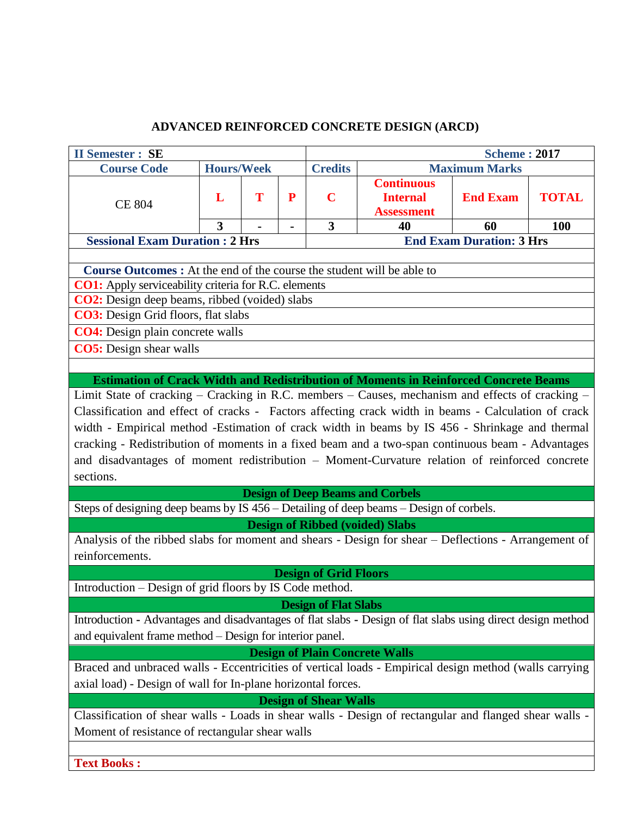# **ADVANCED REINFORCED CONCRETE DESIGN (ARCD)**

| <b>II Semester : SE</b>                                                                                     |                   |   |              |                              |                                                           | <b>Scheme: 2017</b>             |              |  |  |  |
|-------------------------------------------------------------------------------------------------------------|-------------------|---|--------------|------------------------------|-----------------------------------------------------------|---------------------------------|--------------|--|--|--|
| <b>Course Code</b>                                                                                          | <b>Hours/Week</b> |   |              | <b>Credits</b>               |                                                           | <b>Maximum Marks</b>            |              |  |  |  |
| <b>CE 804</b>                                                                                               | L                 | T | $\mathbf{P}$ | $\mathbf C$                  | <b>Continuous</b><br><b>Internal</b><br><b>Assessment</b> | <b>End Exam</b>                 | <b>TOTAL</b> |  |  |  |
|                                                                                                             | 3                 |   |              | 3                            | 40                                                        | 60                              | 100          |  |  |  |
| <b>Sessional Exam Duration : 2 Hrs</b>                                                                      |                   |   |              |                              |                                                           | <b>End Exam Duration: 3 Hrs</b> |              |  |  |  |
|                                                                                                             |                   |   |              |                              |                                                           |                                 |              |  |  |  |
| <b>Course Outcomes:</b> At the end of the course the student will be able to                                |                   |   |              |                              |                                                           |                                 |              |  |  |  |
| <b>CO1:</b> Apply serviceability criteria for R.C. elements                                                 |                   |   |              |                              |                                                           |                                 |              |  |  |  |
| <b>CO2:</b> Design deep beams, ribbed (voided) slabs                                                        |                   |   |              |                              |                                                           |                                 |              |  |  |  |
| <b>CO3:</b> Design Grid floors, flat slabs                                                                  |                   |   |              |                              |                                                           |                                 |              |  |  |  |
| <b>CO4:</b> Design plain concrete walls                                                                     |                   |   |              |                              |                                                           |                                 |              |  |  |  |
| <b>CO5</b> : Design shear walls                                                                             |                   |   |              |                              |                                                           |                                 |              |  |  |  |
|                                                                                                             |                   |   |              |                              |                                                           |                                 |              |  |  |  |
| <b>Estimation of Crack Width and Redistribution of Moments in Reinforced Concrete Beams</b>                 |                   |   |              |                              |                                                           |                                 |              |  |  |  |
| Limit State of cracking - Cracking in R.C. members - Causes, mechanism and effects of cracking -            |                   |   |              |                              |                                                           |                                 |              |  |  |  |
| Classification and effect of cracks - Factors affecting crack width in beams - Calculation of crack         |                   |   |              |                              |                                                           |                                 |              |  |  |  |
| width - Empirical method -Estimation of crack width in beams by IS 456 - Shrinkage and thermal              |                   |   |              |                              |                                                           |                                 |              |  |  |  |
| cracking - Redistribution of moments in a fixed beam and a two-span continuous beam - Advantages            |                   |   |              |                              |                                                           |                                 |              |  |  |  |
| and disadvantages of moment redistribution - Moment-Curvature relation of reinforced concrete               |                   |   |              |                              |                                                           |                                 |              |  |  |  |
| sections.                                                                                                   |                   |   |              |                              |                                                           |                                 |              |  |  |  |
|                                                                                                             |                   |   |              |                              | <b>Design of Deep Beams and Corbels</b>                   |                                 |              |  |  |  |
| Steps of designing deep beams by IS 456 – Detailing of deep beams – Design of corbels.                      |                   |   |              |                              |                                                           |                                 |              |  |  |  |
|                                                                                                             |                   |   |              |                              | <b>Design of Ribbed (voided) Slabs</b>                    |                                 |              |  |  |  |
| Analysis of the ribbed slabs for moment and shears - Design for shear – Deflections - Arrangement of        |                   |   |              |                              |                                                           |                                 |              |  |  |  |
| reinforcements.                                                                                             |                   |   |              |                              |                                                           |                                 |              |  |  |  |
|                                                                                                             |                   |   |              | <b>Design of Grid Floors</b> |                                                           |                                 |              |  |  |  |
| Introduction - Design of grid floors by IS Code method.                                                     |                   |   |              |                              |                                                           |                                 |              |  |  |  |
|                                                                                                             |                   |   |              | <b>Design of Flat Slabs</b>  |                                                           |                                 |              |  |  |  |
| Introduction - Advantages and disadvantages of flat slabs - Design of flat slabs using direct design method |                   |   |              |                              |                                                           |                                 |              |  |  |  |
| and equivalent frame method - Design for interior panel.                                                    |                   |   |              |                              |                                                           |                                 |              |  |  |  |
|                                                                                                             |                   |   |              |                              | <b>Design of Plain Concrete Walls</b>                     |                                 |              |  |  |  |
| Braced and unbraced walls - Eccentricities of vertical loads - Empirical design method (walls carrying      |                   |   |              |                              |                                                           |                                 |              |  |  |  |
| axial load) - Design of wall for In-plane horizontal forces.                                                |                   |   |              |                              |                                                           |                                 |              |  |  |  |
|                                                                                                             |                   |   |              | <b>Design of Shear Walls</b> |                                                           |                                 |              |  |  |  |
| Classification of shear walls - Loads in shear walls - Design of rectangular and flanged shear walls -      |                   |   |              |                              |                                                           |                                 |              |  |  |  |
| Moment of resistance of rectangular shear walls                                                             |                   |   |              |                              |                                                           |                                 |              |  |  |  |
|                                                                                                             |                   |   |              |                              |                                                           |                                 |              |  |  |  |
|                                                                                                             |                   |   |              |                              |                                                           |                                 |              |  |  |  |
| <b>Text Books:</b>                                                                                          |                   |   |              |                              |                                                           |                                 |              |  |  |  |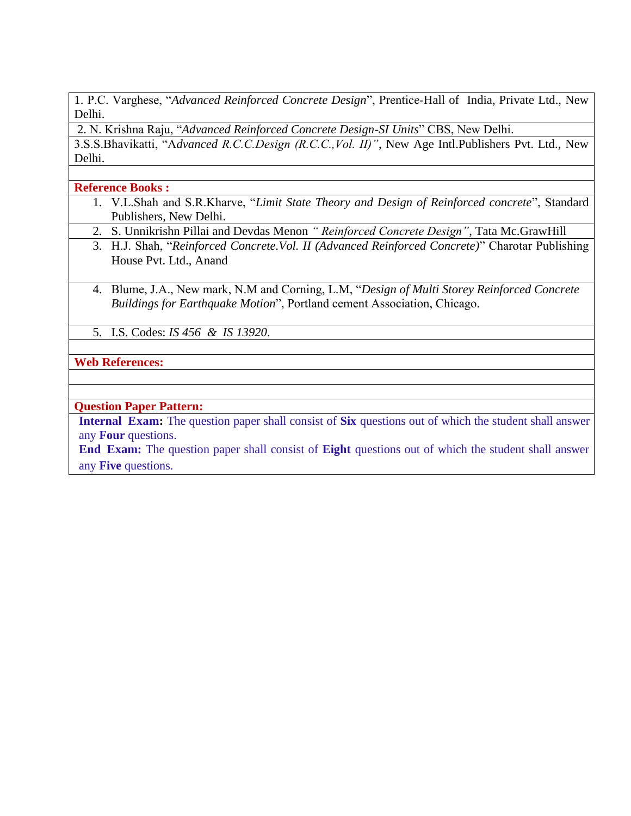1. P.C. Varghese, "*Advanced Reinforced Concrete Design*", Prentice-Hall of India, Private Ltd., New Delhi.

2. N. Krishna Raju, "*Advanced Reinforced Concrete Design-SI Units*" CBS, New Delhi.

3.S.S.Bhavikatti, "A*dvanced R.C.C.Design (R.C.C.,Vol. II)"*, New Age Intl.Publishers Pvt. Ltd., New Delhi.

**Reference Books :**

- 1. V.L.Shah and S.R.Kharve, "*Limit State Theory and Design of Reinforced concrete*", Standard Publishers, New Delhi.
- 2. S. Unnikrishn Pillai and Devdas Menon *" Reinforced Concrete Design"*, Tata Mc.GrawHill
- 3. H.J. Shah, "*Reinforced Concrete.Vol. II (Advanced Reinforced Concrete)*" Charotar Publishing House Pvt. Ltd., Anand
- 4. Blume, J.A., New mark, N.M and Corning, L.M, "*Design of Multi Storey Reinforced Concrete Buildings for Earthquake Motion*", Portland cement Association, Chicago.
- 5. I.S. Codes: *IS 456 & IS 13920*.

## **Web References:**

#### **Question Paper Pattern:**

**Internal Exam:** The question paper shall consist of **Six** questions out of which the student shall answer any **Four** questions.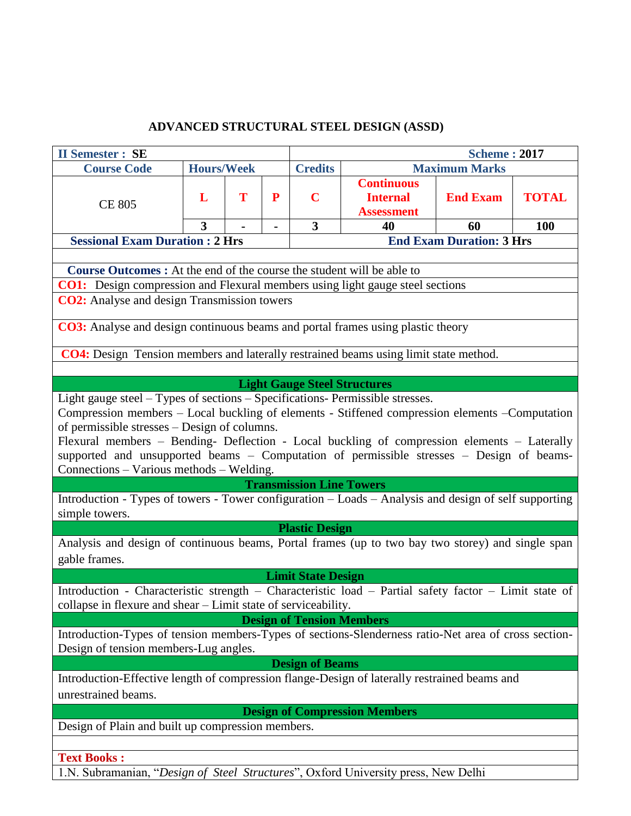## **ADVANCED STRUCTURAL STEEL DESIGN (ASSD)**

| <b>II Semester : SE</b>                                                                                                                                                 |                   |   |   |                                     |                                                           | <b>Scheme: 2017</b>             |              |  |
|-------------------------------------------------------------------------------------------------------------------------------------------------------------------------|-------------------|---|---|-------------------------------------|-----------------------------------------------------------|---------------------------------|--------------|--|
| <b>Course Code</b>                                                                                                                                                      | <b>Hours/Week</b> |   |   | <b>Credits</b>                      |                                                           | <b>Maximum Marks</b>            |              |  |
| <b>CE 805</b>                                                                                                                                                           | L                 | T | P | $\mathbf C$                         | <b>Continuous</b><br><b>Internal</b><br><b>Assessment</b> | <b>End Exam</b>                 | <b>TOTAL</b> |  |
|                                                                                                                                                                         | 3                 |   |   | 3                                   | 40                                                        | 60                              | 100          |  |
| <b>Sessional Exam Duration : 2 Hrs</b>                                                                                                                                  |                   |   |   |                                     |                                                           | <b>End Exam Duration: 3 Hrs</b> |              |  |
|                                                                                                                                                                         |                   |   |   |                                     |                                                           |                                 |              |  |
| <b>Course Outcomes :</b> At the end of the course the student will be able to                                                                                           |                   |   |   |                                     |                                                           |                                 |              |  |
| <b>CO1:</b> Design compression and Flexural members using light gauge steel sections                                                                                    |                   |   |   |                                     |                                                           |                                 |              |  |
| <b>CO2:</b> Analyse and design Transmission towers                                                                                                                      |                   |   |   |                                     |                                                           |                                 |              |  |
| <b>CO3:</b> Analyse and design continuous beams and portal frames using plastic theory                                                                                  |                   |   |   |                                     |                                                           |                                 |              |  |
| <b>CO4:</b> Design Tension members and laterally restrained beams using limit state method.                                                                             |                   |   |   |                                     |                                                           |                                 |              |  |
|                                                                                                                                                                         |                   |   |   |                                     |                                                           |                                 |              |  |
|                                                                                                                                                                         |                   |   |   | <b>Light Gauge Steel Structures</b> |                                                           |                                 |              |  |
| Light gauge steel - Types of sections - Specifications- Permissible stresses.                                                                                           |                   |   |   |                                     |                                                           |                                 |              |  |
| Compression members - Local buckling of elements - Stiffened compression elements - Computation                                                                         |                   |   |   |                                     |                                                           |                                 |              |  |
| of permissible stresses – Design of columns.                                                                                                                            |                   |   |   |                                     |                                                           |                                 |              |  |
| Flexural members - Bending- Deflection - Local buckling of compression elements - Laterally                                                                             |                   |   |   |                                     |                                                           |                                 |              |  |
| supported and unsupported beams - Computation of permissible stresses - Design of beams-                                                                                |                   |   |   |                                     |                                                           |                                 |              |  |
| Connections – Various methods – Welding.                                                                                                                                |                   |   |   |                                     |                                                           |                                 |              |  |
|                                                                                                                                                                         |                   |   |   | <b>Transmission Line Towers</b>     |                                                           |                                 |              |  |
| Introduction - Types of towers - Tower configuration - Loads - Analysis and design of self supporting<br>simple towers.                                                 |                   |   |   |                                     |                                                           |                                 |              |  |
|                                                                                                                                                                         |                   |   |   | <b>Plastic Design</b>               |                                                           |                                 |              |  |
| Analysis and design of continuous beams, Portal frames (up to two bay two storey) and single span                                                                       |                   |   |   |                                     |                                                           |                                 |              |  |
| gable frames.                                                                                                                                                           |                   |   |   |                                     |                                                           |                                 |              |  |
|                                                                                                                                                                         |                   |   |   | <b>Limit State Design</b>           |                                                           |                                 |              |  |
| Introduction - Characteristic strength - Characteristic load - Partial safety factor - Limit state of<br>collapse in flexure and shear - Limit state of serviceability. |                   |   |   |                                     |                                                           |                                 |              |  |
|                                                                                                                                                                         |                   |   |   | <b>Design of Tension Members</b>    |                                                           |                                 |              |  |
| Introduction-Types of tension members-Types of sections-Slenderness ratio-Net area of cross section-<br>Design of tension members-Lug angles.                           |                   |   |   |                                     |                                                           |                                 |              |  |
|                                                                                                                                                                         |                   |   |   | <b>Design of Beams</b>              |                                                           |                                 |              |  |
| Introduction-Effective length of compression flange-Design of laterally restrained beams and                                                                            |                   |   |   |                                     |                                                           |                                 |              |  |
| unrestrained beams.                                                                                                                                                     |                   |   |   |                                     |                                                           |                                 |              |  |
|                                                                                                                                                                         |                   |   |   |                                     | <b>Design of Compression Members</b>                      |                                 |              |  |
| Design of Plain and built up compression members.                                                                                                                       |                   |   |   |                                     |                                                           |                                 |              |  |
|                                                                                                                                                                         |                   |   |   |                                     |                                                           |                                 |              |  |
| <b>Text Books:</b>                                                                                                                                                      |                   |   |   |                                     |                                                           |                                 |              |  |
| 1.N. Subramanian, "Design of Steel Structures", Oxford University press, New Delhi                                                                                      |                   |   |   |                                     |                                                           |                                 |              |  |
|                                                                                                                                                                         |                   |   |   |                                     |                                                           |                                 |              |  |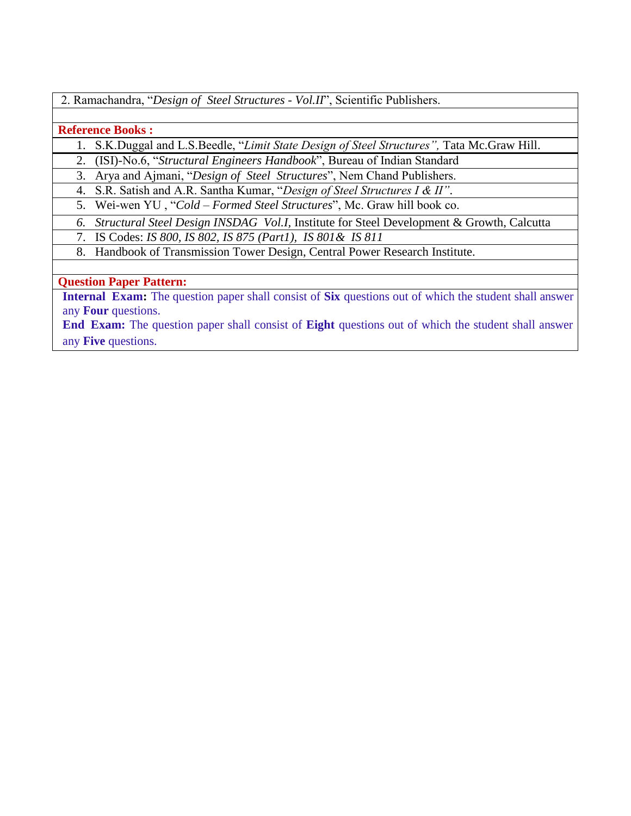2. Ramachandra, "*Design of Steel Structures - Vol.II*", Scientific Publishers.

#### **Reference Books :**

1. S.K.Duggal and L.S.Beedle, "*Limit State Design of Steel Structures",* Tata Mc.Graw Hill.

2. (ISI)-No.6, "*Structural Engineers Handbook*", Bureau of Indian Standard

3. Arya and Ajmani, "*Design of Steel Structures*", Nem Chand Publishers.

4. S.R. Satish and A.R. Santha Kumar, "*Design of Steel Structures I & II"*.

5. Wei-wen YU , "*Cold – Formed Steel Structures*", Mc. Graw hill book co.

*6. Structural Steel Design INSDAG Vol.I,* Institute for Steel Development & Growth, Calcutta

7. IS Codes: *IS 800, IS 802, IS 875 (Part1), IS 801& IS 811*

8. Handbook of Transmission Tower Design, Central Power Research Institute.

## **Question Paper Pattern:**

**Internal Exam:** The question paper shall consist of **Six** questions out of which the student shall answer any **Four** questions.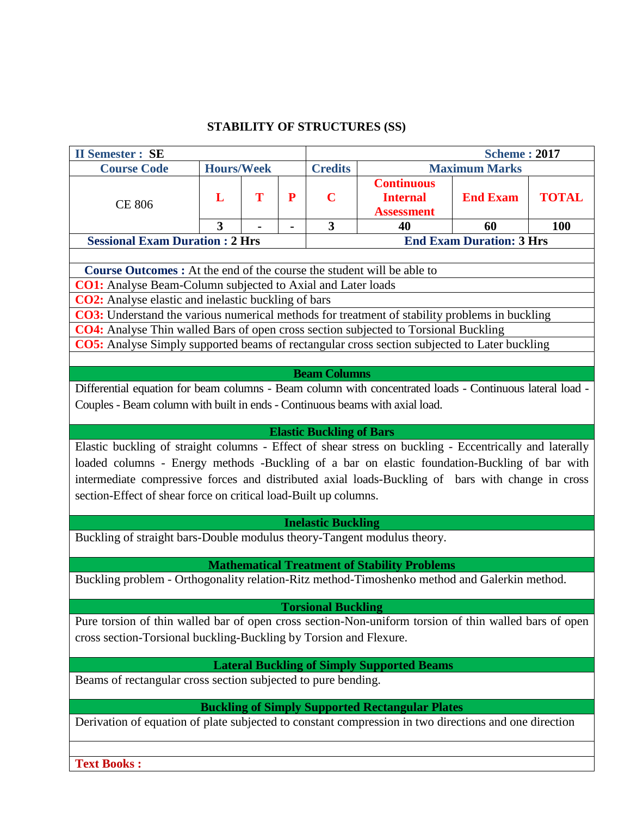## **STABILITY OF STRUCTURES (SS)**

| <b>II Semester : SE</b>                                                                                                                                                                                                                                                                                                                                                           |                                 |   |                   |                                        |                                                                 | <b>Scheme: 2017</b>             |                     |  |  |  |
|-----------------------------------------------------------------------------------------------------------------------------------------------------------------------------------------------------------------------------------------------------------------------------------------------------------------------------------------------------------------------------------|---------------------------------|---|-------------------|----------------------------------------|-----------------------------------------------------------------|---------------------------------|---------------------|--|--|--|
| <b>Course Code</b>                                                                                                                                                                                                                                                                                                                                                                | <b>Hours/Week</b>               |   |                   | <b>Credits</b><br><b>Maximum Marks</b> |                                                                 |                                 |                     |  |  |  |
| <b>CE 806</b>                                                                                                                                                                                                                                                                                                                                                                     | L<br>3                          | T | $\mathbf P$<br>Ξ. | $\mathbf C$<br>3                       | <b>Continuous</b><br><b>Internal</b><br><b>Assessment</b><br>40 | <b>End Exam</b><br>60           | <b>TOTAL</b><br>100 |  |  |  |
| <b>Sessional Exam Duration : 2 Hrs</b>                                                                                                                                                                                                                                                                                                                                            |                                 |   |                   |                                        |                                                                 | <b>End Exam Duration: 3 Hrs</b> |                     |  |  |  |
|                                                                                                                                                                                                                                                                                                                                                                                   |                                 |   |                   |                                        |                                                                 |                                 |                     |  |  |  |
| <b>Course Outcomes :</b> At the end of the course the student will be able to<br><b>CO1:</b> Analyse Beam-Column subjected to Axial and Later loads                                                                                                                                                                                                                               |                                 |   |                   |                                        |                                                                 |                                 |                     |  |  |  |
| <b>CO2:</b> Analyse elastic and inelastic buckling of bars                                                                                                                                                                                                                                                                                                                        |                                 |   |                   |                                        |                                                                 |                                 |                     |  |  |  |
| CO3: Understand the various numerical methods for treatment of stability problems in buckling                                                                                                                                                                                                                                                                                     |                                 |   |                   |                                        |                                                                 |                                 |                     |  |  |  |
| CO4: Analyse Thin walled Bars of open cross section subjected to Torsional Buckling                                                                                                                                                                                                                                                                                               |                                 |   |                   |                                        |                                                                 |                                 |                     |  |  |  |
| CO5: Analyse Simply supported beams of rectangular cross section subjected to Later buckling                                                                                                                                                                                                                                                                                      |                                 |   |                   |                                        |                                                                 |                                 |                     |  |  |  |
|                                                                                                                                                                                                                                                                                                                                                                                   |                                 |   |                   |                                        |                                                                 |                                 |                     |  |  |  |
| <b>Beam Columns</b><br>Differential equation for beam columns - Beam column with concentrated loads - Continuous lateral load -<br>Couples - Beam column with built in ends - Continuous beams with axial load.                                                                                                                                                                   |                                 |   |                   |                                        |                                                                 |                                 |                     |  |  |  |
|                                                                                                                                                                                                                                                                                                                                                                                   | <b>Elastic Buckling of Bars</b> |   |                   |                                        |                                                                 |                                 |                     |  |  |  |
| Elastic buckling of straight columns - Effect of shear stress on buckling - Eccentrically and laterally<br>loaded columns - Energy methods -Buckling of a bar on elastic foundation-Buckling of bar with<br>intermediate compressive forces and distributed axial loads-Buckling of bars with change in cross<br>section-Effect of shear force on critical load-Built up columns. |                                 |   |                   |                                        |                                                                 |                                 |                     |  |  |  |
|                                                                                                                                                                                                                                                                                                                                                                                   |                                 |   |                   | <b>Inelastic Buckling</b>              |                                                                 |                                 |                     |  |  |  |
| Buckling of straight bars-Double modulus theory-Tangent modulus theory.                                                                                                                                                                                                                                                                                                           |                                 |   |                   |                                        |                                                                 |                                 |                     |  |  |  |
|                                                                                                                                                                                                                                                                                                                                                                                   |                                 |   |                   |                                        | <b>Mathematical Treatment of Stability Problems</b>             |                                 |                     |  |  |  |
| Buckling problem - Orthogonality relation-Ritz method-Timoshenko method and Galerkin method.                                                                                                                                                                                                                                                                                      |                                 |   |                   |                                        |                                                                 |                                 |                     |  |  |  |
| Pure torsion of thin walled bar of open cross section-Non-uniform torsion of thin walled bars of open<br>cross section-Torsional buckling-Buckling by Torsion and Flexure.                                                                                                                                                                                                        |                                 |   |                   | <b>Torsional Buckling</b>              |                                                                 |                                 |                     |  |  |  |
|                                                                                                                                                                                                                                                                                                                                                                                   |                                 |   |                   |                                        | <b>Lateral Buckling of Simply Supported Beams</b>               |                                 |                     |  |  |  |
| Beams of rectangular cross section subjected to pure bending.                                                                                                                                                                                                                                                                                                                     |                                 |   |                   |                                        |                                                                 |                                 |                     |  |  |  |
|                                                                                                                                                                                                                                                                                                                                                                                   |                                 |   |                   |                                        | <b>Buckling of Simply Supported Rectangular Plates</b>          |                                 |                     |  |  |  |
| Derivation of equation of plate subjected to constant compression in two directions and one direction                                                                                                                                                                                                                                                                             |                                 |   |                   |                                        |                                                                 |                                 |                     |  |  |  |
| <b>Text Books:</b>                                                                                                                                                                                                                                                                                                                                                                |                                 |   |                   |                                        |                                                                 |                                 |                     |  |  |  |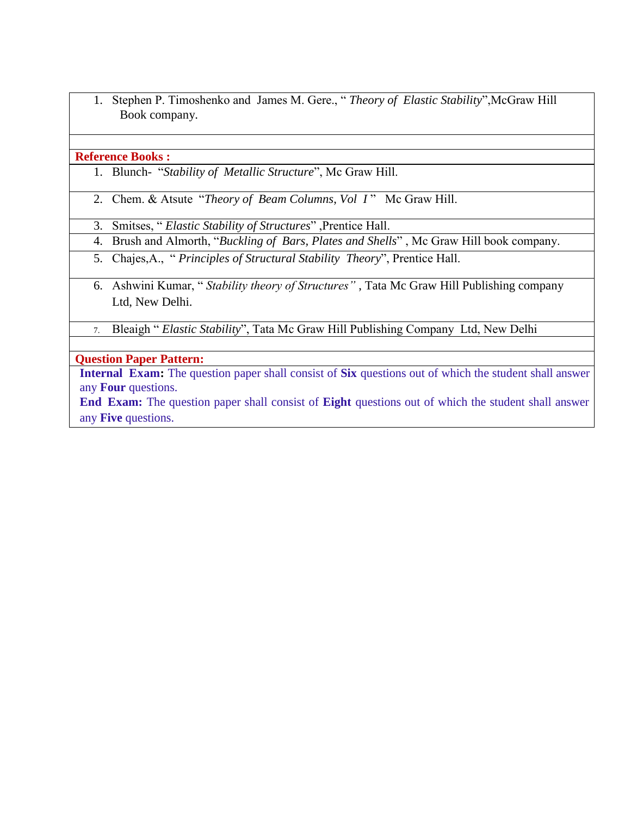1. Stephen P. Timoshenko and James M. Gere., " *Theory of Elastic Stability*",McGraw Hill Book company.

#### **Reference Books :**

- 1. Blunch- "*Stability of Metallic Structure*", Mc Graw Hill.
- 2. Chem. & Atsute "*Theory of Beam Columns*, *Vol I*" Mc Graw Hill.
- 3. Smitses, " *Elastic Stability of Structures*" ,Prentice Hall.
- 4. Brush and Almorth, "*Buckling of Bars, Plates and Shells*" , Mc Graw Hill book company.
- 5. Chajes,A., " *Principles of Structural Stability Theory*", Prentice Hall.
- 6. Ashwini Kumar, " *Stability theory of Structures"* , Tata Mc Graw Hill Publishing company Ltd, New Delhi.
- 7. Bleaigh " *Elastic Stability*", Tata Mc Graw Hill Publishing Company Ltd, New Delhi

## **Question Paper Pattern:**

**Internal Exam:** The question paper shall consist of **Six** questions out of which the student shall answer any **Four** questions.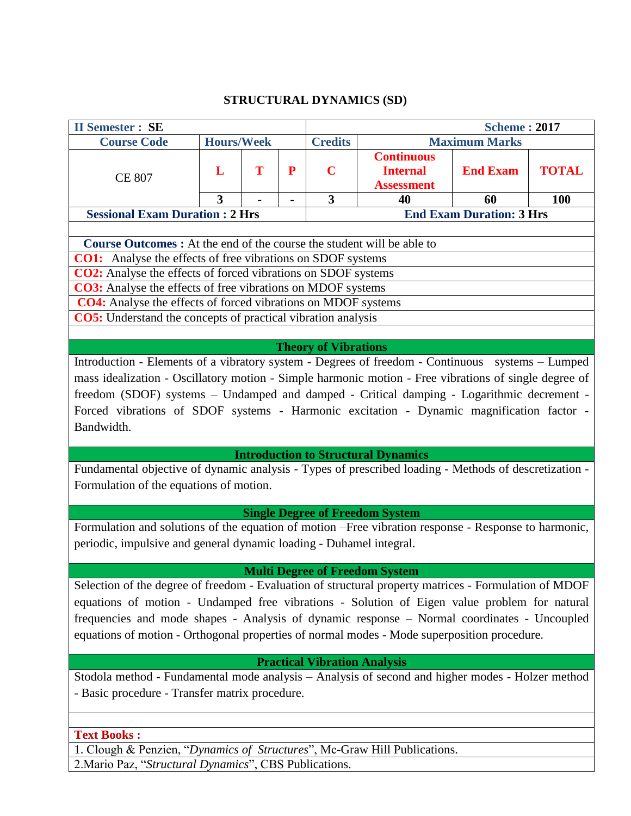## **STRUCTURAL DYNAMICS (SD)**

| <b>II Semester: SE</b>                                                                                                                                                                             |                   |   |   |                                     |                                                           | <b>Scheme: 2017</b>             |              |  |  |
|----------------------------------------------------------------------------------------------------------------------------------------------------------------------------------------------------|-------------------|---|---|-------------------------------------|-----------------------------------------------------------|---------------------------------|--------------|--|--|
| <b>Course Code</b>                                                                                                                                                                                 | <b>Hours/Week</b> |   |   | <b>Credits</b>                      |                                                           | <b>Maximum Marks</b>            |              |  |  |
| <b>CE 807</b>                                                                                                                                                                                      | L                 | T | P | $\mathbf C$                         | <b>Continuous</b><br><b>Internal</b><br><b>Assessment</b> | <b>End Exam</b>                 | <b>TOTAL</b> |  |  |
|                                                                                                                                                                                                    | 3                 |   |   | 3                                   | 40                                                        | 60                              | <b>100</b>   |  |  |
| <b>Sessional Exam Duration: 2 Hrs</b>                                                                                                                                                              |                   |   |   |                                     |                                                           | <b>End Exam Duration: 3 Hrs</b> |              |  |  |
|                                                                                                                                                                                                    |                   |   |   |                                     |                                                           |                                 |              |  |  |
| Course Outcomes : At the end of the course the student will be able to                                                                                                                             |                   |   |   |                                     |                                                           |                                 |              |  |  |
| <b>CO1:</b> Analyse the effects of free vibrations on SDOF systems                                                                                                                                 |                   |   |   |                                     |                                                           |                                 |              |  |  |
| <b>CO2:</b> Analyse the effects of forced vibrations on SDOF systems                                                                                                                               |                   |   |   |                                     |                                                           |                                 |              |  |  |
| <b>CO3:</b> Analyse the effects of free vibrations on MDOF systems<br><b>CO4:</b> Analyse the effects of forced vibrations on MDOF systems                                                         |                   |   |   |                                     |                                                           |                                 |              |  |  |
|                                                                                                                                                                                                    |                   |   |   |                                     |                                                           |                                 |              |  |  |
| <b>CO5:</b> Understand the concepts of practical vibration analysis                                                                                                                                |                   |   |   |                                     |                                                           |                                 |              |  |  |
|                                                                                                                                                                                                    |                   |   |   | <b>Theory of Vibrations</b>         |                                                           |                                 |              |  |  |
| Introduction - Elements of a vibratory system - Degrees of freedom - Continuous systems - Lumped                                                                                                   |                   |   |   |                                     |                                                           |                                 |              |  |  |
|                                                                                                                                                                                                    |                   |   |   |                                     |                                                           |                                 |              |  |  |
| mass idealization - Oscillatory motion - Simple harmonic motion - Free vibrations of single degree of<br>freedom (SDOF) systems - Undamped and damped - Critical damping - Logarithmic decrement - |                   |   |   |                                     |                                                           |                                 |              |  |  |
| Forced vibrations of SDOF systems - Harmonic excitation - Dynamic magnification factor -                                                                                                           |                   |   |   |                                     |                                                           |                                 |              |  |  |
| Bandwidth.                                                                                                                                                                                         |                   |   |   |                                     |                                                           |                                 |              |  |  |
|                                                                                                                                                                                                    |                   |   |   |                                     |                                                           |                                 |              |  |  |
|                                                                                                                                                                                                    |                   |   |   |                                     | <b>Introduction to Structural Dynamics</b>                |                                 |              |  |  |
| Fundamental objective of dynamic analysis - Types of prescribed loading - Methods of descretization -                                                                                              |                   |   |   |                                     |                                                           |                                 |              |  |  |
| Formulation of the equations of motion.                                                                                                                                                            |                   |   |   |                                     |                                                           |                                 |              |  |  |
|                                                                                                                                                                                                    |                   |   |   |                                     |                                                           |                                 |              |  |  |
|                                                                                                                                                                                                    |                   |   |   |                                     | <b>Single Degree of Freedom System</b>                    |                                 |              |  |  |
| Formulation and solutions of the equation of motion -Free vibration response - Response to harmonic,                                                                                               |                   |   |   |                                     |                                                           |                                 |              |  |  |
| periodic, impulsive and general dynamic loading - Duhamel integral.                                                                                                                                |                   |   |   |                                     |                                                           |                                 |              |  |  |
|                                                                                                                                                                                                    |                   |   |   |                                     |                                                           |                                 |              |  |  |
|                                                                                                                                                                                                    |                   |   |   |                                     | <b>Multi Degree of Freedom System</b>                     |                                 |              |  |  |
| Selection of the degree of freedom - Evaluation of structural property matrices - Formulation of MDOF                                                                                              |                   |   |   |                                     |                                                           |                                 |              |  |  |
|                                                                                                                                                                                                    |                   |   |   |                                     |                                                           |                                 |              |  |  |
| equations of motion - Undamped free vibrations - Solution of Eigen value problem for natural                                                                                                       |                   |   |   |                                     |                                                           |                                 |              |  |  |
| frequencies and mode shapes - Analysis of dynamic response - Normal coordinates - Uncoupled                                                                                                        |                   |   |   |                                     |                                                           |                                 |              |  |  |
| equations of motion - Orthogonal properties of normal modes - Mode superposition procedure.                                                                                                        |                   |   |   |                                     |                                                           |                                 |              |  |  |
|                                                                                                                                                                                                    |                   |   |   |                                     |                                                           |                                 |              |  |  |
|                                                                                                                                                                                                    |                   |   |   | <b>Practical Vibration Analysis</b> |                                                           |                                 |              |  |  |
| Stodola method - Fundamental mode analysis - Analysis of second and higher modes - Holzer method                                                                                                   |                   |   |   |                                     |                                                           |                                 |              |  |  |
| - Basic procedure - Transfer matrix procedure.                                                                                                                                                     |                   |   |   |                                     |                                                           |                                 |              |  |  |
|                                                                                                                                                                                                    |                   |   |   |                                     |                                                           |                                 |              |  |  |
|                                                                                                                                                                                                    |                   |   |   |                                     |                                                           |                                 |              |  |  |
| <b>Text Books:</b>                                                                                                                                                                                 |                   |   |   |                                     |                                                           |                                 |              |  |  |
| 1. Clough & Penzien, "Dynamics of Structures", Mc-Graw Hill Publications.<br>2. Mario Paz, "Structural Dynamics", CBS Publications.                                                                |                   |   |   |                                     |                                                           |                                 |              |  |  |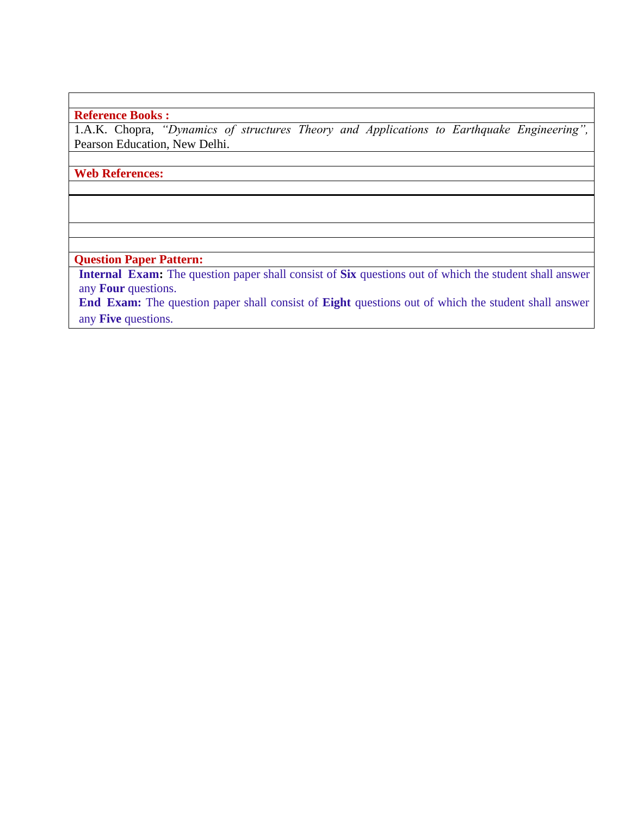## **Reference Books :**

1.A.K. Chopra, *"Dynamics of structures Theory and Applications to Earthquake Engineering",*  Pearson Education, New Delhi.

## **Web References:**

## **Question Paper Pattern:**

**Internal Exam:** The question paper shall consist of **Six** questions out of which the student shall answer any **Four** questions.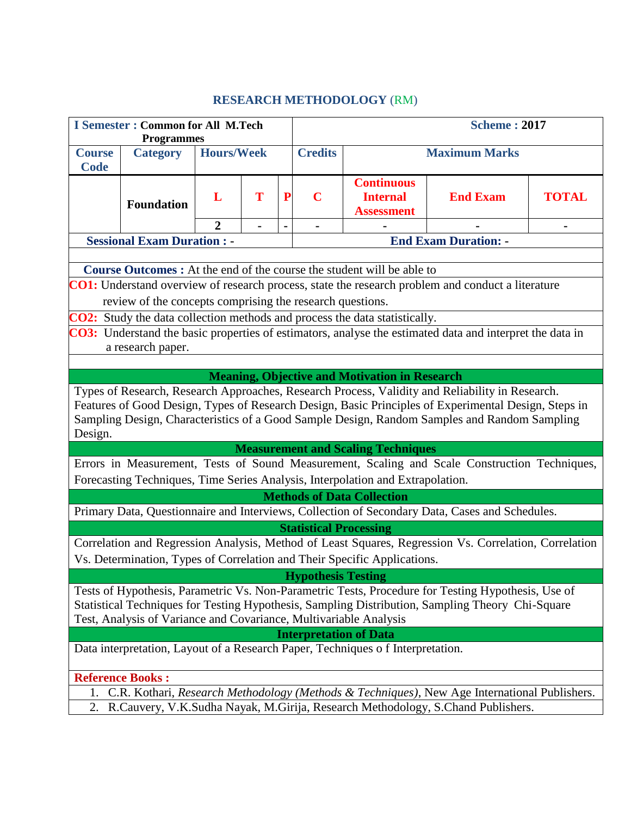# **RESEARCH METHODOLOGY** (RM)

| <b>I Semester: Common for All M.Tech</b><br><b>Programmes</b>                                                                                                                                                                                                                                                                             |                                    |                   |   |                | <b>Scheme: 2017</b>           |                                                                                |                                                                                                       |              |  |  |  |  |
|-------------------------------------------------------------------------------------------------------------------------------------------------------------------------------------------------------------------------------------------------------------------------------------------------------------------------------------------|------------------------------------|-------------------|---|----------------|-------------------------------|--------------------------------------------------------------------------------|-------------------------------------------------------------------------------------------------------|--------------|--|--|--|--|
| <b>Course</b><br><b>Code</b>                                                                                                                                                                                                                                                                                                              | <b>Category</b>                    | <b>Hours/Week</b> |   |                | <b>Credits</b>                | <b>Maximum Marks</b>                                                           |                                                                                                       |              |  |  |  |  |
|                                                                                                                                                                                                                                                                                                                                           | <b>Foundation</b>                  | L                 | T | ${\bf P}$      | $\mathbf C$                   | <b>Continuous</b><br><b>Internal</b><br><b>Assessment</b>                      | <b>End Exam</b>                                                                                       | <b>TOTAL</b> |  |  |  |  |
|                                                                                                                                                                                                                                                                                                                                           |                                    | $\overline{2}$    |   | $\blacksquare$ | $\overline{\phantom{0}}$      |                                                                                |                                                                                                       | Ξ.           |  |  |  |  |
|                                                                                                                                                                                                                                                                                                                                           | <b>Sessional Exam Duration : -</b> |                   |   |                |                               |                                                                                | <b>End Exam Duration: -</b>                                                                           |              |  |  |  |  |
|                                                                                                                                                                                                                                                                                                                                           |                                    |                   |   |                |                               |                                                                                |                                                                                                       |              |  |  |  |  |
|                                                                                                                                                                                                                                                                                                                                           |                                    |                   |   |                |                               | <b>Course Outcomes:</b> At the end of the course the student will be able to   |                                                                                                       |              |  |  |  |  |
| <b>CO1:</b> Understand overview of research process, state the research problem and conduct a literature                                                                                                                                                                                                                                  |                                    |                   |   |                |                               |                                                                                |                                                                                                       |              |  |  |  |  |
| review of the concepts comprising the research questions.                                                                                                                                                                                                                                                                                 |                                    |                   |   |                |                               |                                                                                |                                                                                                       |              |  |  |  |  |
|                                                                                                                                                                                                                                                                                                                                           |                                    |                   |   |                |                               | CO2: Study the data collection methods and process the data statistically.     |                                                                                                       |              |  |  |  |  |
| CO3: Understand the basic properties of estimators, analyse the estimated data and interpret the data in                                                                                                                                                                                                                                  |                                    |                   |   |                |                               |                                                                                |                                                                                                       |              |  |  |  |  |
| a research paper.                                                                                                                                                                                                                                                                                                                         |                                    |                   |   |                |                               |                                                                                |                                                                                                       |              |  |  |  |  |
|                                                                                                                                                                                                                                                                                                                                           |                                    |                   |   |                |                               |                                                                                |                                                                                                       |              |  |  |  |  |
| <b>Meaning, Objective and Motivation in Research</b>                                                                                                                                                                                                                                                                                      |                                    |                   |   |                |                               |                                                                                |                                                                                                       |              |  |  |  |  |
| Types of Research, Research Approaches, Research Process, Validity and Reliability in Research.<br>Features of Good Design, Types of Research Design, Basic Principles of Experimental Design, Steps in                                                                                                                                   |                                    |                   |   |                |                               |                                                                                |                                                                                                       |              |  |  |  |  |
|                                                                                                                                                                                                                                                                                                                                           |                                    |                   |   |                |                               |                                                                                |                                                                                                       |              |  |  |  |  |
|                                                                                                                                                                                                                                                                                                                                           |                                    |                   |   |                |                               |                                                                                | Sampling Design, Characteristics of a Good Sample Design, Random Samples and Random Sampling          |              |  |  |  |  |
| Design.                                                                                                                                                                                                                                                                                                                                   |                                    |                   |   |                |                               |                                                                                |                                                                                                       |              |  |  |  |  |
|                                                                                                                                                                                                                                                                                                                                           |                                    |                   |   |                |                               | <b>Measurement and Scaling Techniques</b>                                      |                                                                                                       |              |  |  |  |  |
|                                                                                                                                                                                                                                                                                                                                           |                                    |                   |   |                |                               |                                                                                | Errors in Measurement, Tests of Sound Measurement, Scaling and Scale Construction Techniques,         |              |  |  |  |  |
|                                                                                                                                                                                                                                                                                                                                           |                                    |                   |   |                |                               | Forecasting Techniques, Time Series Analysis, Interpolation and Extrapolation. |                                                                                                       |              |  |  |  |  |
|                                                                                                                                                                                                                                                                                                                                           |                                    |                   |   |                |                               | <b>Methods of Data Collection</b>                                              |                                                                                                       |              |  |  |  |  |
|                                                                                                                                                                                                                                                                                                                                           |                                    |                   |   |                |                               |                                                                                | Primary Data, Questionnaire and Interviews, Collection of Secondary Data, Cases and Schedules.        |              |  |  |  |  |
|                                                                                                                                                                                                                                                                                                                                           |                                    |                   |   |                | <b>Statistical Processing</b> |                                                                                |                                                                                                       |              |  |  |  |  |
|                                                                                                                                                                                                                                                                                                                                           |                                    |                   |   |                |                               |                                                                                | Correlation and Regression Analysis, Method of Least Squares, Regression Vs. Correlation, Correlation |              |  |  |  |  |
|                                                                                                                                                                                                                                                                                                                                           |                                    |                   |   |                |                               | Vs. Determination, Types of Correlation and Their Specific Applications.       |                                                                                                       |              |  |  |  |  |
|                                                                                                                                                                                                                                                                                                                                           |                                    |                   |   |                |                               |                                                                                |                                                                                                       |              |  |  |  |  |
| <b>Hypothesis Testing</b><br>Tests of Hypothesis, Parametric Vs. Non-Parametric Tests, Procedure for Testing Hypothesis, Use of<br>Statistical Techniques for Testing Hypothesis, Sampling Distribution, Sampling Theory Chi-Square<br>Test, Analysis of Variance and Covariance, Multivariable Analysis<br><b>Interpretation of Data</b> |                                    |                   |   |                |                               |                                                                                |                                                                                                       |              |  |  |  |  |
|                                                                                                                                                                                                                                                                                                                                           |                                    |                   |   |                |                               | Data interpretation, Layout of a Research Paper, Techniques of Interpretation. |                                                                                                       |              |  |  |  |  |
|                                                                                                                                                                                                                                                                                                                                           |                                    |                   |   |                |                               |                                                                                |                                                                                                       |              |  |  |  |  |
|                                                                                                                                                                                                                                                                                                                                           | <b>Reference Books:</b>            |                   |   |                |                               |                                                                                |                                                                                                       |              |  |  |  |  |
| 1.                                                                                                                                                                                                                                                                                                                                        |                                    |                   |   |                |                               |                                                                                | C.R. Kothari, Research Methodology (Methods & Techniques), New Age International Publishers.          |              |  |  |  |  |
| 2.                                                                                                                                                                                                                                                                                                                                        |                                    |                   |   |                |                               |                                                                                | R.Cauvery, V.K.Sudha Nayak, M.Girija, Research Methodology, S.Chand Publishers.                       |              |  |  |  |  |
|                                                                                                                                                                                                                                                                                                                                           |                                    |                   |   |                |                               |                                                                                |                                                                                                       |              |  |  |  |  |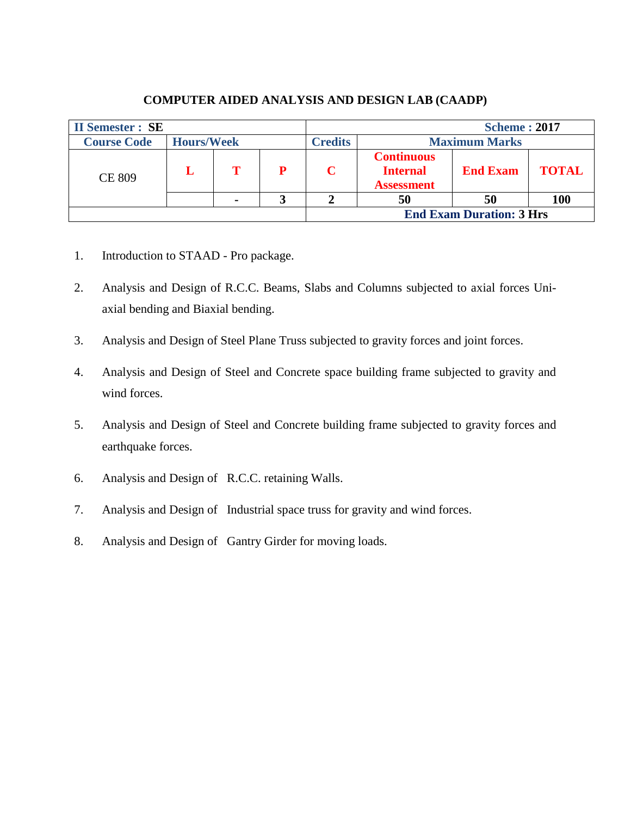| <b>II Semester : SE</b> |                   |   | <b>Scheme: 2017</b> |                                                           |                                 |              |  |
|-------------------------|-------------------|---|---------------------|-----------------------------------------------------------|---------------------------------|--------------|--|
| <b>Course Code</b>      | <b>Hours/Week</b> |   | <b>Credits</b>      | <b>Maximum Marks</b>                                      |                                 |              |  |
| <b>CE 809</b>           |                   | P |                     | <b>Continuous</b><br><b>Internal</b><br><b>Assessment</b> | <b>End Exam</b>                 | <b>TOTAL</b> |  |
|                         |                   |   |                     | 50                                                        | 50                              | <b>100</b>   |  |
|                         |                   |   |                     |                                                           | <b>End Exam Duration: 3 Hrs</b> |              |  |

## **COMPUTER AIDED ANALYSIS AND DESIGN LAB (CAADP)**

- 1. Introduction to STAAD Pro package.
- 2. Analysis and Design of R.C.C. Beams, Slabs and Columns subjected to axial forces Uniaxial bending and Biaxial bending.
- 3. Analysis and Design of Steel Plane Truss subjected to gravity forces and joint forces.
- 4. Analysis and Design of Steel and Concrete space building frame subjected to gravity and wind forces.
- 5. Analysis and Design of Steel and Concrete building frame subjected to gravity forces and earthquake forces.
- 6. Analysis and Design of R.C.C. retaining Walls.
- 7. Analysis and Design of Industrial space truss for gravity and wind forces.
- 8. Analysis and Design of Gantry Girder for moving loads.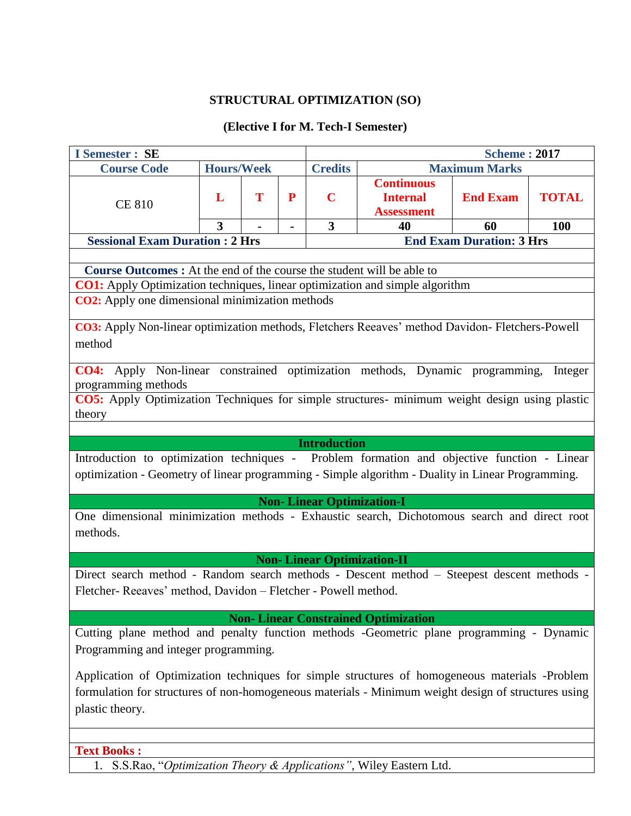## **STRUCTURAL OPTIMIZATION (SO)**

## **(Elective I for M. Tech-I Semester)**

| <b>I</b> Semester : SE                                                                                                                                                                                                   |                         |   |                |                                   |                                                                   | <b>Scheme: 2017</b>                                                                    |  |  |  |  |  |
|--------------------------------------------------------------------------------------------------------------------------------------------------------------------------------------------------------------------------|-------------------------|---|----------------|-----------------------------------|-------------------------------------------------------------------|----------------------------------------------------------------------------------------|--|--|--|--|--|
| <b>Course Code</b>                                                                                                                                                                                                       | <b>Hours/Week</b>       |   |                | <b>Credits</b>                    |                                                                   | <b>Maximum Marks</b>                                                                   |  |  |  |  |  |
| <b>CE 810</b>                                                                                                                                                                                                            | L                       | T | P              | $\mathbf C$                       | <b>Continuous</b><br><b>Internal</b><br><b>Assessment</b>         | <b>End Exam</b><br><b>TOTAL</b><br>60<br><b>100</b><br><b>End Exam Duration: 3 Hrs</b> |  |  |  |  |  |
|                                                                                                                                                                                                                          | $\overline{\mathbf{3}}$ |   | $\blacksquare$ | $\overline{\mathbf{3}}$           | 40                                                                |                                                                                        |  |  |  |  |  |
| <b>Sessional Exam Duration : 2 Hrs</b>                                                                                                                                                                                   |                         |   |                |                                   |                                                                   |                                                                                        |  |  |  |  |  |
|                                                                                                                                                                                                                          |                         |   |                |                                   |                                                                   |                                                                                        |  |  |  |  |  |
| Course Outcomes : At the end of the course the student will be able to                                                                                                                                                   |                         |   |                |                                   |                                                                   |                                                                                        |  |  |  |  |  |
| <b>CO1:</b> Apply Optimization techniques, linear optimization and simple algorithm                                                                                                                                      |                         |   |                |                                   |                                                                   |                                                                                        |  |  |  |  |  |
| CO2: Apply one dimensional minimization methods                                                                                                                                                                          |                         |   |                |                                   |                                                                   |                                                                                        |  |  |  |  |  |
| CO3: Apply Non-linear optimization methods, Fletchers Reeaves' method Davidon-Fletchers-Powell<br>method<br>CO4: Apply Non-linear constrained optimization methods, Dynamic programming, Integer                         |                         |   |                |                                   |                                                                   |                                                                                        |  |  |  |  |  |
| programming methods                                                                                                                                                                                                      |                         |   |                |                                   |                                                                   |                                                                                        |  |  |  |  |  |
| CO5: Apply Optimization Techniques for simple structures- minimum weight design using plastic                                                                                                                            |                         |   |                |                                   |                                                                   |                                                                                        |  |  |  |  |  |
| theory                                                                                                                                                                                                                   |                         |   |                |                                   |                                                                   |                                                                                        |  |  |  |  |  |
|                                                                                                                                                                                                                          |                         |   |                |                                   |                                                                   |                                                                                        |  |  |  |  |  |
|                                                                                                                                                                                                                          |                         |   |                | <b>Introduction</b>               |                                                                   |                                                                                        |  |  |  |  |  |
| Introduction to optimization techniques - Problem formation and objective function - Linear<br>optimization - Geometry of linear programming - Simple algorithm - Duality in Linear Programming.                         |                         |   |                |                                   |                                                                   |                                                                                        |  |  |  |  |  |
|                                                                                                                                                                                                                          |                         |   |                | <b>Non-Linear Optimization-I</b>  |                                                                   |                                                                                        |  |  |  |  |  |
| One dimensional minimization methods - Exhaustic search, Dichotomous search and direct root<br>methods.                                                                                                                  |                         |   |                |                                   |                                                                   |                                                                                        |  |  |  |  |  |
|                                                                                                                                                                                                                          |                         |   |                | <b>Non-Linear Optimization-II</b> |                                                                   |                                                                                        |  |  |  |  |  |
| Direct search method - Random search methods - Descent method - Steepest descent methods -<br>Fletcher- Reeaves' method, Davidon - Fletcher - Powell method.                                                             |                         |   |                |                                   |                                                                   |                                                                                        |  |  |  |  |  |
|                                                                                                                                                                                                                          |                         |   |                |                                   | <b>Non- Linear Constrained Optimization</b>                       |                                                                                        |  |  |  |  |  |
| Cutting plane method and penalty function methods -Geometric plane programming - Dynamic                                                                                                                                 |                         |   |                |                                   |                                                                   |                                                                                        |  |  |  |  |  |
| Programming and integer programming.                                                                                                                                                                                     |                         |   |                |                                   |                                                                   |                                                                                        |  |  |  |  |  |
| Application of Optimization techniques for simple structures of homogeneous materials -Problem<br>formulation for structures of non-homogeneous materials - Minimum weight design of structures using<br>plastic theory. |                         |   |                |                                   |                                                                   |                                                                                        |  |  |  |  |  |
|                                                                                                                                                                                                                          |                         |   |                |                                   |                                                                   |                                                                                        |  |  |  |  |  |
| <b>Text Books:</b>                                                                                                                                                                                                       |                         |   |                |                                   |                                                                   |                                                                                        |  |  |  |  |  |
| 1.                                                                                                                                                                                                                       |                         |   |                |                                   | S.S.Rao, "Optimization Theory & Applications", Wiley Eastern Ltd. |                                                                                        |  |  |  |  |  |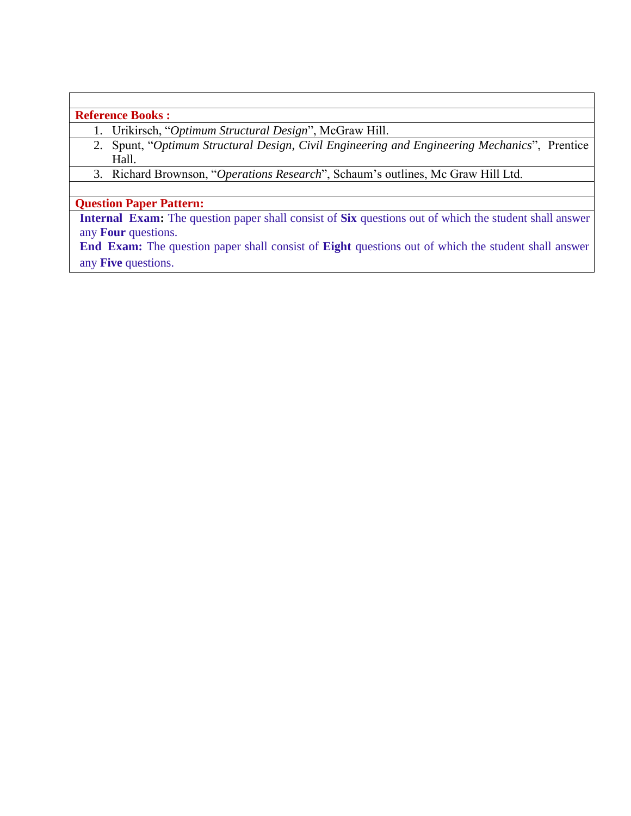## **Reference Books :**

- 1. Urikirsch, "*Optimum Structural Design*", McGraw Hill.
- 2. Spunt, "*Optimum Structural Design*, *Civil Engineering and Engineering Mechanics*", Prentice Hall.
- 3. Richard Brownson, "*Operations Research*", Schaum's outlines, Mc Graw Hill Ltd.

## **Question Paper Pattern:**

**Internal Exam:** The question paper shall consist of **Six** questions out of which the student shall answer any **Four** questions.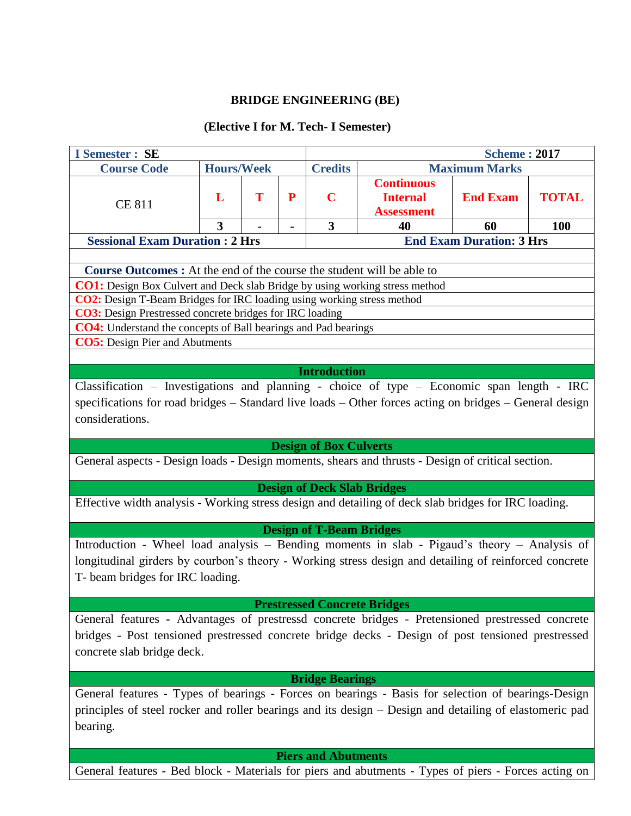## **BRIDGE ENGINEERING (BE)**

## **(Elective I for M. Tech- I Semester)**

| <b>I</b> Semester : SE                                                                                                                                                                                                                          |                                                                                                                                                                                                                                                                            |   |           |                                    |                                                           | <b>Scheme: 2017</b>  |              |  |  |  |  |
|-------------------------------------------------------------------------------------------------------------------------------------------------------------------------------------------------------------------------------------------------|----------------------------------------------------------------------------------------------------------------------------------------------------------------------------------------------------------------------------------------------------------------------------|---|-----------|------------------------------------|-----------------------------------------------------------|----------------------|--------------|--|--|--|--|
| <b>Course Code</b>                                                                                                                                                                                                                              | <b>Hours/Week</b>                                                                                                                                                                                                                                                          |   |           | <b>Credits</b>                     |                                                           | <b>Maximum Marks</b> |              |  |  |  |  |
| <b>CE 811</b>                                                                                                                                                                                                                                   | L                                                                                                                                                                                                                                                                          | T | ${\bf P}$ | $\overline{\mathbf{C}}$            | <b>Continuous</b><br><b>Internal</b><br><b>Assessment</b> | <b>End Exam</b>      | <b>TOTAL</b> |  |  |  |  |
|                                                                                                                                                                                                                                                 | $\overline{\mathbf{3}}$                                                                                                                                                                                                                                                    |   |           | $\overline{\mathbf{3}}$            | 40                                                        | 60                   | 100          |  |  |  |  |
|                                                                                                                                                                                                                                                 | <b>Sessional Exam Duration : 2 Hrs</b><br><b>End Exam Duration: 3 Hrs</b>                                                                                                                                                                                                  |   |           |                                    |                                                           |                      |              |  |  |  |  |
|                                                                                                                                                                                                                                                 |                                                                                                                                                                                                                                                                            |   |           |                                    |                                                           |                      |              |  |  |  |  |
| <b>Course Outcomes :</b> At the end of the course the student will be able to                                                                                                                                                                   |                                                                                                                                                                                                                                                                            |   |           |                                    |                                                           |                      |              |  |  |  |  |
| <b>CO1:</b> Design Box Culvert and Deck slab Bridge by using working stress method                                                                                                                                                              |                                                                                                                                                                                                                                                                            |   |           |                                    |                                                           |                      |              |  |  |  |  |
| <b>CO2:</b> Design T-Beam Bridges for IRC loading using working stress method                                                                                                                                                                   |                                                                                                                                                                                                                                                                            |   |           |                                    |                                                           |                      |              |  |  |  |  |
| CO3: Design Prestressed concrete bridges for IRC loading<br><b>CO4:</b> Understand the concepts of Ball bearings and Pad bearings                                                                                                               |                                                                                                                                                                                                                                                                            |   |           |                                    |                                                           |                      |              |  |  |  |  |
| <b>CO5:</b> Design Pier and Abutments                                                                                                                                                                                                           |                                                                                                                                                                                                                                                                            |   |           |                                    |                                                           |                      |              |  |  |  |  |
|                                                                                                                                                                                                                                                 |                                                                                                                                                                                                                                                                            |   |           |                                    |                                                           |                      |              |  |  |  |  |
|                                                                                                                                                                                                                                                 |                                                                                                                                                                                                                                                                            |   |           |                                    |                                                           |                      |              |  |  |  |  |
| <b>Introduction</b><br>Classification - Investigations and planning - choice of type - Economic span length - IRC<br>specifications for road bridges - Standard live loads - Other forces acting on bridges - General design<br>considerations. |                                                                                                                                                                                                                                                                            |   |           |                                    |                                                           |                      |              |  |  |  |  |
|                                                                                                                                                                                                                                                 |                                                                                                                                                                                                                                                                            |   |           | <b>Design of Box Culverts</b>      |                                                           |                      |              |  |  |  |  |
| General aspects - Design loads - Design moments, shears and thrusts - Design of critical section.                                                                                                                                               |                                                                                                                                                                                                                                                                            |   |           |                                    |                                                           |                      |              |  |  |  |  |
|                                                                                                                                                                                                                                                 |                                                                                                                                                                                                                                                                            |   |           |                                    |                                                           |                      |              |  |  |  |  |
|                                                                                                                                                                                                                                                 |                                                                                                                                                                                                                                                                            |   |           | <b>Design of Deck Slab Bridges</b> |                                                           |                      |              |  |  |  |  |
| Effective width analysis - Working stress design and detailing of deck slab bridges for IRC loading.                                                                                                                                            |                                                                                                                                                                                                                                                                            |   |           |                                    |                                                           |                      |              |  |  |  |  |
|                                                                                                                                                                                                                                                 |                                                                                                                                                                                                                                                                            |   |           | <b>Design of T-Beam Bridges</b>    |                                                           |                      |              |  |  |  |  |
| Introduction - Wheel load analysis - Bending moments in slab - Pigaud's theory - Analysis of                                                                                                                                                    |                                                                                                                                                                                                                                                                            |   |           |                                    |                                                           |                      |              |  |  |  |  |
| longitudinal girders by courbon's theory - Working stress design and detailing of reinforced concrete<br>T- beam bridges for IRC loading.                                                                                                       |                                                                                                                                                                                                                                                                            |   |           |                                    |                                                           |                      |              |  |  |  |  |
|                                                                                                                                                                                                                                                 |                                                                                                                                                                                                                                                                            |   |           |                                    |                                                           |                      |              |  |  |  |  |
|                                                                                                                                                                                                                                                 | <b>Prestressed Concrete Bridges</b><br>General features - Advantages of prestressd concrete bridges - Pretensioned prestressed concrete<br>bridges - Post tensioned prestressed concrete bridge decks - Design of post tensioned prestressed<br>concrete slab bridge deck. |   |           |                                    |                                                           |                      |              |  |  |  |  |
|                                                                                                                                                                                                                                                 |                                                                                                                                                                                                                                                                            |   |           | <b>Bridge Bearings</b>             |                                                           |                      |              |  |  |  |  |
| General features - Types of bearings - Forces on bearings - Basis for selection of bearings-Design<br>principles of steel rocker and roller bearings and its design – Design and detailing of elastomeric pad<br>bearing.                       |                                                                                                                                                                                                                                                                            |   |           |                                    |                                                           |                      |              |  |  |  |  |
|                                                                                                                                                                                                                                                 |                                                                                                                                                                                                                                                                            |   |           | <b>Piers and Abutments</b>         |                                                           |                      |              |  |  |  |  |
| General features - Bed block - Materials for piers and abutments - Types of piers - Forces acting on                                                                                                                                            |                                                                                                                                                                                                                                                                            |   |           |                                    |                                                           |                      |              |  |  |  |  |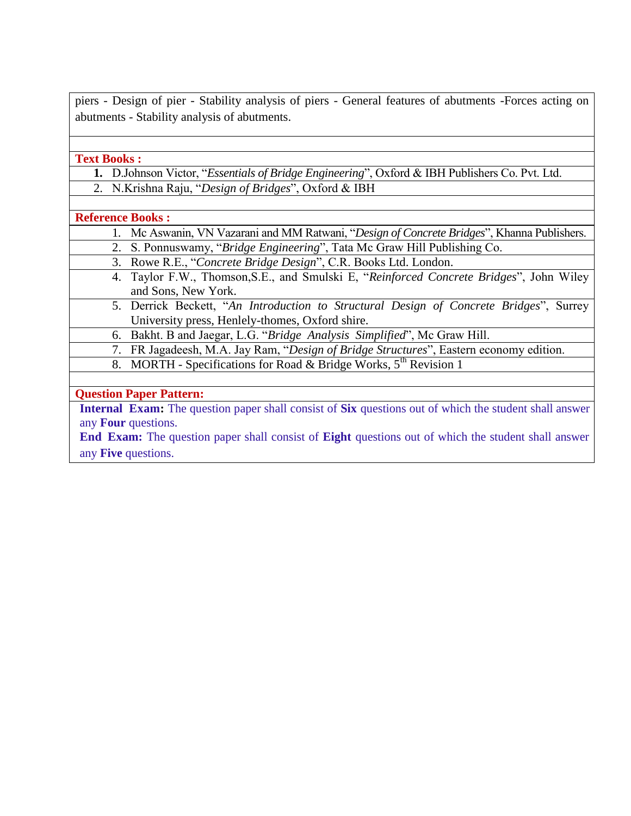piers - Design of pier - Stability analysis of piers - General features of abutments -Forces acting on abutments - Stability analysis of abutments.

**Text Books :**

- **1.** D.Johnson Victor, "*Essentials of Bridge Engineering*", Oxford & IBH Publishers Co. Pvt. Ltd.
- 2. N.Krishna Raju, "*Design of Bridges*", Oxford & IBH

#### **Reference Books :**

- 1. Mc Aswanin, VN Vazarani and MM Ratwani, "*Design of Concrete Bridges*", Khanna Publishers.
- 2. S. Ponnuswamy, "*Bridge Engineering*", Tata Mc Graw Hill Publishing Co.
- 3. Rowe R.E., "*Concrete Bridge Design*", C.R. Books Ltd. London.
- 4. Taylor F.W., Thomson,S.E., and Smulski E, "*Reinforced Concrete Bridges*", John Wiley and Sons, New York.
- 5. Derrick Beckett, "*An Introduction to Structural Design of Concrete Bridges*", Surrey University press, Henlely-thomes, Oxford shire.
- 6. Bakht. B and Jaegar, L.G. "*Bridge Analysis Simplified*", Mc Graw Hill.
- 7. FR Jagadeesh, M.A. Jay Ram, "*Design of Bridge Structures*", Eastern economy edition.
- 8. MORTH Specifications for Road & Bridge Works, 5<sup>th</sup> Revision 1

## **Question Paper Pattern:**

**Internal Exam:** The question paper shall consist of **Six** questions out of which the student shall answer any **Four** questions.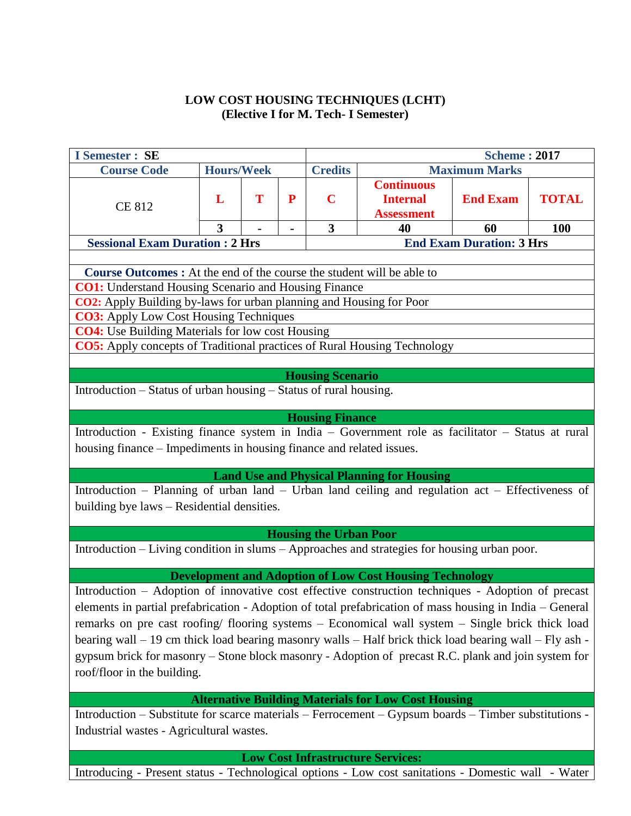## **LOW COST HOUSING TECHNIQUES (LCHT) (Elective I for M. Tech- I Semester)**

| <b>I</b> Semester : SE                                                                                                                                                                                                                                                                                                                                                                                                                                                                                                                                                                                                               |                                                                                                                                                                                                                                                                                                                                                                                   |   |   |                               |                                                            | <b>Scheme: 2017</b>             |              |  |  |
|--------------------------------------------------------------------------------------------------------------------------------------------------------------------------------------------------------------------------------------------------------------------------------------------------------------------------------------------------------------------------------------------------------------------------------------------------------------------------------------------------------------------------------------------------------------------------------------------------------------------------------------|-----------------------------------------------------------------------------------------------------------------------------------------------------------------------------------------------------------------------------------------------------------------------------------------------------------------------------------------------------------------------------------|---|---|-------------------------------|------------------------------------------------------------|---------------------------------|--------------|--|--|
| <b>Course Code</b>                                                                                                                                                                                                                                                                                                                                                                                                                                                                                                                                                                                                                   | <b>Hours/Week</b>                                                                                                                                                                                                                                                                                                                                                                 |   |   | <b>Credits</b>                |                                                            | <b>Maximum Marks</b>            |              |  |  |
| <b>CE 812</b>                                                                                                                                                                                                                                                                                                                                                                                                                                                                                                                                                                                                                        | L                                                                                                                                                                                                                                                                                                                                                                                 | T | P | $\mathbf C$                   | <b>Continuous</b><br><b>Internal</b><br><b>Assessment</b>  | <b>End Exam</b>                 | <b>TOTAL</b> |  |  |
|                                                                                                                                                                                                                                                                                                                                                                                                                                                                                                                                                                                                                                      | 3                                                                                                                                                                                                                                                                                                                                                                                 |   |   | $\overline{\mathbf{3}}$       | 40                                                         | 60                              | <b>100</b>   |  |  |
| <b>Sessional Exam Duration : 2 Hrs</b>                                                                                                                                                                                                                                                                                                                                                                                                                                                                                                                                                                                               |                                                                                                                                                                                                                                                                                                                                                                                   |   |   |                               |                                                            | <b>End Exam Duration: 3 Hrs</b> |              |  |  |
| <b>Course Outcomes :</b> At the end of the course the student will be able to<br><b>CO1:</b> Understand Housing Scenario and Housing Finance<br>CO2: Apply Building by-laws for urban planning and Housing for Poor<br><b>CO3:</b> Apply Low Cost Housing Techniques<br><b>CO4:</b> Use Building Materials for low cost Housing<br><b>CO5:</b> Apply concepts of Traditional practices of Rural Housing Technology<br><b>Housing Scenario</b><br>Introduction - Status of urban housing - Status of rural housing.<br><b>Housing Finance</b>                                                                                         |                                                                                                                                                                                                                                                                                                                                                                                   |   |   |                               |                                                            |                                 |              |  |  |
|                                                                                                                                                                                                                                                                                                                                                                                                                                                                                                                                                                                                                                      | Introduction - Existing finance system in India - Government role as facilitator - Status at rural<br>housing finance – Impediments in housing finance and related issues.<br><b>Land Use and Physical Planning for Housing</b><br>Introduction - Planning of urban land - Urban land ceiling and regulation act - Effectiveness of<br>building bye laws - Residential densities. |   |   |                               |                                                            |                                 |              |  |  |
|                                                                                                                                                                                                                                                                                                                                                                                                                                                                                                                                                                                                                                      |                                                                                                                                                                                                                                                                                                                                                                                   |   |   | <b>Housing the Urban Poor</b> |                                                            |                                 |              |  |  |
| Introduction - Living condition in slums - Approaches and strategies for housing urban poor.                                                                                                                                                                                                                                                                                                                                                                                                                                                                                                                                         |                                                                                                                                                                                                                                                                                                                                                                                   |   |   |                               |                                                            |                                 |              |  |  |
| <b>Development and Adoption of Low Cost Housing Technology</b><br>Introduction - Adoption of innovative cost effective construction techniques - Adoption of precast<br>elements in partial prefabrication - Adoption of total prefabrication of mass housing in India - General<br>remarks on pre cast roofing/ flooring systems – Economical wall system – Single brick thick load<br>bearing wall - 19 cm thick load bearing masonry walls - Half brick thick load bearing wall - Fly ash -<br>gypsum brick for masonry - Stone block masonry - Adoption of precast R.C. plank and join system for<br>roof/floor in the building. |                                                                                                                                                                                                                                                                                                                                                                                   |   |   |                               |                                                            |                                 |              |  |  |
|                                                                                                                                                                                                                                                                                                                                                                                                                                                                                                                                                                                                                                      |                                                                                                                                                                                                                                                                                                                                                                                   |   |   |                               | <b>Alternative Building Materials for Low Cost Housing</b> |                                 |              |  |  |
| Introduction – Substitute for scarce materials – Ferrocement – Gypsum boards – Timber substitutions -<br>Industrial wastes - Agricultural wastes.                                                                                                                                                                                                                                                                                                                                                                                                                                                                                    |                                                                                                                                                                                                                                                                                                                                                                                   |   |   |                               |                                                            |                                 |              |  |  |
|                                                                                                                                                                                                                                                                                                                                                                                                                                                                                                                                                                                                                                      |                                                                                                                                                                                                                                                                                                                                                                                   |   |   |                               | <b>Low Cost Infrastructure Services:</b>                   |                                 |              |  |  |
| Introducing - Present status - Technological options - Low cost sanitations - Domestic wall                                                                                                                                                                                                                                                                                                                                                                                                                                                                                                                                          |                                                                                                                                                                                                                                                                                                                                                                                   |   |   |                               |                                                            |                                 | - Water      |  |  |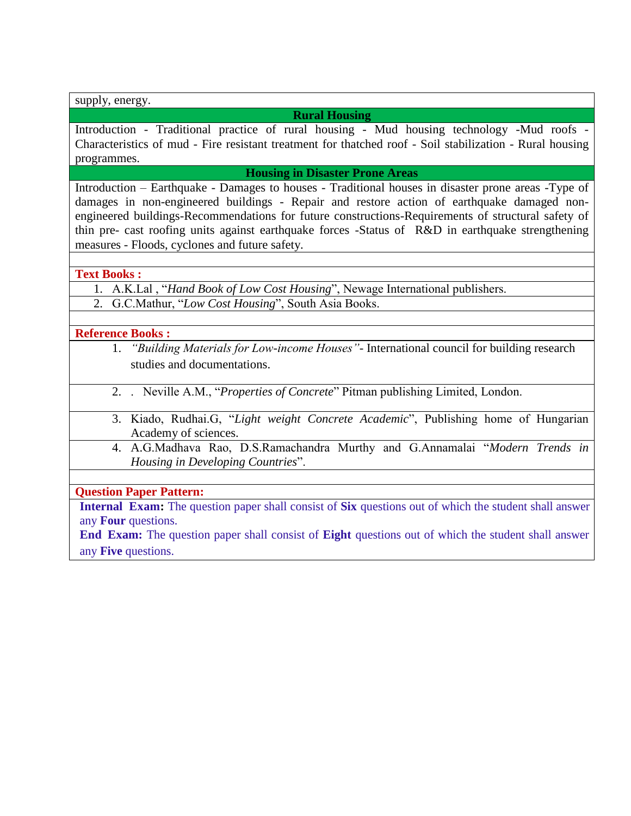supply, energy.

#### **Rural Housing**

Introduction - Traditional practice of rural housing - Mud housing technology -Mud roofs - Characteristics of mud - Fire resistant treatment for thatched roof - Soil stabilization - Rural housing programmes.

**Housing in Disaster Prone Areas**

Introduction – Earthquake - Damages to houses - Traditional houses in disaster prone areas -Type of damages in non-engineered buildings - Repair and restore action of earthquake damaged nonengineered buildings-Recommendations for future constructions-Requirements of structural safety of thin pre- cast roofing units against earthquake forces -Status of R&D in earthquake strengthening measures - Floods, cyclones and future safety.

**Text Books :**

- 1. A.K.Lal , "*Hand Book of Low Cost Housing*", Newage International publishers.
- 2. G.C.Mathur, "*Low Cost Housing*", South Asia Books.

**Reference Books :**

- 1. *"Building Materials for Low-income Houses"* International council for building research studies and documentations.
- 2. . Neville A.M., "*Properties of Concrete*" Pitman publishing Limited, London.
- 3. Kiado, Rudhai.G, "*Light weight Concrete Academic*", Publishing home of Hungarian Academy of sciences.
	- 4. A.G.Madhava Rao, D.S.Ramachandra Murthy and G.Annamalai "*Modern Trends in Housing in Developing Countries*".

**Question Paper Pattern:**

**Internal Exam:** The question paper shall consist of **Six** questions out of which the student shall answer any **Four** questions.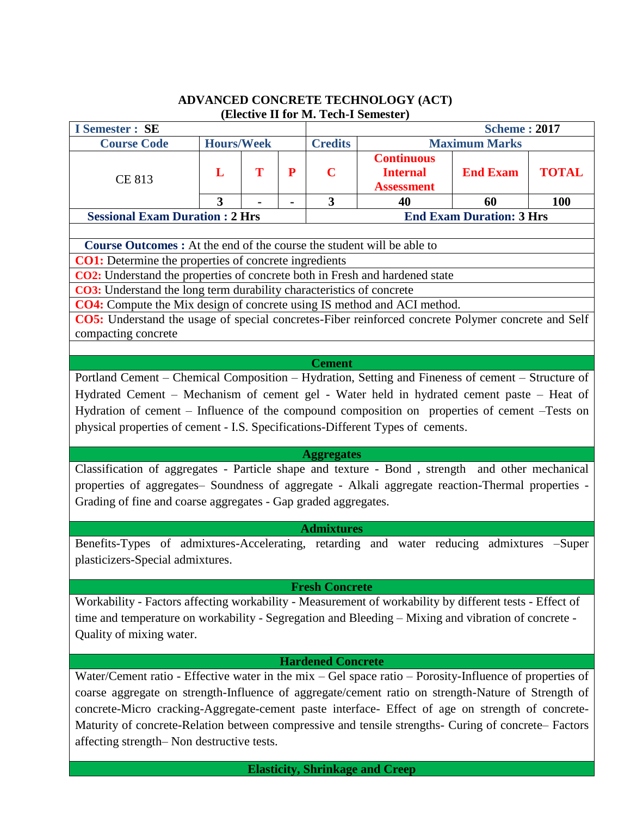## **ADVANCED CONCRETE TECHNOLOGY (ACT) (Elective II for M. Tech-I Semester)**

| <b>I</b> Semester : SE                                                                                                                      |                   |   |   | LICCUTC 11 TOT THE TUCH I DUMESTED |                                                           | <b>Scheme: 2017</b>             |              |  |  |  |
|---------------------------------------------------------------------------------------------------------------------------------------------|-------------------|---|---|------------------------------------|-----------------------------------------------------------|---------------------------------|--------------|--|--|--|
| <b>Course Code</b>                                                                                                                          | <b>Hours/Week</b> |   |   | <b>Credits</b>                     |                                                           | <b>Maximum Marks</b>            |              |  |  |  |
| CE 813                                                                                                                                      | L                 | T | P | $\mathbf C$                        | <b>Continuous</b><br><b>Internal</b><br><b>Assessment</b> | <b>End Exam</b>                 | <b>TOTAL</b> |  |  |  |
|                                                                                                                                             | 3                 |   |   | $\overline{\mathbf{3}}$            | 40                                                        | 60                              | 100          |  |  |  |
| <b>Sessional Exam Duration: 2 Hrs</b>                                                                                                       |                   |   |   |                                    |                                                           | <b>End Exam Duration: 3 Hrs</b> |              |  |  |  |
|                                                                                                                                             |                   |   |   |                                    |                                                           |                                 |              |  |  |  |
| Course Outcomes : At the end of the course the student will be able to                                                                      |                   |   |   |                                    |                                                           |                                 |              |  |  |  |
| <b>CO1:</b> Determine the properties of concrete ingredients<br>CO2: Understand the properties of concrete both in Fresh and hardened state |                   |   |   |                                    |                                                           |                                 |              |  |  |  |
| <b>CO3:</b> Understand the long term durability characteristics of concrete                                                                 |                   |   |   |                                    |                                                           |                                 |              |  |  |  |
| <b>CO4:</b> Compute the Mix design of concrete using IS method and ACI method.                                                              |                   |   |   |                                    |                                                           |                                 |              |  |  |  |
| CO5: Understand the usage of special concretes-Fiber reinforced concrete Polymer concrete and Self                                          |                   |   |   |                                    |                                                           |                                 |              |  |  |  |
| compacting concrete                                                                                                                         |                   |   |   |                                    |                                                           |                                 |              |  |  |  |
|                                                                                                                                             |                   |   |   |                                    |                                                           |                                 |              |  |  |  |
|                                                                                                                                             |                   |   |   | <b>Cement</b>                      |                                                           |                                 |              |  |  |  |
| Portland Cement - Chemical Composition - Hydration, Setting and Fineness of cement - Structure of                                           |                   |   |   |                                    |                                                           |                                 |              |  |  |  |
| Hydrated Cement – Mechanism of cement gel - Water held in hydrated cement paste – Heat of                                                   |                   |   |   |                                    |                                                           |                                 |              |  |  |  |
| Hydration of cement - Influence of the compound composition on properties of cement -Tests on                                               |                   |   |   |                                    |                                                           |                                 |              |  |  |  |
| physical properties of cement - I.S. Specifications-Different Types of cements.                                                             |                   |   |   |                                    |                                                           |                                 |              |  |  |  |
|                                                                                                                                             |                   |   |   |                                    |                                                           |                                 |              |  |  |  |
|                                                                                                                                             |                   |   |   | <b>Aggregates</b>                  |                                                           |                                 |              |  |  |  |
| Classification of aggregates - Particle shape and texture - Bond, strength and other mechanical                                             |                   |   |   |                                    |                                                           |                                 |              |  |  |  |
| properties of aggregates- Soundness of aggregate - Alkali aggregate reaction-Thermal properties -                                           |                   |   |   |                                    |                                                           |                                 |              |  |  |  |
| Grading of fine and coarse aggregates - Gap graded aggregates.                                                                              |                   |   |   |                                    |                                                           |                                 |              |  |  |  |
|                                                                                                                                             |                   |   |   |                                    |                                                           |                                 |              |  |  |  |
|                                                                                                                                             |                   |   |   | <b>Admixtures</b>                  |                                                           |                                 |              |  |  |  |
| Benefits-Types of admixtures-Accelerating, retarding and water reducing admixtures -Super                                                   |                   |   |   |                                    |                                                           |                                 |              |  |  |  |
| plasticizers-Special admixtures.                                                                                                            |                   |   |   |                                    |                                                           |                                 |              |  |  |  |
|                                                                                                                                             |                   |   |   |                                    |                                                           |                                 |              |  |  |  |
|                                                                                                                                             |                   |   |   | <b>Fresh Concrete</b>              |                                                           |                                 |              |  |  |  |
| Workability - Factors affecting workability - Measurement of workability by different tests - Effect of                                     |                   |   |   |                                    |                                                           |                                 |              |  |  |  |
| time and temperature on workability - Segregation and Bleeding - Mixing and vibration of concrete -                                         |                   |   |   |                                    |                                                           |                                 |              |  |  |  |
| Quality of mixing water.                                                                                                                    |                   |   |   |                                    |                                                           |                                 |              |  |  |  |
|                                                                                                                                             |                   |   |   |                                    |                                                           |                                 |              |  |  |  |
|                                                                                                                                             |                   |   |   | <b>Hardened Concrete</b>           |                                                           |                                 |              |  |  |  |
| Water/Cement ratio - Effective water in the mix $-$ Gel space ratio $-$ Porosity-Influence of properties of                                 |                   |   |   |                                    |                                                           |                                 |              |  |  |  |
| coarse aggregate on strength-Influence of aggregate/cement ratio on strength-Nature of Strength of                                          |                   |   |   |                                    |                                                           |                                 |              |  |  |  |
| concrete-Micro cracking-Aggregate-cement paste interface- Effect of age on strength of concrete-                                            |                   |   |   |                                    |                                                           |                                 |              |  |  |  |
| Maturity of concrete-Relation between compressive and tensile strengths- Curing of concrete- Factors                                        |                   |   |   |                                    |                                                           |                                 |              |  |  |  |
| affecting strength– Non destructive tests.                                                                                                  |                   |   |   |                                    |                                                           |                                 |              |  |  |  |
|                                                                                                                                             |                   |   |   |                                    |                                                           |                                 |              |  |  |  |
|                                                                                                                                             |                   |   |   |                                    | <b>Elasticity, Shrinkage and Creep</b>                    |                                 |              |  |  |  |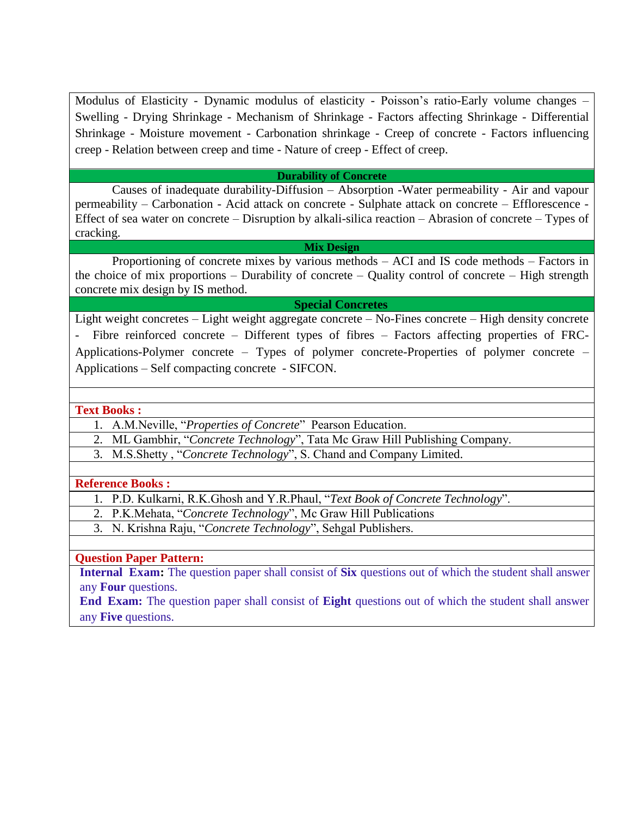Modulus of Elasticity - Dynamic modulus of elasticity - Poisson's ratio-Early volume changes – Swelling - Drying Shrinkage - Mechanism of Shrinkage - Factors affecting Shrinkage - Differential Shrinkage - Moisture movement - Carbonation shrinkage - Creep of concrete - Factors influencing creep - Relation between creep and time - Nature of creep - Effect of creep.

#### **Durability of Concrete**

Causes of inadequate durability-Diffusion – Absorption -Water permeability - Air and vapour permeability – Carbonation - Acid attack on concrete - Sulphate attack on concrete – Efflorescence - Effect of sea water on concrete – Disruption by alkali-silica reaction – Abrasion of concrete – Types of cracking.

#### **Mix Design**

Proportioning of concrete mixes by various methods – ACI and IS code methods – Factors in the choice of mix proportions – Durability of concrete – Quality control of concrete – High strength concrete mix design by IS method.

#### **Special Concretes**

Light weight concretes – Light weight aggregate concrete – No-Fines concrete – High density concrete - Fibre reinforced concrete – Different types of fibres – Factors affecting properties of FRC-Applications-Polymer concrete – Types of polymer concrete-Properties of polymer concrete – Applications – Self compacting concrete - SIFCON.

#### **Text Books :**

- 1. A.M.Neville, "*Properties of Concrete*" Pearson Education.
- 2. ML Gambhir, "*Concrete Technology*", Tata Mc Graw Hill Publishing Company.
- 3. M.S.Shetty , "*Concrete Technology*", S. Chand and Company Limited.

#### **Reference Books :**

- 1. P.D. Kulkarni, R.K.Ghosh and Y.R.Phaul, "*Text Book of Concrete Technology*".
- 2. P.K.Mehata, "*Concrete Technology*", Mc Graw Hill Publications
- 3. N. Krishna Raju, "*Concrete Technology*", Sehgal Publishers.

#### **Question Paper Pattern:**

**Internal Exam:** The question paper shall consist of **Six** questions out of which the student shall answer any **Four** questions.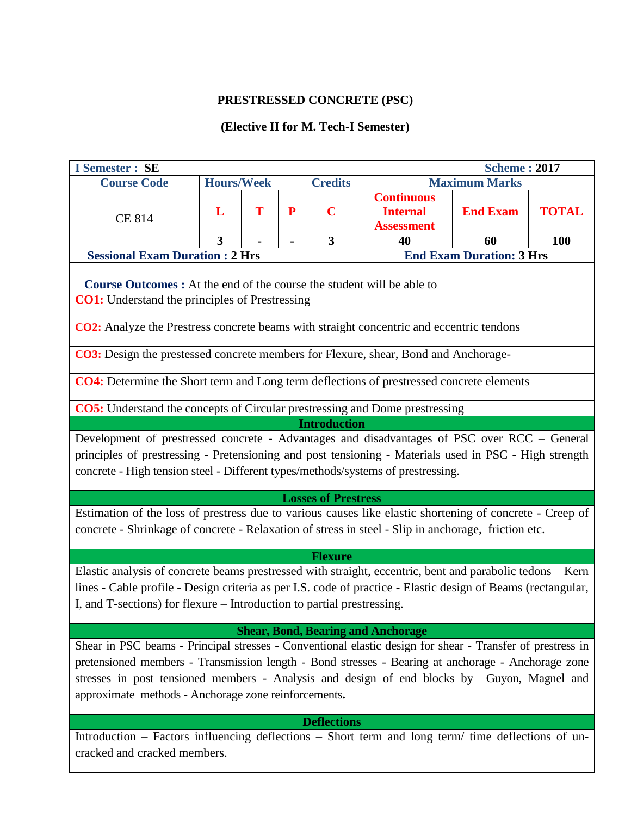## **PRESTRESSED CONCRETE (PSC)**

## **(Elective II for M. Tech-I Semester)**

| <b>I</b> Semester : SE                                                                                                                                                                                                                                                                                                                                                                                               |                         |   |   |                            |                                                           | <b>Scheme: 2017</b>             |              |  |  |  |
|----------------------------------------------------------------------------------------------------------------------------------------------------------------------------------------------------------------------------------------------------------------------------------------------------------------------------------------------------------------------------------------------------------------------|-------------------------|---|---|----------------------------|-----------------------------------------------------------|---------------------------------|--------------|--|--|--|
| <b>Course Code</b>                                                                                                                                                                                                                                                                                                                                                                                                   | <b>Hours/Week</b>       |   |   | <b>Credits</b>             |                                                           | <b>Maximum Marks</b>            |              |  |  |  |
| <b>CE 814</b>                                                                                                                                                                                                                                                                                                                                                                                                        | L                       | T | P | $\mathbf C$                | <b>Continuous</b><br><b>Internal</b><br><b>Assessment</b> | <b>End Exam</b>                 | <b>TOTAL</b> |  |  |  |
|                                                                                                                                                                                                                                                                                                                                                                                                                      | $\overline{\mathbf{3}}$ |   |   | $\overline{\mathbf{3}}$    | 40                                                        | 60                              | 100          |  |  |  |
| <b>Sessional Exam Duration : 2 Hrs</b>                                                                                                                                                                                                                                                                                                                                                                               |                         |   |   |                            |                                                           | <b>End Exam Duration: 3 Hrs</b> |              |  |  |  |
| Course Outcomes : At the end of the course the student will be able to                                                                                                                                                                                                                                                                                                                                               |                         |   |   |                            |                                                           |                                 |              |  |  |  |
|                                                                                                                                                                                                                                                                                                                                                                                                                      |                         |   |   |                            |                                                           |                                 |              |  |  |  |
| <b>CO1:</b> Understand the principles of Prestressing                                                                                                                                                                                                                                                                                                                                                                |                         |   |   |                            |                                                           |                                 |              |  |  |  |
| <b>CO2:</b> Analyze the Prestress concrete beams with straight concentric and eccentric tendons                                                                                                                                                                                                                                                                                                                      |                         |   |   |                            |                                                           |                                 |              |  |  |  |
| CO3: Design the prestessed concrete members for Flexure, shear, Bond and Anchorage-                                                                                                                                                                                                                                                                                                                                  |                         |   |   |                            |                                                           |                                 |              |  |  |  |
| CO4: Determine the Short term and Long term deflections of prestressed concrete elements                                                                                                                                                                                                                                                                                                                             |                         |   |   |                            |                                                           |                                 |              |  |  |  |
| <b>CO5:</b> Understand the concepts of Circular prestressing and Dome prestressing                                                                                                                                                                                                                                                                                                                                   |                         |   |   |                            |                                                           |                                 |              |  |  |  |
| <b>Introduction</b>                                                                                                                                                                                                                                                                                                                                                                                                  |                         |   |   |                            |                                                           |                                 |              |  |  |  |
| Development of prestressed concrete - Advantages and disadvantages of PSC over RCC - General<br>principles of prestressing - Pretensioning and post tensioning - Materials used in PSC - High strength<br>concrete - High tension steel - Different types/methods/systems of prestressing.                                                                                                                           |                         |   |   | <b>Losses of Prestress</b> |                                                           |                                 |              |  |  |  |
| Estimation of the loss of prestress due to various causes like elastic shortening of concrete - Creep of<br>concrete - Shrinkage of concrete - Relaxation of stress in steel - Slip in anchorage, friction etc.                                                                                                                                                                                                      |                         |   |   |                            |                                                           |                                 |              |  |  |  |
|                                                                                                                                                                                                                                                                                                                                                                                                                      |                         |   |   | <b>Flexure</b>             |                                                           |                                 |              |  |  |  |
| Elastic analysis of concrete beams prestressed with straight, eccentric, bent and parabolic tedons – Kern<br>lines - Cable profile - Design criteria as per I.S. code of practice - Elastic design of Beams (rectangular,<br>I, and T-sections) for flexure – Introduction to partial prestressing.                                                                                                                  |                         |   |   |                            |                                                           |                                 |              |  |  |  |
|                                                                                                                                                                                                                                                                                                                                                                                                                      |                         |   |   |                            |                                                           |                                 |              |  |  |  |
| <b>Shear, Bond, Bearing and Anchorage</b><br>Shear in PSC beams - Principal stresses - Conventional elastic design for shear - Transfer of prestress in<br>pretensioned members - Transmission length - Bond stresses - Bearing at anchorage - Anchorage zone<br>stresses in post tensioned members - Analysis and design of end blocks by Guyon, Magnel and<br>approximate methods - Anchorage zone reinforcements. |                         |   |   |                            |                                                           |                                 |              |  |  |  |
|                                                                                                                                                                                                                                                                                                                                                                                                                      |                         |   |   | <b>Deflections</b>         |                                                           |                                 |              |  |  |  |
| Introduction – Factors influencing deflections – Short term and long term/ time deflections of un-<br>cracked and cracked members.                                                                                                                                                                                                                                                                                   |                         |   |   |                            |                                                           |                                 |              |  |  |  |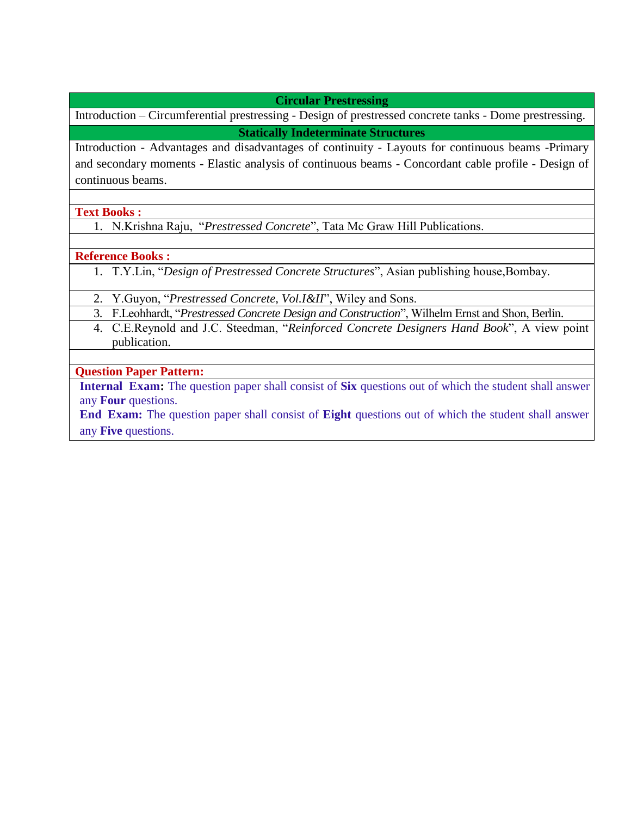**Circular Prestressing**

Introduction – Circumferential prestressing - Design of prestressed concrete tanks - Dome prestressing. **Statically Indeterminate Structures**

Introduction - Advantages and disadvantages of continuity - Layouts for continuous beams -Primary and secondary moments - Elastic analysis of continuous beams - Concordant cable profile - Design of continuous beams.

**Text Books :**

1. N.Krishna Raju, "*Prestressed Concrete*", Tata Mc Graw Hill Publications.

**Reference Books :**

1. T.Y.Lin, "*Design of Prestressed Concrete Structures*", Asian publishing house,Bombay.

2. Y.Guyon, "*Prestressed Concrete, Vol.I&II*", Wiley and Sons.

3. F.Leohhardt, "*Prestressed Concrete Design and Construction*", Wilhelm Ernst and Shon, Berlin.

4. C.E.Reynold and J.C. Steedman, "*Reinforced Concrete Designers Hand Book*", A view point publication.

**Question Paper Pattern:**

**Internal Exam:** The question paper shall consist of **Six** questions out of which the student shall answer any **Four** questions.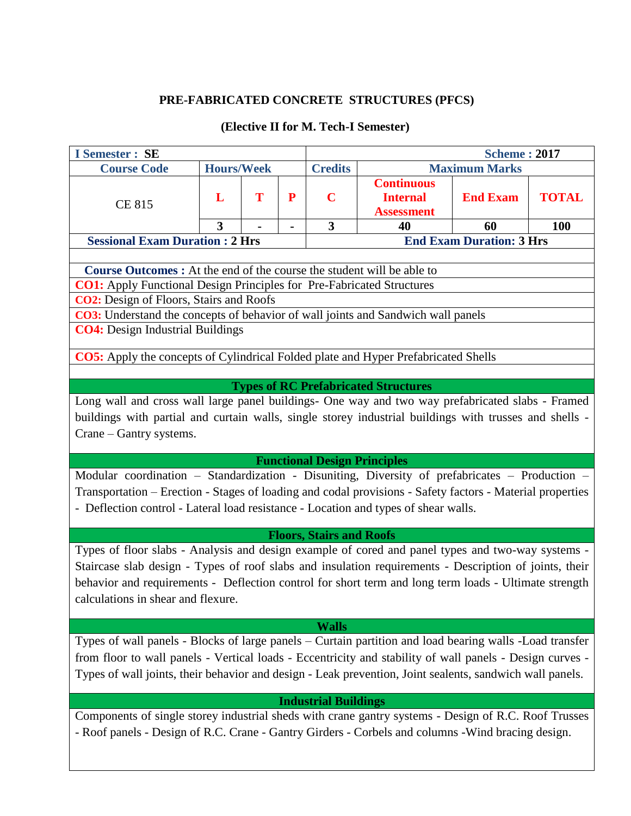# **PRE-FABRICATED CONCRETE STRUCTURES (PFCS)**

# **(Elective II for M. Tech-I Semester)**

| <b>I</b> Semester : SE                                                                                                                                                                                                                                                                                                                                                                                                                                                                                                                                                                                                                                                                                                                                                                                                                                                                                                                                                              |                   |   |   |                                                                                |                                                           | <b>Scheme: 2017</b>                          |  |  |  |  |  |
|-------------------------------------------------------------------------------------------------------------------------------------------------------------------------------------------------------------------------------------------------------------------------------------------------------------------------------------------------------------------------------------------------------------------------------------------------------------------------------------------------------------------------------------------------------------------------------------------------------------------------------------------------------------------------------------------------------------------------------------------------------------------------------------------------------------------------------------------------------------------------------------------------------------------------------------------------------------------------------------|-------------------|---|---|--------------------------------------------------------------------------------|-----------------------------------------------------------|----------------------------------------------|--|--|--|--|--|
| <b>Course Code</b>                                                                                                                                                                                                                                                                                                                                                                                                                                                                                                                                                                                                                                                                                                                                                                                                                                                                                                                                                                  | <b>Hours/Week</b> |   |   | <b>Credits</b>                                                                 |                                                           | <b>Maximum Marks</b>                         |  |  |  |  |  |
| <b>CE 815</b>                                                                                                                                                                                                                                                                                                                                                                                                                                                                                                                                                                                                                                                                                                                                                                                                                                                                                                                                                                       | L                 | T | P | $\mathbf C$                                                                    | <b>Continuous</b><br><b>Internal</b><br><b>Assessment</b> | <b>TOTAL</b><br><b>End Exam</b><br>100<br>60 |  |  |  |  |  |
|                                                                                                                                                                                                                                                                                                                                                                                                                                                                                                                                                                                                                                                                                                                                                                                                                                                                                                                                                                                     | $\overline{3}$    |   |   | 3                                                                              | 40                                                        |                                              |  |  |  |  |  |
| <b>Sessional Exam Duration: 2 Hrs</b>                                                                                                                                                                                                                                                                                                                                                                                                                                                                                                                                                                                                                                                                                                                                                                                                                                                                                                                                               |                   |   |   |                                                                                |                                                           | <b>End Exam Duration: 3 Hrs</b>              |  |  |  |  |  |
| <b>Course Outcomes :</b> At the end of the course the student will be able to<br><b>CO1:</b> Apply Functional Design Principles for Pre-Fabricated Structures<br>CO2: Design of Floors, Stairs and Roofs<br>CO3: Understand the concepts of behavior of wall joints and Sandwich wall panels<br><b>CO4:</b> Design Industrial Buildings<br><b>CO5:</b> Apply the concepts of Cylindrical Folded plate and Hyper Prefabricated Shells<br>Long wall and cross wall large panel buildings- One way and two way prefabricated slabs - Framed<br>buildings with partial and curtain walls, single storey industrial buildings with trusses and shells -<br>Crane – Gantry systems.<br>Modular coordination - Standardization - Disuniting, Diversity of prefabricates - Production -<br>Transportation - Erection - Stages of loading and codal provisions - Safety factors - Material properties<br>- Deflection control - Lateral load resistance - Location and types of shear walls. |                   |   |   | <b>Functional Design Principles</b>                                            | <b>Types of RC Prefabricated Structures</b>               |                                              |  |  |  |  |  |
| Types of floor slabs - Analysis and design example of cored and panel types and two-way systems -<br>Staircase slab design - Types of roof slabs and insulation requirements - Description of joints, their<br>behavior and requirements - Deflection control for short term and long term loads - Ultimate strength<br>calculations in shear and flexure.<br>Types of wall panels - Blocks of large panels - Curtain partition and load bearing walls -Load transfer<br>from floor to wall panels - Vertical loads - Eccentricity and stability of wall panels - Design curves -<br>Types of wall joints, their behavior and design - Leak prevention, Joint sealents, sandwich wall panels.<br>Components of single storey industrial sheds with crane gantry systems - Design of R.C. Roof Trusses<br>- Roof panels - Design of R.C. Crane - Gantry Girders - Corbels and columns - Wind bracing design.                                                                         |                   |   |   | <b>Floors, Stairs and Roofs</b><br><b>Walls</b><br><b>Industrial Buildings</b> |                                                           |                                              |  |  |  |  |  |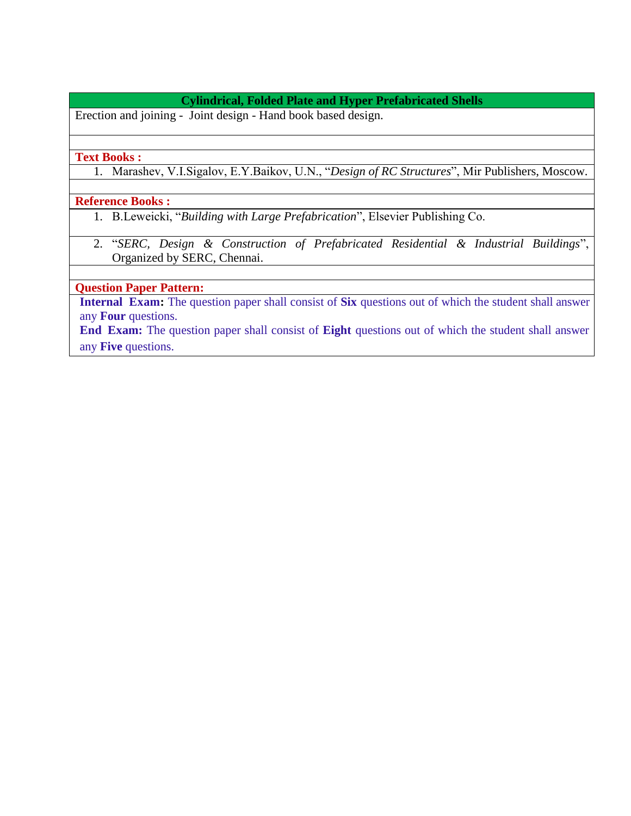## **Cylindrical, Folded Plate and Hyper Prefabricated Shells**

Erection and joining - Joint design - Hand book based design.

#### **Text Books :**

1. Marashev, V.I.Sigalov, E.Y.Baikov, U.N., "*Design of RC Structures*", Mir Publishers, Moscow.

## **Reference Books :**

- 1. B.Leweicki, "*Building with Large Prefabrication*", Elsevier Publishing Co.
- 2. "*SERC, Design & Construction of Prefabricated Residential & Industrial Buildings*", Organized by SERC, Chennai.

## **Question Paper Pattern:**

**Internal Exam:** The question paper shall consist of **Six** questions out of which the student shall answer any **Four** questions.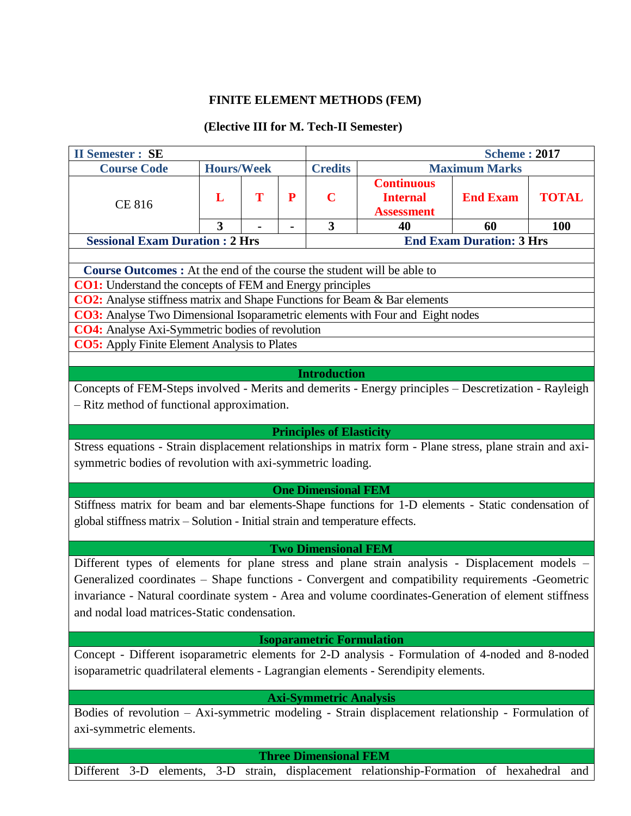# **FINITE ELEMENT METHODS (FEM)**

## **(Elective III for M. Tech-II Semester)**

| <b>II Semester : SE</b>                                                                                                                        |                   |   |           |                                        |                                                               | <b>Scheme: 2017</b>             |              |  |  |
|------------------------------------------------------------------------------------------------------------------------------------------------|-------------------|---|-----------|----------------------------------------|---------------------------------------------------------------|---------------------------------|--------------|--|--|
| <b>Course Code</b>                                                                                                                             | <b>Hours/Week</b> |   |           | <b>Credits</b><br><b>Maximum Marks</b> |                                                               |                                 |              |  |  |
|                                                                                                                                                | L                 | T | ${\bf P}$ | $\mathbf C$                            | <b>Continuous</b><br><b>Internal</b>                          | <b>End Exam</b>                 | <b>TOTAL</b> |  |  |
| <b>CE 816</b>                                                                                                                                  |                   |   |           |                                        | <b>Assessment</b>                                             |                                 |              |  |  |
|                                                                                                                                                | 3                 |   | -         | 3                                      | 40                                                            | 60                              | <b>100</b>   |  |  |
| <b>Sessional Exam Duration : 2 Hrs</b>                                                                                                         |                   |   |           |                                        |                                                               | <b>End Exam Duration: 3 Hrs</b> |              |  |  |
|                                                                                                                                                |                   |   |           |                                        |                                                               |                                 |              |  |  |
| <b>Course Outcomes:</b> At the end of the course the student will be able to                                                                   |                   |   |           |                                        |                                                               |                                 |              |  |  |
| <b>CO1:</b> Understand the concepts of FEM and Energy principles                                                                               |                   |   |           |                                        |                                                               |                                 |              |  |  |
| <b>CO2:</b> Analyse stiffness matrix and Shape Functions for Beam & Bar elements                                                               |                   |   |           |                                        |                                                               |                                 |              |  |  |
| <b>CO3:</b> Analyse Two Dimensional Isoparametric elements with Four and Eight nodes<br><b>CO4:</b> Analyse Axi-Symmetric bodies of revolution |                   |   |           |                                        |                                                               |                                 |              |  |  |
| <b>CO5:</b> Apply Finite Element Analysis to Plates                                                                                            |                   |   |           |                                        |                                                               |                                 |              |  |  |
|                                                                                                                                                |                   |   |           |                                        |                                                               |                                 |              |  |  |
|                                                                                                                                                |                   |   |           | <b>Introduction</b>                    |                                                               |                                 |              |  |  |
| Concepts of FEM-Steps involved - Merits and demerits - Energy principles - Descretization - Rayleigh                                           |                   |   |           |                                        |                                                               |                                 |              |  |  |
| - Ritz method of functional approximation.                                                                                                     |                   |   |           |                                        |                                                               |                                 |              |  |  |
|                                                                                                                                                |                   |   |           |                                        |                                                               |                                 |              |  |  |
|                                                                                                                                                |                   |   |           | <b>Principles of Elasticity</b>        |                                                               |                                 |              |  |  |
| Stress equations - Strain displacement relationships in matrix form - Plane stress, plane strain and axi-                                      |                   |   |           |                                        |                                                               |                                 |              |  |  |
| symmetric bodies of revolution with axi-symmetric loading.                                                                                     |                   |   |           |                                        |                                                               |                                 |              |  |  |
|                                                                                                                                                |                   |   |           |                                        |                                                               |                                 |              |  |  |
| Stiffness matrix for beam and bar elements-Shape functions for 1-D elements - Static condensation of                                           |                   |   |           | <b>One Dimensional FEM</b>             |                                                               |                                 |              |  |  |
|                                                                                                                                                |                   |   |           |                                        |                                                               |                                 |              |  |  |
| global stiffness matrix - Solution - Initial strain and temperature effects.                                                                   |                   |   |           |                                        |                                                               |                                 |              |  |  |
|                                                                                                                                                |                   |   |           | <b>Two Dimensional FEM</b>             |                                                               |                                 |              |  |  |
| Different types of elements for plane stress and plane strain analysis - Displacement models –                                                 |                   |   |           |                                        |                                                               |                                 |              |  |  |
| Generalized coordinates – Shape functions - Convergent and compatibility requirements -Geometric                                               |                   |   |           |                                        |                                                               |                                 |              |  |  |
| invariance - Natural coordinate system - Area and volume coordinates-Generation of element stiffness                                           |                   |   |           |                                        |                                                               |                                 |              |  |  |
| and nodal load matrices-Static condensation.                                                                                                   |                   |   |           |                                        |                                                               |                                 |              |  |  |
|                                                                                                                                                |                   |   |           |                                        |                                                               |                                 |              |  |  |
|                                                                                                                                                |                   |   |           | <b>Isoparametric Formulation</b>       |                                                               |                                 |              |  |  |
| Concept - Different isoparametric elements for 2-D analysis - Formulation of 4-noded and 8-noded                                               |                   |   |           |                                        |                                                               |                                 |              |  |  |
| isoparametric quadrilateral elements - Lagrangian elements - Serendipity elements.                                                             |                   |   |           |                                        |                                                               |                                 |              |  |  |
|                                                                                                                                                |                   |   |           |                                        |                                                               |                                 |              |  |  |
|                                                                                                                                                |                   |   |           | <b>Axi-Symmetric Analysis</b>          |                                                               |                                 |              |  |  |
| Bodies of revolution - Axi-symmetric modeling - Strain displacement relationship - Formulation of                                              |                   |   |           |                                        |                                                               |                                 |              |  |  |
| axi-symmetric elements.                                                                                                                        |                   |   |           |                                        |                                                               |                                 |              |  |  |
|                                                                                                                                                |                   |   |           | <b>Three Dimensional FEM</b>           |                                                               |                                 |              |  |  |
| Different 3-D                                                                                                                                  | elements, 3-D     |   |           |                                        | strain, displacement relationship-Formation of hexahedral and |                                 |              |  |  |
|                                                                                                                                                |                   |   |           |                                        |                                                               |                                 |              |  |  |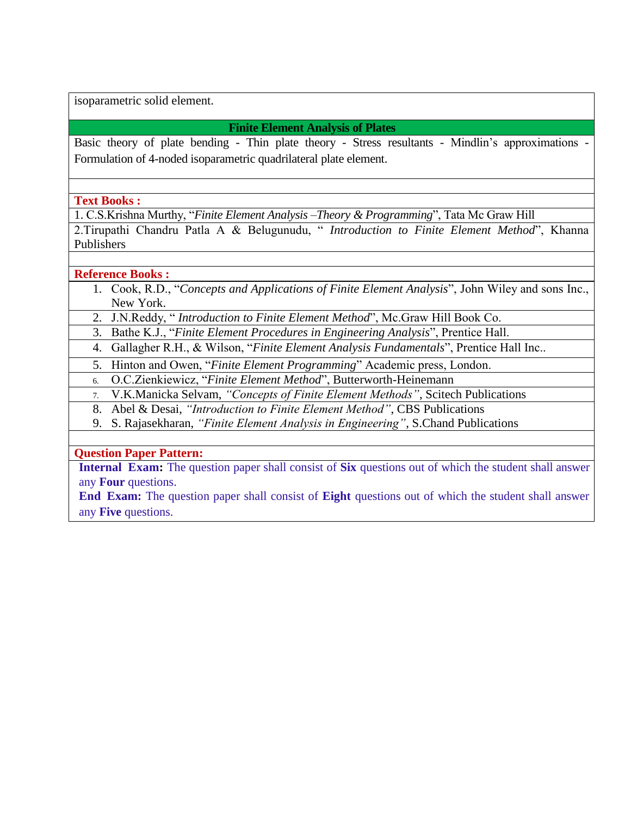isoparametric solid element.

## **Finite Element Analysis of Plates**

Basic theory of plate bending - Thin plate theory - Stress resultants - Mindlin's approximations - Formulation of 4-noded isoparametric quadrilateral plate element.

## **Text Books :**

1. C.S.Krishna Murthy, "*Finite Element Analysis –Theory & Programming*", Tata Mc Graw Hill

2.Tirupathi Chandru Patla A & Belugunudu, " *Introduction to Finite Element Method*", Khanna Publishers

## **Reference Books :**

1. Cook, R.D., "*Concepts and Applications of Finite Element Analysis*", John Wiley and sons Inc., New York.

2. J.N.Reddy, " *Introduction to Finite Element Method*", Mc.Graw Hill Book Co.

3. Bathe K.J., "*Finite Element Procedures in Engineering Analysis*", Prentice Hall.

4. Gallagher R.H., & Wilson, "*Finite Element Analysis Fundamentals*", Prentice Hall Inc..

5. Hinton and Owen, "*Finite Element Programming*" Academic press, London.

6. O.C.Zienkiewicz, "*Finite Element Method*", Butterworth-Heinemann

7. V.K.Manicka Selvam, *"Concepts of Finite Element Methods"*, Scitech Publications

8. Abel & Desai, *"Introduction to Finite Element Method"*, CBS Publications

9. S. Rajasekharan, *"Finite Element Analysis in Engineering"*, S.Chand Publications

## **Question Paper Pattern:**

**Internal Exam:** The question paper shall consist of **Six** questions out of which the student shall answer any **Four** questions.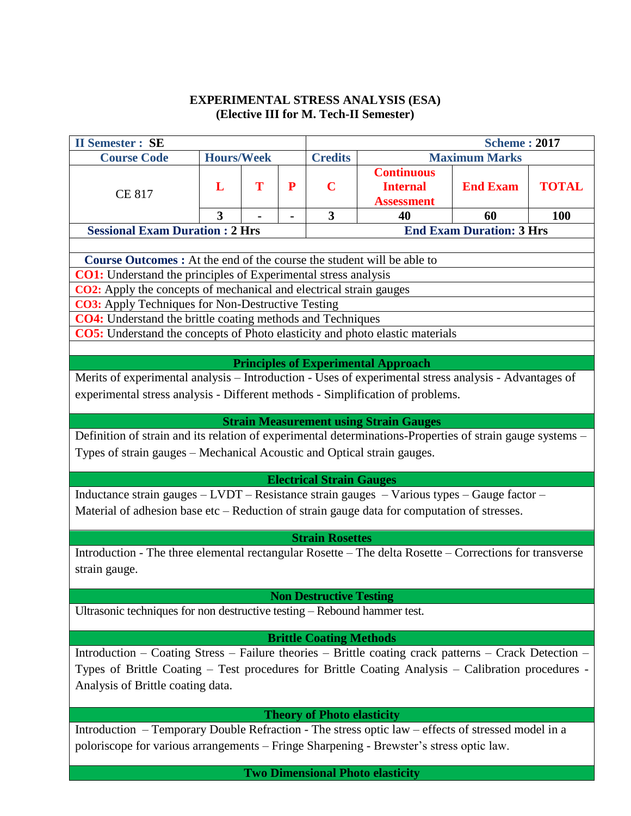## **EXPERIMENTAL STRESS ANALYSIS (ESA) (Elective III for M. Tech-II Semester)**

| <b>II Semester : SE</b>                                                                                                                                                                                                                                                                                                                                                                                                                                                                                                                                                                                                                                                                                                                                                                                                                                                                                                         |                   |   |           |                                   |                                                           | <b>Scheme: 2017</b>             |              |  |  |
|---------------------------------------------------------------------------------------------------------------------------------------------------------------------------------------------------------------------------------------------------------------------------------------------------------------------------------------------------------------------------------------------------------------------------------------------------------------------------------------------------------------------------------------------------------------------------------------------------------------------------------------------------------------------------------------------------------------------------------------------------------------------------------------------------------------------------------------------------------------------------------------------------------------------------------|-------------------|---|-----------|-----------------------------------|-----------------------------------------------------------|---------------------------------|--------------|--|--|
| <b>Course Code</b>                                                                                                                                                                                                                                                                                                                                                                                                                                                                                                                                                                                                                                                                                                                                                                                                                                                                                                              | <b>Hours/Week</b> |   |           | <b>Credits</b>                    |                                                           | <b>Maximum Marks</b>            |              |  |  |
| <b>CE 817</b>                                                                                                                                                                                                                                                                                                                                                                                                                                                                                                                                                                                                                                                                                                                                                                                                                                                                                                                   | L                 | T | ${\bf P}$ | $\mathbf C$                       | <b>Continuous</b><br><b>Internal</b><br><b>Assessment</b> | <b>End Exam</b>                 | <b>TOTAL</b> |  |  |
|                                                                                                                                                                                                                                                                                                                                                                                                                                                                                                                                                                                                                                                                                                                                                                                                                                                                                                                                 | 3                 |   |           | 3                                 | 40                                                        | 60                              | 100          |  |  |
| <b>Sessional Exam Duration: 2 Hrs</b>                                                                                                                                                                                                                                                                                                                                                                                                                                                                                                                                                                                                                                                                                                                                                                                                                                                                                           |                   |   |           |                                   |                                                           | <b>End Exam Duration: 3 Hrs</b> |              |  |  |
| <b>Course Outcomes :</b> At the end of the course the student will be able to<br><b>CO1:</b> Understand the principles of Experimental stress analysis<br><b>CO2:</b> Apply the concepts of mechanical and electrical strain gauges<br><b>CO3:</b> Apply Techniques for Non-Destructive Testing<br>CO4: Understand the brittle coating methods and Techniques<br>CO5: Understand the concepts of Photo elasticity and photo elastic materials<br><b>Principles of Experimental Approach</b><br>Merits of experimental analysis - Introduction - Uses of experimental stress analysis - Advantages of<br>experimental stress analysis - Different methods - Simplification of problems.<br><b>Strain Measurement using Strain Gauges</b><br>Definition of strain and its relation of experimental determinations-Properties of strain gauge systems -<br>Types of strain gauges – Mechanical Acoustic and Optical strain gauges. |                   |   |           |                                   |                                                           |                                 |              |  |  |
|                                                                                                                                                                                                                                                                                                                                                                                                                                                                                                                                                                                                                                                                                                                                                                                                                                                                                                                                 |                   |   |           | <b>Electrical Strain Gauges</b>   |                                                           |                                 |              |  |  |
| Inductance strain gauges - LVDT - Resistance strain gauges - Various types - Gauge factor -<br>Material of adhesion base etc – Reduction of strain gauge data for computation of stresses.                                                                                                                                                                                                                                                                                                                                                                                                                                                                                                                                                                                                                                                                                                                                      |                   |   |           |                                   |                                                           |                                 |              |  |  |
| Introduction - The three elemental rectangular Rosette - The delta Rosette - Corrections for transverse<br>strain gauge.                                                                                                                                                                                                                                                                                                                                                                                                                                                                                                                                                                                                                                                                                                                                                                                                        |                   |   |           | <b>Strain Rosettes</b>            |                                                           |                                 |              |  |  |
|                                                                                                                                                                                                                                                                                                                                                                                                                                                                                                                                                                                                                                                                                                                                                                                                                                                                                                                                 |                   |   |           | <b>Non Destructive Testing</b>    |                                                           |                                 |              |  |  |
| Ultrasonic techniques for non destructive testing - Rebound hammer test.                                                                                                                                                                                                                                                                                                                                                                                                                                                                                                                                                                                                                                                                                                                                                                                                                                                        |                   |   |           |                                   |                                                           |                                 |              |  |  |
| <b>Brittle Coating Methods</b><br>Introduction – Coating Stress – Failure theories – Brittle coating crack patterns – Crack Detection –<br>Types of Brittle Coating - Test procedures for Brittle Coating Analysis - Calibration procedures -<br>Analysis of Brittle coating data.                                                                                                                                                                                                                                                                                                                                                                                                                                                                                                                                                                                                                                              |                   |   |           |                                   |                                                           |                                 |              |  |  |
|                                                                                                                                                                                                                                                                                                                                                                                                                                                                                                                                                                                                                                                                                                                                                                                                                                                                                                                                 |                   |   |           | <b>Theory of Photo elasticity</b> |                                                           |                                 |              |  |  |
| Introduction - Temporary Double Refraction - The stress optic law - effects of stressed model in a<br>poloriscope for various arrangements - Fringe Sharpening - Brewster's stress optic law.                                                                                                                                                                                                                                                                                                                                                                                                                                                                                                                                                                                                                                                                                                                                   |                   |   |           |                                   |                                                           |                                 |              |  |  |
|                                                                                                                                                                                                                                                                                                                                                                                                                                                                                                                                                                                                                                                                                                                                                                                                                                                                                                                                 |                   |   |           |                                   | <b>Two Dimensional Photo elasticity</b>                   |                                 |              |  |  |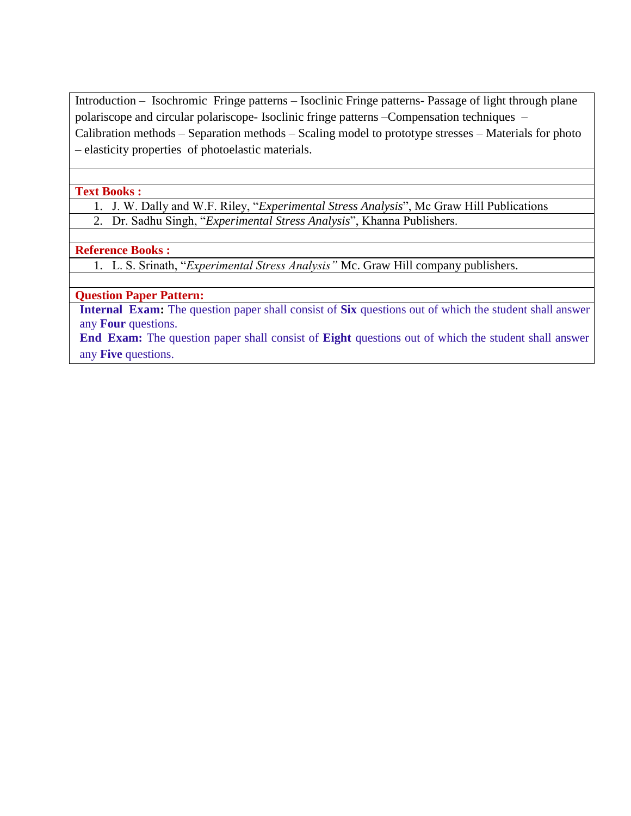Introduction – Isochromic Fringe patterns – Isoclinic Fringe patterns- Passage of light through plane polariscope and circular polariscope- Isoclinic fringe patterns –Compensation techniques – Calibration methods – Separation methods – Scaling model to prototype stresses – Materials for photo – elasticity properties of photoelastic materials.

#### **Text Books :**

- 1. J. W. Dally and W.F. Riley, "*Experimental Stress Analysis*", Mc Graw Hill Publications
- 2. Dr. Sadhu Singh, "*Experimental Stress Analysis*", Khanna Publishers.

## **Reference Books :**

1. L. S. Srinath, "*Experimental Stress Analysis"* Mc. Graw Hill company publishers.

## **Question Paper Pattern:**

**Internal Exam:** The question paper shall consist of **Six** questions out of which the student shall answer any **Four** questions.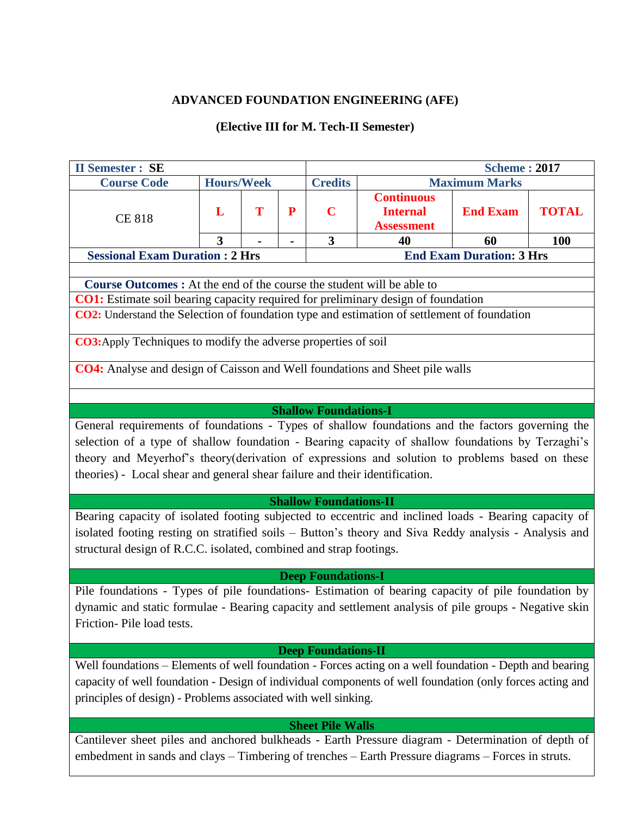## **ADVANCED FOUNDATION ENGINEERING (AFE)**

# **(Elective III for M. Tech-II Semester)**

| <b>Scheme: 2017</b><br><b>II Semester : SE</b>                                                                                                                                                                                                                                                                                                                                                                                                                                                                                                                                                                                                                                                                                                                        |                   |   |   |                         |                                                           |                      |              |  |  |
|-----------------------------------------------------------------------------------------------------------------------------------------------------------------------------------------------------------------------------------------------------------------------------------------------------------------------------------------------------------------------------------------------------------------------------------------------------------------------------------------------------------------------------------------------------------------------------------------------------------------------------------------------------------------------------------------------------------------------------------------------------------------------|-------------------|---|---|-------------------------|-----------------------------------------------------------|----------------------|--------------|--|--|
| <b>Course Code</b>                                                                                                                                                                                                                                                                                                                                                                                                                                                                                                                                                                                                                                                                                                                                                    | <b>Hours/Week</b> |   |   | <b>Credits</b>          |                                                           | <b>Maximum Marks</b> |              |  |  |
| <b>CE 818</b>                                                                                                                                                                                                                                                                                                                                                                                                                                                                                                                                                                                                                                                                                                                                                         | L                 | T | P | $\mathbf C$             | <b>Continuous</b><br><b>Internal</b><br><b>Assessment</b> | <b>End Exam</b>      | <b>TOTAL</b> |  |  |
|                                                                                                                                                                                                                                                                                                                                                                                                                                                                                                                                                                                                                                                                                                                                                                       | 3                 |   |   | $\overline{\mathbf{3}}$ | 40                                                        | 60                   | 100          |  |  |
| <b>Sessional Exam Duration : 2 Hrs</b>                                                                                                                                                                                                                                                                                                                                                                                                                                                                                                                                                                                                                                                                                                                                |                   |   |   |                         | <b>End Exam Duration: 3 Hrs</b>                           |                      |              |  |  |
| Course Outcomes : At the end of the course the student will be able to<br><b>CO1:</b> Estimate soil bearing capacity required for preliminary design of foundation<br>CO2: Understand the Selection of foundation type and estimation of settlement of foundation<br>CO3: Apply Techniques to modify the adverse properties of soil<br><b>CO4:</b> Analyse and design of Caisson and Well foundations and Sheet pile walls<br><b>Shallow Foundations-I</b><br>General requirements of foundations - Types of shallow foundations and the factors governing the<br>selection of a type of shallow foundation - Bearing capacity of shallow foundations by Terzaghi's<br>theory and Meyerhof's theory(derivation of expressions and solution to problems based on these |                   |   |   |                         |                                                           |                      |              |  |  |
| theories) - Local shear and general shear failure and their identification.<br><b>Shallow Foundations-II</b><br>Bearing capacity of isolated footing subjected to eccentric and inclined loads - Bearing capacity of<br>isolated footing resting on stratified soils - Button's theory and Siva Reddy analysis - Analysis and<br>structural design of R.C.C. isolated, combined and strap footings.                                                                                                                                                                                                                                                                                                                                                                   |                   |   |   |                         |                                                           |                      |              |  |  |
| <b>Deep Foundations-I</b>                                                                                                                                                                                                                                                                                                                                                                                                                                                                                                                                                                                                                                                                                                                                             |                   |   |   |                         |                                                           |                      |              |  |  |
| Pile foundations - Types of pile foundations- Estimation of bearing capacity of pile foundation by<br>dynamic and static formulae - Bearing capacity and settlement analysis of pile groups - Negative skin<br>Friction-Pile load tests.                                                                                                                                                                                                                                                                                                                                                                                                                                                                                                                              |                   |   |   |                         |                                                           |                      |              |  |  |
| <b>Deep Foundations-II</b><br>Well foundations – Elements of well foundation - Forces acting on a well foundation - Depth and bearing<br>capacity of well foundation - Design of individual components of well foundation (only forces acting and<br>principles of design) - Problems associated with well sinking.                                                                                                                                                                                                                                                                                                                                                                                                                                                   |                   |   |   |                         |                                                           |                      |              |  |  |

## **Sheet Pile Walls**

Cantilever sheet piles and anchored bulkheads - Earth Pressure diagram - Determination of depth of embedment in sands and clays – Timbering of trenches – Earth Pressure diagrams – Forces in struts.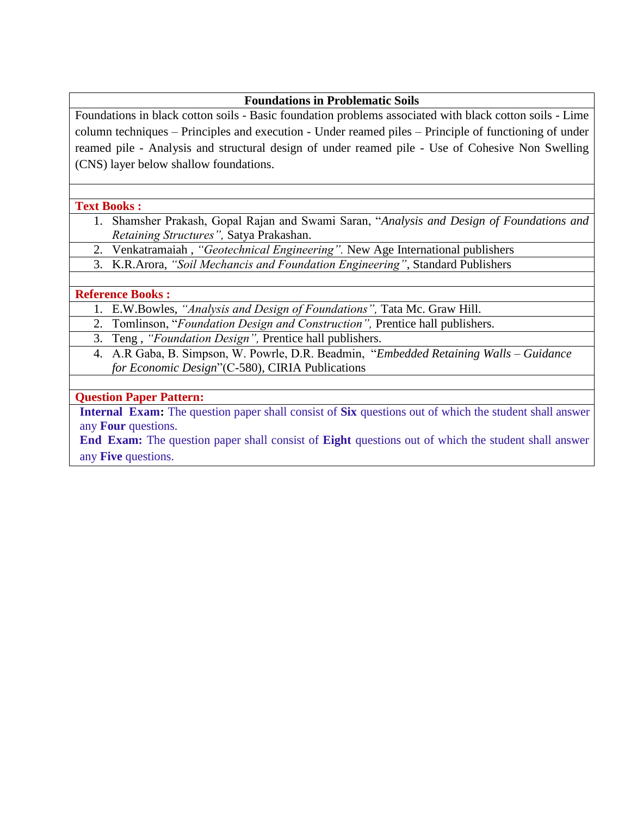## **Foundations in Problematic Soils**

Foundations in black cotton soils - Basic foundation problems associated with black cotton soils - Lime column techniques – Principles and execution - Under reamed piles – Principle of functioning of under reamed pile - Analysis and structural design of under reamed pile - Use of Cohesive Non Swelling (CNS) layer below shallow foundations.

#### **Text Books :**

- 1. Shamsher Prakash, Gopal Rajan and Swami Saran, "*Analysis and Design of Foundations and Retaining Structures",* Satya Prakashan.
- 2. Venkatramaiah , *"Geotechnical Engineering".* New Age International publishers
- 3. K.R.Arora, *"Soil Mechancis and Foundation Engineering"*, Standard Publishers

## **Reference Books :**

- 1. E.W.Bowles, *"Analysis and Design of Foundations",* Tata Mc. Graw Hill.
- 2. Tomlinson, "*Foundation Design and Construction",* Prentice hall publishers.
- 3. Teng , *"Foundation Design",* Prentice hall publishers.
- 4. A.R Gaba, B. Simpson, W. Powrle, D.R. Beadmin, "*Embedded Retaining Walls – Guidance for Economic Design*"(C-580), CIRIA Publications

## **Question Paper Pattern:**

**Internal Exam:** The question paper shall consist of **Six** questions out of which the student shall answer any **Four** questions.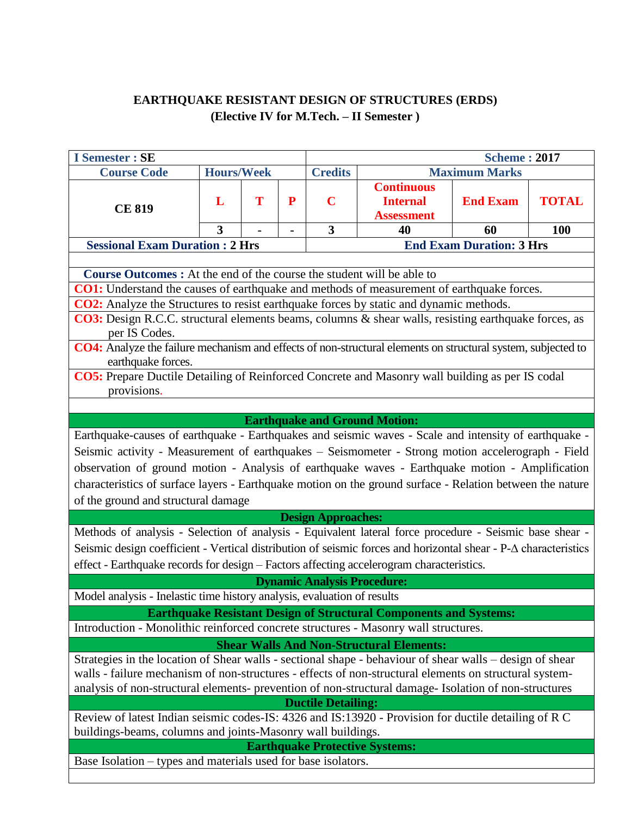# **EARTHQUAKE RESISTANT DESIGN OF STRUCTURES (ERDS) (Elective IV for M.Tech. – II Semester )**

| <b>I</b> Semester : SE                                                                                                             |                         |   |                | <b>Scheme: 2017</b>     |                                                           |                                 |              |  |  |
|------------------------------------------------------------------------------------------------------------------------------------|-------------------------|---|----------------|-------------------------|-----------------------------------------------------------|---------------------------------|--------------|--|--|
| <b>Course Code</b>                                                                                                                 | <b>Hours/Week</b>       |   |                | <b>Credits</b>          | <b>Maximum Marks</b>                                      |                                 |              |  |  |
| <b>CE 819</b>                                                                                                                      | L                       | T | P              | $\mathbf C$             | <b>Continuous</b><br><b>Internal</b><br><b>Assessment</b> | <b>End Exam</b>                 | <b>TOTAL</b> |  |  |
|                                                                                                                                    | $\overline{\mathbf{3}}$ |   | $\blacksquare$ | $\overline{\mathbf{3}}$ | 40                                                        | 60                              | <b>100</b>   |  |  |
| <b>Sessional Exam Duration: 2 Hrs</b>                                                                                              |                         |   |                |                         |                                                           | <b>End Exam Duration: 3 Hrs</b> |              |  |  |
|                                                                                                                                    |                         |   |                |                         |                                                           |                                 |              |  |  |
| <b>Course Outcomes :</b> At the end of the course the student will be able to                                                      |                         |   |                |                         |                                                           |                                 |              |  |  |
| <b>CO1:</b> Understand the causes of earthquake and methods of measurement of earthquake forces.                                   |                         |   |                |                         |                                                           |                                 |              |  |  |
| <b>CO2:</b> Analyze the Structures to resist earthquake forces by static and dynamic methods.                                      |                         |   |                |                         |                                                           |                                 |              |  |  |
| CO3: Design R.C.C. structural elements beams, columns & shear walls, resisting earthquake forces, as<br>per IS Codes.              |                         |   |                |                         |                                                           |                                 |              |  |  |
| CO4: Analyze the failure mechanism and effects of non-structural elements on structural system, subjected to<br>earthquake forces. |                         |   |                |                         |                                                           |                                 |              |  |  |
| CO5: Prepare Ductile Detailing of Reinforced Concrete and Masonry wall building as per IS codal                                    |                         |   |                |                         |                                                           |                                 |              |  |  |
| provisions.                                                                                                                        |                         |   |                |                         |                                                           |                                 |              |  |  |
|                                                                                                                                    |                         |   |                |                         |                                                           |                                 |              |  |  |
| <b>Earthquake and Ground Motion:</b>                                                                                               |                         |   |                |                         |                                                           |                                 |              |  |  |
| Earthquake-causes of earthquake - Earthquakes and seismic waves - Scale and intensity of earthquake -                              |                         |   |                |                         |                                                           |                                 |              |  |  |
| Seismic activity - Measurement of earthquakes - Seismometer - Strong motion accelerograph - Field                                  |                         |   |                |                         |                                                           |                                 |              |  |  |
| observation of ground motion - Analysis of earthquake waves - Earthquake motion - Amplification                                    |                         |   |                |                         |                                                           |                                 |              |  |  |
| characteristics of surface layers - Earthquake motion on the ground surface - Relation between the nature                          |                         |   |                |                         |                                                           |                                 |              |  |  |
|                                                                                                                                    |                         |   |                |                         |                                                           |                                 |              |  |  |
| of the ground and structural damage<br><b>Design Approaches:</b>                                                                   |                         |   |                |                         |                                                           |                                 |              |  |  |
|                                                                                                                                    |                         |   |                |                         |                                                           |                                 |              |  |  |
| Methods of analysis - Selection of analysis - Equivalent lateral force procedure - Seismic base shear -                            |                         |   |                |                         |                                                           |                                 |              |  |  |
| Seismic design coefficient - Vertical distribution of seismic forces and horizontal shear - P-A characteristics                    |                         |   |                |                         |                                                           |                                 |              |  |  |
| effect - Earthquake records for design - Factors affecting accelerogram characteristics.                                           |                         |   |                |                         |                                                           |                                 |              |  |  |
| <b>Dynamic Analysis Procedure:</b>                                                                                                 |                         |   |                |                         |                                                           |                                 |              |  |  |
| Model analysis - Inelastic time history analysis, evaluation of results                                                            |                         |   |                |                         |                                                           |                                 |              |  |  |
| <b>Earthquake Resistant Design of Structural Components and Systems:</b>                                                           |                         |   |                |                         |                                                           |                                 |              |  |  |
| Introduction - Monolithic reinforced concrete structures - Masonry wall structures.                                                |                         |   |                |                         |                                                           |                                 |              |  |  |
| <b>Shear Walls And Non-Structural Elements:</b>                                                                                    |                         |   |                |                         |                                                           |                                 |              |  |  |
| Strategies in the location of Shear walls - sectional shape - behaviour of shear walls – design of shear                           |                         |   |                |                         |                                                           |                                 |              |  |  |
| walls - failure mechanism of non-structures - effects of non-structural elements on structural system-                             |                         |   |                |                         |                                                           |                                 |              |  |  |
| analysis of non-structural elements- prevention of non-structural damage- Isolation of non-structures                              |                         |   |                |                         |                                                           |                                 |              |  |  |
| <b>Ductile Detailing:</b>                                                                                                          |                         |   |                |                         |                                                           |                                 |              |  |  |
| Review of latest Indian seismic codes-IS: 4326 and IS:13920 - Provision for ductile detailing of R C                               |                         |   |                |                         |                                                           |                                 |              |  |  |
| buildings-beams, columns and joints-Masonry wall buildings.<br><b>Earthquake Protective Systems:</b>                               |                         |   |                |                         |                                                           |                                 |              |  |  |
|                                                                                                                                    |                         |   |                |                         |                                                           |                                 |              |  |  |
| Base Isolation – types and materials used for base isolators.                                                                      |                         |   |                |                         |                                                           |                                 |              |  |  |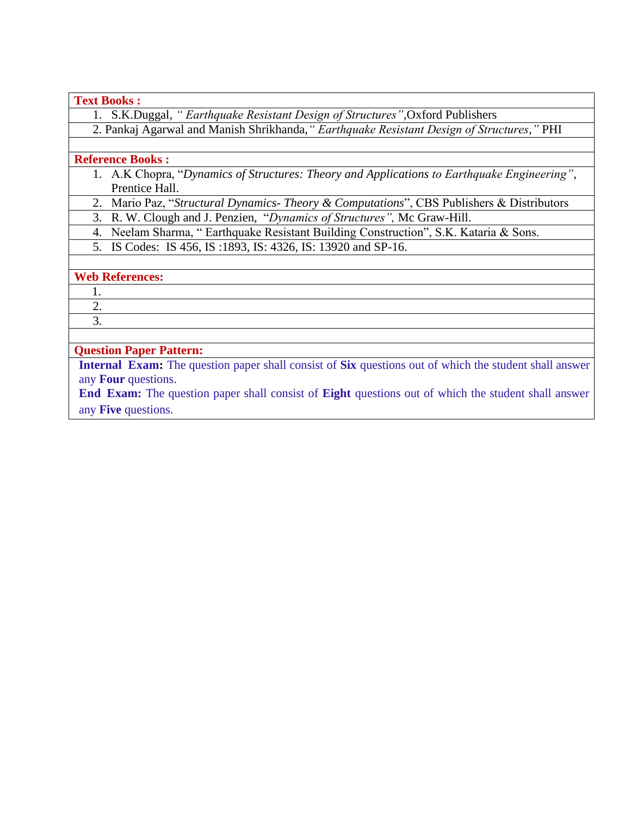#### **Text Books :**

1. S.K.Duggal, *" Earthquake Resistant Design of Structures",*Oxford Publishers

2. Pankaj Agarwal and Manish Shrikhanda,*" Earthquake Resistant Design of Structures,"* PHI

#### **Reference Books :**

- 1. A.K Chopra, "*Dynamics of Structures: Theory and Applications to Earthquake Engineering"*, Prentice Hall.
- 2. Mario Paz, "*Structural Dynamics- Theory & Computations*", CBS Publishers & Distributors
- 3. R. W. Clough and J. Penzien, "*Dynamics of Structures",* Mc Graw-Hill.
- 4. Neelam Sharma, " Earthquake Resistant Building Construction", S.K. Kataria & Sons.
- 5. IS Codes: IS 456, IS :1893, IS: 4326, IS: 13920 and SP-16.

## **Web References:**

1. 2.

3.

## **Question Paper Pattern:**

**Internal Exam:** The question paper shall consist of **Six** questions out of which the student shall answer any **Four** questions.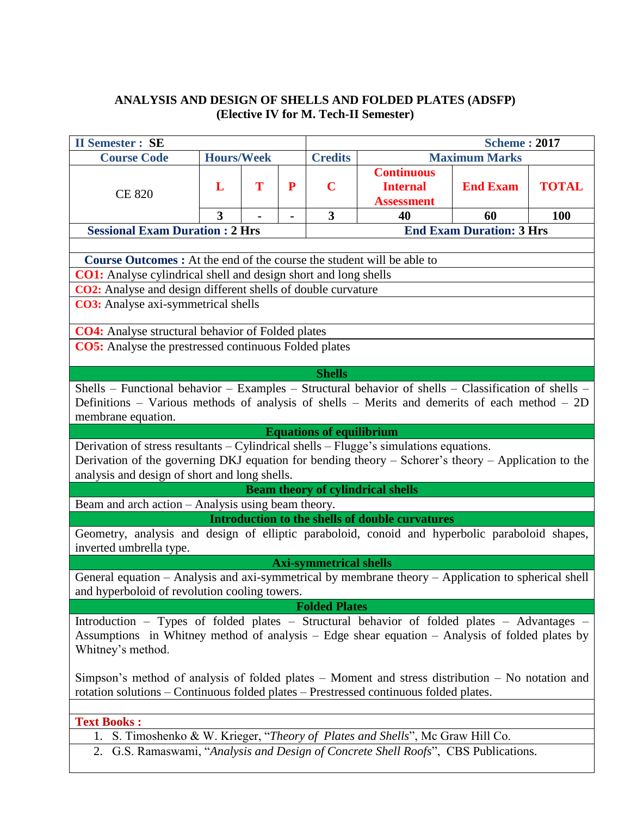## **ANALYSIS AND DESIGN OF SHELLS AND FOLDED PLATES (ADSFP) (Elective IV for M. Tech-II Semester)**

| <b>II Semester : SE</b>                                                                                                                                                                           |                   |   | <b>Scheme: 2017</b> |                  |                                                                             |                                 |                            |  |
|---------------------------------------------------------------------------------------------------------------------------------------------------------------------------------------------------|-------------------|---|---------------------|------------------|-----------------------------------------------------------------------------|---------------------------------|----------------------------|--|
| <b>Course Code</b>                                                                                                                                                                                | <b>Hours/Week</b> |   |                     | <b>Credits</b>   |                                                                             | <b>Maximum Marks</b>            |                            |  |
| <b>CE 820</b>                                                                                                                                                                                     | L<br>3            | T | P                   | $\mathbf C$<br>3 | <b>Continuous</b><br><b>Internal</b><br><b>Assessment</b><br>40             | <b>End Exam</b><br>60           | <b>TOTAL</b><br><b>100</b> |  |
| <b>Sessional Exam Duration : 2 Hrs</b>                                                                                                                                                            |                   |   |                     |                  |                                                                             | <b>End Exam Duration: 3 Hrs</b> |                            |  |
|                                                                                                                                                                                                   |                   |   |                     |                  |                                                                             |                                 |                            |  |
| <b>Course Outcomes :</b> At the end of the course the student will be able to                                                                                                                     |                   |   |                     |                  |                                                                             |                                 |                            |  |
| <b>CO1:</b> Analyse cylindrical shell and design short and long shells                                                                                                                            |                   |   |                     |                  |                                                                             |                                 |                            |  |
| <b>CO2:</b> Analyse and design different shells of double curvature                                                                                                                               |                   |   |                     |                  |                                                                             |                                 |                            |  |
| <b>CO3:</b> Analyse axi-symmetrical shells                                                                                                                                                        |                   |   |                     |                  |                                                                             |                                 |                            |  |
|                                                                                                                                                                                                   |                   |   |                     |                  |                                                                             |                                 |                            |  |
| <b>CO4:</b> Analyse structural behavior of Folded plates                                                                                                                                          |                   |   |                     |                  |                                                                             |                                 |                            |  |
| <b>CO5:</b> Analyse the prestressed continuous Folded plates                                                                                                                                      |                   |   |                     |                  |                                                                             |                                 |                            |  |
|                                                                                                                                                                                                   |                   |   |                     |                  |                                                                             |                                 |                            |  |
|                                                                                                                                                                                                   |                   |   |                     | <b>Shells</b>    |                                                                             |                                 |                            |  |
| Shells - Functional behavior - Examples - Structural behavior of shells - Classification of shells -                                                                                              |                   |   |                     |                  |                                                                             |                                 |                            |  |
| Definitions – Various methods of analysis of shells – Merits and demerits of each method – 2D                                                                                                     |                   |   |                     |                  |                                                                             |                                 |                            |  |
| membrane equation.                                                                                                                                                                                |                   |   |                     |                  |                                                                             |                                 |                            |  |
| <b>Equations of equilibrium</b>                                                                                                                                                                   |                   |   |                     |                  |                                                                             |                                 |                            |  |
| Derivation of stress resultants $-$ Cylindrical shells $-$ Flugge's simulations equations.<br>Derivation of the governing DKJ equation for bending theory - Schorer's theory - Application to the |                   |   |                     |                  |                                                                             |                                 |                            |  |
| analysis and design of short and long shells.                                                                                                                                                     |                   |   |                     |                  |                                                                             |                                 |                            |  |
| <b>Beam theory of cylindrical shells</b>                                                                                                                                                          |                   |   |                     |                  |                                                                             |                                 |                            |  |
| Beam and arch action - Analysis using beam theory.                                                                                                                                                |                   |   |                     |                  |                                                                             |                                 |                            |  |
| Introduction to the shells of double curvatures                                                                                                                                                   |                   |   |                     |                  |                                                                             |                                 |                            |  |
| Geometry, analysis and design of elliptic paraboloid, conoid and hyperbolic paraboloid shapes,                                                                                                    |                   |   |                     |                  |                                                                             |                                 |                            |  |
| inverted umbrella type.                                                                                                                                                                           |                   |   |                     |                  |                                                                             |                                 |                            |  |
| <b>Axi-symmetrical shells</b>                                                                                                                                                                     |                   |   |                     |                  |                                                                             |                                 |                            |  |
| General equation – Analysis and axi-symmetrical by membrane theory – Application to spherical shell                                                                                               |                   |   |                     |                  |                                                                             |                                 |                            |  |
| and hyperboloid of revolution cooling towers.                                                                                                                                                     |                   |   |                     |                  |                                                                             |                                 |                            |  |
| <b>Folded Plates</b>                                                                                                                                                                              |                   |   |                     |                  |                                                                             |                                 |                            |  |
| Introduction - Types of folded plates - Structural behavior of folded plates - Advantages -                                                                                                       |                   |   |                     |                  |                                                                             |                                 |                            |  |
| Assumptions in Whitney method of analysis – Edge shear equation – Analysis of folded plates by                                                                                                    |                   |   |                     |                  |                                                                             |                                 |                            |  |
| Whitney's method.                                                                                                                                                                                 |                   |   |                     |                  |                                                                             |                                 |                            |  |
|                                                                                                                                                                                                   |                   |   |                     |                  |                                                                             |                                 |                            |  |
| Simpson's method of analysis of folded plates $-$ Moment and stress distribution $-$ No notation and                                                                                              |                   |   |                     |                  |                                                                             |                                 |                            |  |
| rotation solutions – Continuous folded plates – Prestressed continuous folded plates.                                                                                                             |                   |   |                     |                  |                                                                             |                                 |                            |  |
| <b>Text Books:</b>                                                                                                                                                                                |                   |   |                     |                  |                                                                             |                                 |                            |  |
| 1.                                                                                                                                                                                                |                   |   |                     |                  | S. Timoshenko & W. Krieger, "Theory of Plates and Shells", Mc Graw Hill Co. |                                 |                            |  |
| 2. G.S. Ramaswami, "Analysis and Design of Concrete Shell Roofs", CBS Publications.                                                                                                               |                   |   |                     |                  |                                                                             |                                 |                            |  |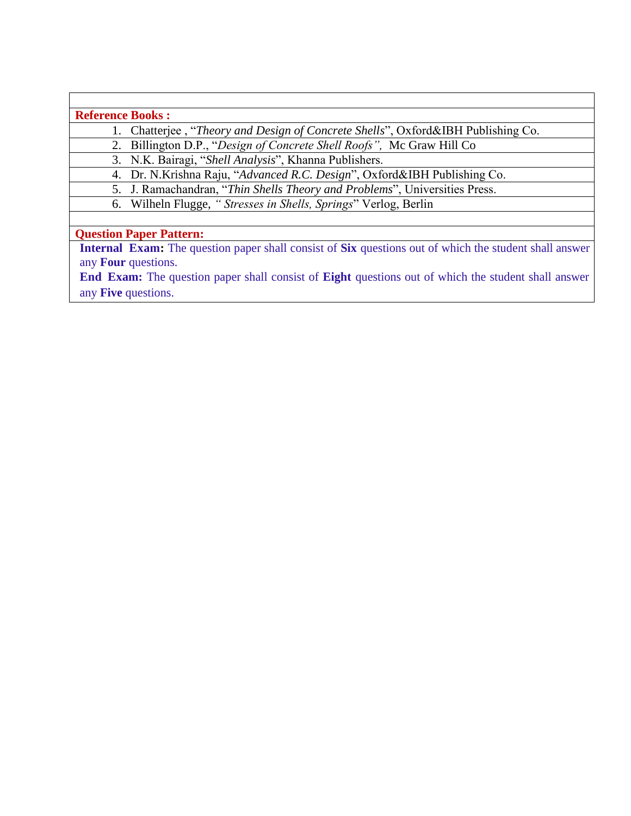**Reference Books :**

1. Chatterjee , "*Theory and Design of Concrete Shells*", Oxford&IBH Publishing Co.

2. Billington D.P., "*Design of Concrete Shell Roofs",* Mc Graw Hill Co

3. N.K. Bairagi, "*Shell Analysis*", Khanna Publishers.

4. Dr. N.Krishna Raju, "*Advanced R.C. Design*", Oxford&IBH Publishing Co.

5. J. Ramachandran, "*Thin Shells Theory and Problems*", Universities Press.

6. Wilheln Flugge, *" Stresses in Shells, Springs*" Verlog, Berlin

**Question Paper Pattern:**

**Internal Exam:** The question paper shall consist of **Six** questions out of which the student shall answer any **Four** questions.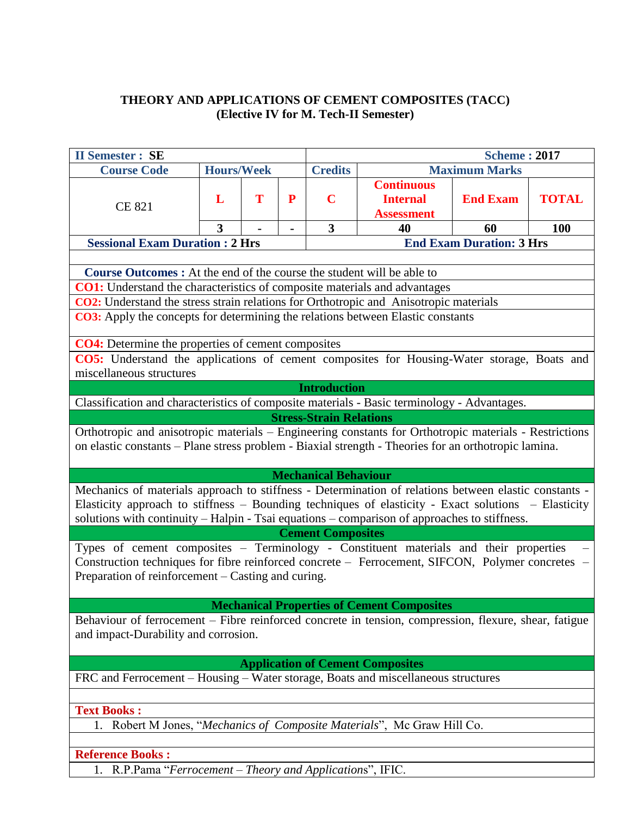## **THEORY AND APPLICATIONS OF CEMENT COMPOSITES (TACC) (Elective IV for M. Tech-II Semester)**

| <b>II Semester : SE</b>                                                                                                                                                                                                                                                                                      |                                                                                                        |   |   | <b>Scheme: 2017</b>                    |                                                           |                                 |              |  |
|--------------------------------------------------------------------------------------------------------------------------------------------------------------------------------------------------------------------------------------------------------------------------------------------------------------|--------------------------------------------------------------------------------------------------------|---|---|----------------------------------------|-----------------------------------------------------------|---------------------------------|--------------|--|
| <b>Course Code</b>                                                                                                                                                                                                                                                                                           | <b>Hours/Week</b>                                                                                      |   |   | <b>Credits</b><br><b>Maximum Marks</b> |                                                           |                                 |              |  |
| <b>CE 821</b>                                                                                                                                                                                                                                                                                                | L                                                                                                      | T | P | $\mathbf C$                            | <b>Continuous</b><br><b>Internal</b><br><b>Assessment</b> | <b>End Exam</b>                 | <b>TOTAL</b> |  |
|                                                                                                                                                                                                                                                                                                              | 3                                                                                                      |   |   | $\overline{\mathbf{3}}$                | 40                                                        | 60                              | <b>100</b>   |  |
| <b>Sessional Exam Duration : 2 Hrs</b>                                                                                                                                                                                                                                                                       |                                                                                                        |   |   |                                        |                                                           | <b>End Exam Duration: 3 Hrs</b> |              |  |
|                                                                                                                                                                                                                                                                                                              |                                                                                                        |   |   |                                        |                                                           |                                 |              |  |
| <b>Course Outcomes :</b> At the end of the course the student will be able to<br><b>CO1:</b> Understand the characteristics of composite materials and advantages                                                                                                                                            |                                                                                                        |   |   |                                        |                                                           |                                 |              |  |
|                                                                                                                                                                                                                                                                                                              |                                                                                                        |   |   |                                        |                                                           |                                 |              |  |
| <b>CO2:</b> Understand the stress strain relations for Orthotropic and Anisotropic materials<br><b>CO3:</b> Apply the concepts for determining the relations between Elastic constants                                                                                                                       |                                                                                                        |   |   |                                        |                                                           |                                 |              |  |
|                                                                                                                                                                                                                                                                                                              |                                                                                                        |   |   |                                        |                                                           |                                 |              |  |
| <b>CO4:</b> Determine the properties of cement composites                                                                                                                                                                                                                                                    |                                                                                                        |   |   |                                        |                                                           |                                 |              |  |
| CO5: Understand the applications of cement composites for Housing-Water storage, Boats and                                                                                                                                                                                                                   |                                                                                                        |   |   |                                        |                                                           |                                 |              |  |
| miscellaneous structures                                                                                                                                                                                                                                                                                     |                                                                                                        |   |   |                                        |                                                           |                                 |              |  |
|                                                                                                                                                                                                                                                                                                              |                                                                                                        |   |   | <b>Introduction</b>                    |                                                           |                                 |              |  |
| Classification and characteristics of composite materials - Basic terminology - Advantages.                                                                                                                                                                                                                  |                                                                                                        |   |   |                                        |                                                           |                                 |              |  |
|                                                                                                                                                                                                                                                                                                              |                                                                                                        |   |   | <b>Stress-Strain Relations</b>         |                                                           |                                 |              |  |
|                                                                                                                                                                                                                                                                                                              | Orthotropic and anisotropic materials - Engineering constants for Orthotropic materials - Restrictions |   |   |                                        |                                                           |                                 |              |  |
| on elastic constants - Plane stress problem - Biaxial strength - Theories for an orthotropic lamina.                                                                                                                                                                                                         |                                                                                                        |   |   |                                        |                                                           |                                 |              |  |
|                                                                                                                                                                                                                                                                                                              |                                                                                                        |   |   |                                        |                                                           |                                 |              |  |
|                                                                                                                                                                                                                                                                                                              |                                                                                                        |   |   | <b>Mechanical Behaviour</b>            |                                                           |                                 |              |  |
| Mechanics of materials approach to stiffness - Determination of relations between elastic constants -<br>Elasticity approach to stiffness - Bounding techniques of elasticity - Exact solutions - Elasticity<br>solutions with continuity - Halpin - Tsai equations - comparison of approaches to stiffness. |                                                                                                        |   |   |                                        |                                                           |                                 |              |  |
| <b>Cement Composites</b>                                                                                                                                                                                                                                                                                     |                                                                                                        |   |   |                                        |                                                           |                                 |              |  |
| Types of cement composites - Terminology - Constituent materials and their properties<br>Construction techniques for fibre reinforced concrete - Ferrocement, SIFCON, Polymer concretes -<br>Preparation of reinforcement – Casting and curing.                                                              |                                                                                                        |   |   |                                        |                                                           |                                 |              |  |
| <b>Mechanical Properties of Cement Composites</b>                                                                                                                                                                                                                                                            |                                                                                                        |   |   |                                        |                                                           |                                 |              |  |
| Behaviour of ferrocement – Fibre reinforced concrete in tension, compression, flexure, shear, fatigue<br>and impact-Durability and corrosion.                                                                                                                                                                |                                                                                                        |   |   |                                        |                                                           |                                 |              |  |
| <b>Application of Cement Composites</b>                                                                                                                                                                                                                                                                      |                                                                                                        |   |   |                                        |                                                           |                                 |              |  |
| FRC and Ferrocement - Housing - Water storage, Boats and miscellaneous structures                                                                                                                                                                                                                            |                                                                                                        |   |   |                                        |                                                           |                                 |              |  |
|                                                                                                                                                                                                                                                                                                              |                                                                                                        |   |   |                                        |                                                           |                                 |              |  |
| <b>Text Books:</b>                                                                                                                                                                                                                                                                                           |                                                                                                        |   |   |                                        |                                                           |                                 |              |  |
| 1. Robert M Jones, "Mechanics of Composite Materials", Mc Graw Hill Co.                                                                                                                                                                                                                                      |                                                                                                        |   |   |                                        |                                                           |                                 |              |  |
|                                                                                                                                                                                                                                                                                                              |                                                                                                        |   |   |                                        |                                                           |                                 |              |  |
| <b>Reference Books:</b>                                                                                                                                                                                                                                                                                      |                                                                                                        |   |   |                                        |                                                           |                                 |              |  |

1. R.P.Pama "*Ferrocement – Theory and Application*s", IFIC.